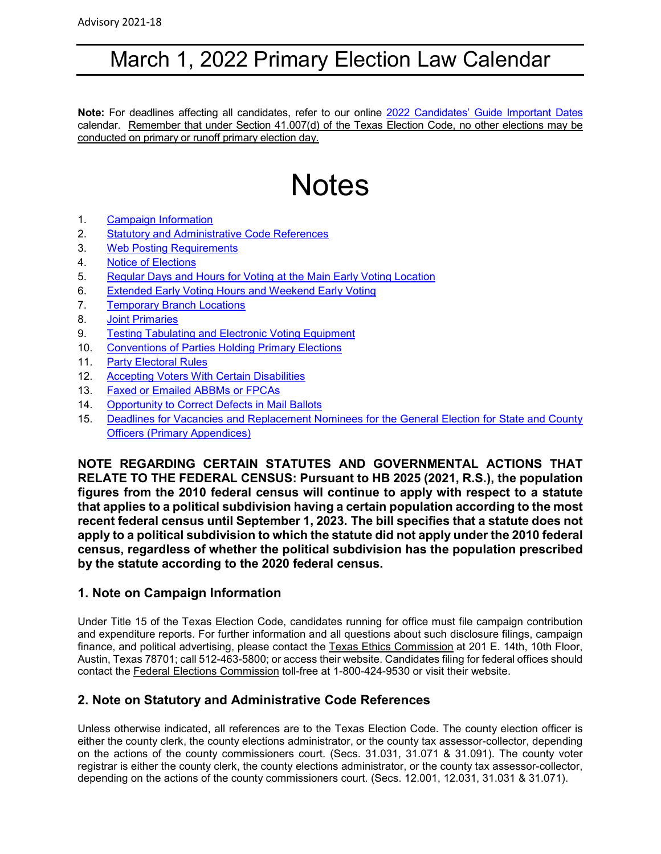## March 1, 2022 Primary Election Law Calendar

Note: For deadlines affecting all candidates, refer to our online [2022 Candidates' Guide Important Dates](https://www.sos.texas.gov/elections/candidates/guide/2022/dates2022.shtml) calendar. Remember that under Section 41.007(d) of the Texas Election Code, no other elections may be conducted on primary or runoff primary election day.

# **Notes**

- 1. [Campaign Information](#page-0-0)
- 2. [Statutory and Administrative Code References](#page-0-1)
- 3. [Web Posting Requirements](#page-1-0)
- 4. [Notice of Elections](#page-1-1)
- 5. [Regular Days and Hours for Voting](#page-2-0) at the Main Early Voting Location
- 6. [Extended Early Voting Hours and Weekend Early Voting](#page-3-0)
- 7. [Temporary Branch Locations](#page-3-1)
- 8. [Joint Primaries](#page-4-0)
- 9. [Testing Tabulating and Electronic Voting Equipment](#page-5-0)
- 10. [Conventions of Parties Holding Primary Elections](#page-6-0)
- 11. [Party Electoral Rules](#page-7-0)
- 12. [Accepting Voters With Certain Disabilities](#page-7-1)
- 13. [Faxed or Emailed ABBMs or FPCAs](#page-8-0)
- 14. [Opportunity to Correct Defects in Mail Ballots](#page-8-1)
- 15. [Deadlines for Vacancies and Replacement Nominees for the General Election for State and County](#page-9-0)  [Officers \(Primary Appendices\)](#page-9-0)

**NOTE REGARDING CERTAIN STATUTES AND GOVERNMENTAL ACTIONS THAT RELATE TO THE FEDERAL CENSUS: Pursuant to HB 2025 (2021, R.S.), the population figures from the 2010 federal census will continue to apply with respect to a statute that applies to a political subdivision having a certain population according to the most recent federal census until September 1, 2023. The bill specifies that a statute does not apply to a political subdivision to which the statute did not apply under the 2010 federal census, regardless of whether the political subdivision has the population prescribed by the statute according to the 2020 federal census.**

## <span id="page-0-0"></span>**1. Note on Campaign Information**

Under Title 15 of the Texas Election Code, candidates running for office must file campaign contribution and expenditure reports. For further information and all questions about such disclosure filings, campaign finance, and political advertising, please contact the [Texas Ethics Commission](https://www.ethics.state.tx.us/) at 201 E. 14th, 10th Floor, Austin, Texas 78701; call 512-463-5800; or access their website. Candidates filing for federal offices should contact the [Federal Elections Commission](http://www.fec.gov/) toll-free at 1-800-424-9530 or visit their website.

## <span id="page-0-1"></span>**2. Note on Statutory and Administrative Code References**

Unless otherwise indicated, all references are to the Texas Election Code. The county election officer is either the county clerk, the county elections administrator, or the county tax assessor-collector, depending on the actions of the county commissioners court. (Secs. 31.031, 31.071 & 31.091). The county voter registrar is either the county clerk, the county elections administrator, or the county tax assessor-collector, depending on the actions of the county commissioners court. (Secs. 12.001, 12.031, 31.031 & 31.071).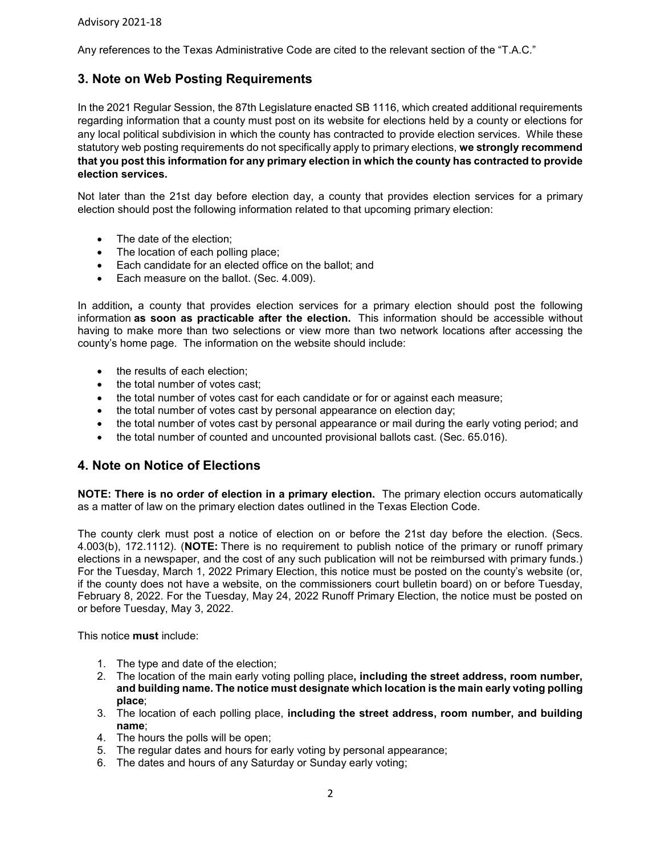Any references to the Texas Administrative Code are cited to the relevant section of the "T.A.C."

## <span id="page-1-0"></span>**3. Note on Web Posting Requirements**

In the 2021 Regular Session, the 87th Legislature enacted SB 1116, which created additional requirements regarding information that a county must post on its website for elections held by a county or elections for any local political subdivision in which the county has contracted to provide election services. While these statutory web posting requirements do not specifically apply to primary elections, **we strongly recommend that you post this information for any primary election in which the county has contracted to provide election services.**

Not later than the 21st day before election day, a county that provides election services for a primary election should post the following information related to that upcoming primary election:

- The date of the election;
- The location of each polling place;
- Each candidate for an elected office on the ballot; and
- Each measure on the ballot. (Sec. 4.009).

In addition**,** a county that provides election services for a primary election should post the following information **as soon as practicable after the election.** This information should be accessible without having to make more than two selections or view more than two network locations after accessing the county's home page. The information on the website should include:

- the results of each election;
- the total number of votes cast:
- the total number of votes cast for each candidate or for or against each measure;
- the total number of votes cast by personal appearance on election day;
- the total number of votes cast by personal appearance or mail during the early voting period; and
- the total number of counted and uncounted provisional ballots cast. (Sec. 65.016).

## <span id="page-1-1"></span>**4. Note on Notice of Elections**

**NOTE: There is no order of election in a primary election.** The primary election occurs automatically as a matter of law on the primary election dates outlined in the Texas Election Code.

The county clerk must post a notice of election on or before the 21st day before the election. (Secs. 4.003(b), 172.1112). (**NOTE:** There is no requirement to publish notice of the primary or runoff primary elections in a newspaper, and the cost of any such publication will not be reimbursed with primary funds.) For the Tuesday, March 1, 2022 Primary Election, this notice must be posted on the county's website (or, if the county does not have a website, on the commissioners court bulletin board) on or before Tuesday, February 8, 2022. For the Tuesday, May 24, 2022 Runoff Primary Election, the notice must be posted on or before Tuesday, May 3, 2022.

This notice **must** include:

- 1. The type and date of the election;
- 2. The location of the main early voting polling place**, including the street address, room number, and building name. The notice must designate which location is the main early voting polling place**;
- 3. The location of each polling place, **including the street address, room number, and building name**;
- 4. The hours the polls will be open;
- 5. The regular dates and hours for early voting by personal appearance;
- 6. The dates and hours of any Saturday or Sunday early voting;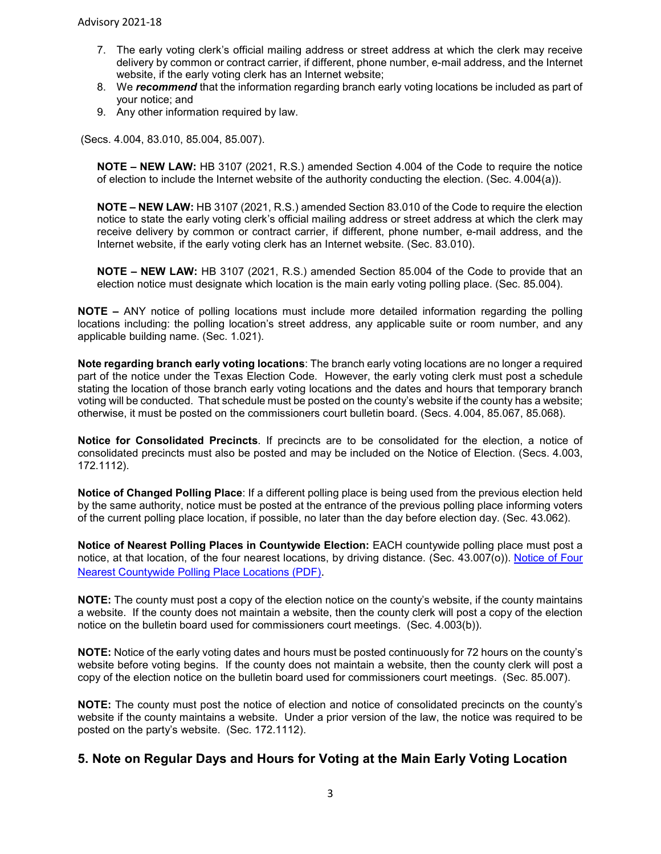- 7. The early voting clerk's official mailing address or street address at which the clerk may receive delivery by common or contract carrier, if different, phone number, e-mail address, and the Internet website, if the early voting clerk has an Internet website;
- 8. We *recommend* that the information regarding branch early voting locations be included as part of your notice; and
- 9. Any other information required by law.

(Secs. 4.004, 83.010, 85.004, 85.007).

**NOTE – NEW LAW:** HB 3107 (2021, R.S.) amended Section 4.004 of the Code to require the notice of election to include the Internet website of the authority conducting the election. (Sec. 4.004(a)).

**NOTE – NEW LAW:** HB 3107 (2021, R.S.) amended Section 83.010 of the Code to require the election notice to state the early voting clerk's official mailing address or street address at which the clerk may receive delivery by common or contract carrier, if different, phone number, e-mail address, and the Internet website, if the early voting clerk has an Internet website. (Sec. 83.010).

**NOTE – NEW LAW:** HB 3107 (2021, R.S.) amended Section 85.004 of the Code to provide that an election notice must designate which location is the main early voting polling place. (Sec. 85.004).

**NOTE –** ANY notice of polling locations must include more detailed information regarding the polling locations including: the polling location's street address, any applicable suite or room number, and any applicable building name. (Sec. 1.021).

**Note regarding branch early voting locations**: The branch early voting locations are no longer a required part of the notice under the Texas Election Code. However, the early voting clerk must post a schedule stating the location of those branch early voting locations and the dates and hours that temporary branch voting will be conducted. That schedule must be posted on the county's website if the county has a website; otherwise, it must be posted on the commissioners court bulletin board. (Secs. 4.004, 85.067, 85.068).

**Notice for Consolidated Precincts**. If precincts are to be consolidated for the election, a notice of consolidated precincts must also be posted and may be included on the Notice of Election. (Secs. 4.003, 172.1112).

**Notice of Changed Polling Place**: If a different polling place is being used from the previous election held by the same authority, notice must be posted at the entrance of the previous polling place informing voters of the current polling place location, if possible, no later than the day before election day. (Sec. 43.062).

**Notice of Nearest Polling Places in Countywide Election:** EACH countywide polling place must post a notice, at that location, of the four nearest locations, by driving distance. (Sec. 43.007(o)). [Notice of Four](https://www.sos.texas.gov/elections/forms/pol-sub/1-16f.pdf)  [Nearest Countywide Polling Place Locations \(PDF\)](https://www.sos.texas.gov/elections/forms/pol-sub/1-16f.pdf).

**NOTE:** The county must post a copy of the election notice on the county's website, if the county maintains a website. If the county does not maintain a website, then the county clerk will post a copy of the election notice on the bulletin board used for commissioners court meetings. (Sec. 4.003(b)).

**NOTE:** Notice of the early voting dates and hours must be posted continuously for 72 hours on the county's website before voting begins. If the county does not maintain a website, then the county clerk will post a copy of the election notice on the bulletin board used for commissioners court meetings. (Sec. 85.007).

**NOTE:** The county must post the notice of election and notice of consolidated precincts on the county's website if the county maintains a website. Under a prior version of the law, the notice was required to be posted on the party's website. (Sec. 172.1112).

## <span id="page-2-0"></span>**5. Note on Regular Days and Hours for Voting at the Main Early Voting Location**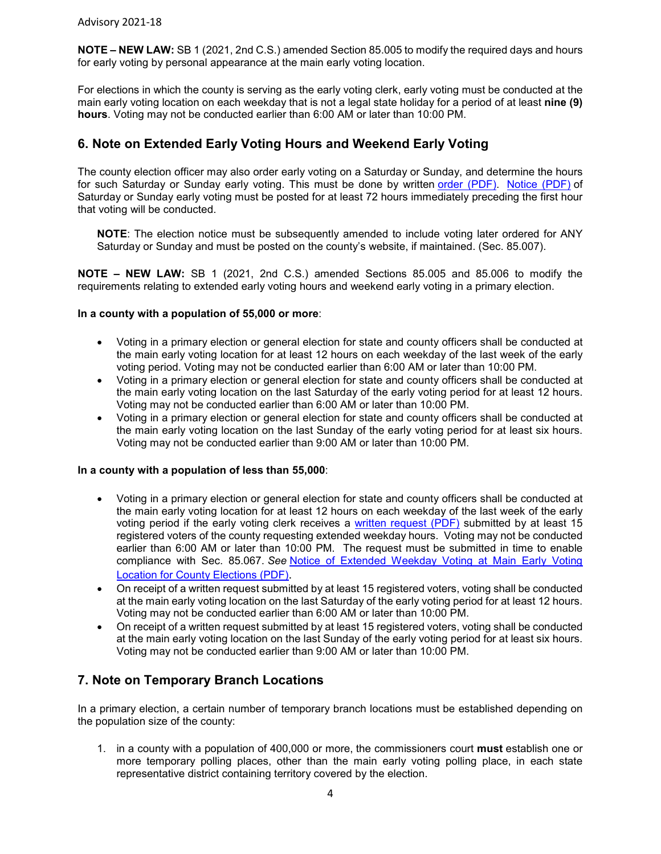**NOTE – NEW LAW:** SB 1 (2021, 2nd C.S.) amended Section 85.005 to modify the required days and hours for early voting by personal appearance at the main early voting location.

For elections in which the county is serving as the early voting clerk, early voting must be conducted at the main early voting location on each weekday that is not a legal state holiday for a period of at least **nine (9) hours**. Voting may not be conducted earlier than 6:00 AM or later than 10:00 PM.

## <span id="page-3-0"></span>**6. Note on Extended Early Voting Hours and Weekend Early Voting**

The county election officer may also order early voting on a Saturday or Sunday, and determine the hours for such Saturday or Sunday early voting. This must be done by written [order \(PDF\).](https://www.sos.texas.gov/elections/forms/pol-sub/5-47f.pdf) [Notice \(PDF\)](https://www.sos.texas.gov/elections/forms/pol-sub/5-48f.pdf) of Saturday or Sunday early voting must be posted for at least 72 hours immediately preceding the first hour that voting will be conducted.

**NOTE**: The election notice must be subsequently amended to include voting later ordered for ANY Saturday or Sunday and must be posted on the county's website, if maintained. (Sec. 85.007).

**NOTE – NEW LAW:** SB 1 (2021, 2nd C.S.) amended Sections 85.005 and 85.006 to modify the requirements relating to extended early voting hours and weekend early voting in a primary election.

#### **In a county with a population of 55,000 or more**:

- Voting in a primary election or general election for state and county officers shall be conducted at the main early voting location for at least 12 hours on each weekday of the last week of the early voting period. Voting may not be conducted earlier than 6:00 AM or later than 10:00 PM.
- Voting in a primary election or general election for state and county officers shall be conducted at the main early voting location on the last Saturday of the early voting period for at least 12 hours. Voting may not be conducted earlier than 6:00 AM or later than 10:00 PM.
- Voting in a primary election or general election for state and county officers shall be conducted at the main early voting location on the last Sunday of the early voting period for at least six hours. Voting may not be conducted earlier than 9:00 AM or later than 10:00 PM.

#### **In a county with a population of less than 55,000**:

- Voting in a primary election or general election for state and county officers shall be conducted at the main early voting location for at least 12 hours on each weekday of the last week of the early voting period if the early voting clerk receives a [written request \(PDF\)](https://www.sos.texas.gov/elections/forms/pol-sub/5-50f.pdf) submitted by at least 15 registered voters of the county requesting extended weekday hours. Voting may not be conducted earlier than 6:00 AM or later than 10:00 PM. The request must be submitted in time to enable compliance with Sec. 85.067. *See* [Notice of Extended Weekday Voting at Main Early Voting](https://www.sos.texas.gov/elections/forms/pol-sub/5-51f.pdf)  [Location for County Elections \(PDF\)](https://www.sos.texas.gov/elections/forms/pol-sub/5-51f.pdf).
- On receipt of a written request submitted by at least 15 registered voters, voting shall be conducted at the main early voting location on the last Saturday of the early voting period for at least 12 hours. Voting may not be conducted earlier than 6:00 AM or later than 10:00 PM.
- On receipt of a written request submitted by at least 15 registered voters, voting shall be conducted at the main early voting location on the last Sunday of the early voting period for at least six hours. Voting may not be conducted earlier than 9:00 AM or later than 10:00 PM.

## <span id="page-3-1"></span>**7. Note on Temporary Branch Locations**

In a primary election, a certain number of temporary branch locations must be established depending on the population size of the county:

1. in a county with a population of 400,000 or more, the commissioners court **must** establish one or more temporary polling places, other than the main early voting polling place, in each state representative district containing territory covered by the election.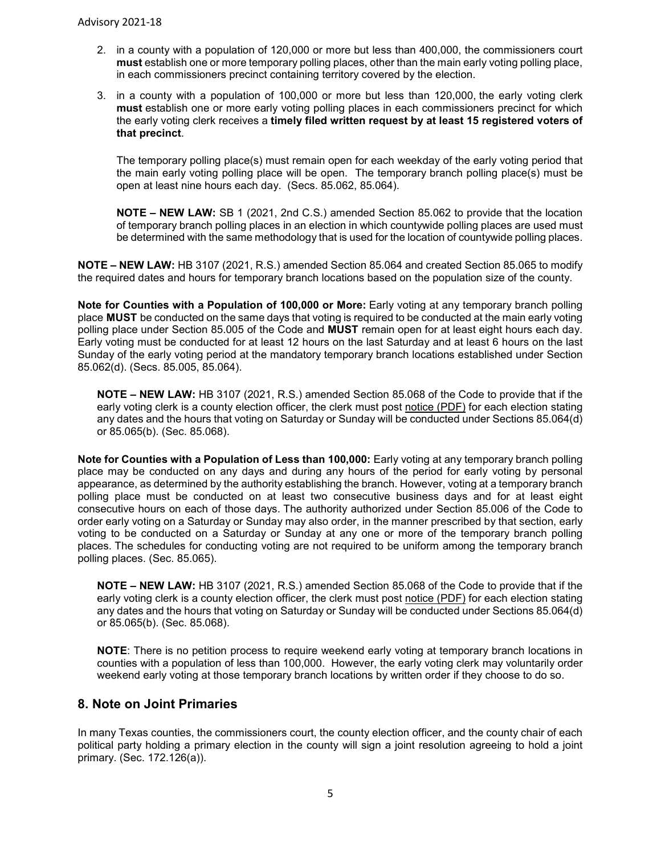- 2. in a county with a population of 120,000 or more but less than 400,000, the commissioners court **must** establish one or more temporary polling places, other than the main early voting polling place, in each commissioners precinct containing territory covered by the election.
- 3. in a county with a population of 100,000 or more but less than 120,000, the early voting clerk **must** establish one or more early voting polling places in each commissioners precinct for which the early voting clerk receives a **timely filed written request by at least 15 registered voters of that precinct**.

The temporary polling place(s) must remain open for each weekday of the early voting period that the main early voting polling place will be open. The temporary branch polling place(s) must be open at least nine hours each day. (Secs. 85.062, 85.064).

**NOTE – NEW LAW:** SB 1 (2021, 2nd C.S.) amended Section 85.062 to provide that the location of temporary branch polling places in an election in which countywide polling places are used must be determined with the same methodology that is used for the location of countywide polling places.

**NOTE – NEW LAW:** HB 3107 (2021, R.S.) amended Section 85.064 and created Section 85.065 to modify the required dates and hours for temporary branch locations based on the population size of the county.

**Note for Counties with a Population of 100,000 or More:** Early voting at any temporary branch polling place **MUST** be conducted on the same days that voting is required to be conducted at the main early voting polling place under Section 85.005 of the Code and **MUST** remain open for at least eight hours each day. Early voting must be conducted for at least 12 hours on the last Saturday and at least 6 hours on the last Sunday of the early voting period at the mandatory temporary branch locations established under Section 85.062(d). (Secs. 85.005, 85.064).

**NOTE – NEW LAW:** HB 3107 (2021, R.S.) amended Section 85.068 of the Code to provide that if the early voting clerk is a county election officer, the clerk must post [notice \(PDF\)](https://www.sos.texas.gov/elections/forms/pol-sub/5-48f.pdf) for each election stating any dates and the hours that voting on Saturday or Sunday will be conducted under Sections 85.064(d) or 85.065(b). (Sec. 85.068).

**Note for Counties with a Population of Less than 100,000:** Early voting at any temporary branch polling place may be conducted on any days and during any hours of the period for early voting by personal appearance, as determined by the authority establishing the branch. However, voting at a temporary branch polling place must be conducted on at least two consecutive business days and for at least eight consecutive hours on each of those days. The authority authorized under Section 85.006 of the Code to order early voting on a Saturday or Sunday may also order, in the manner prescribed by that section, early voting to be conducted on a Saturday or Sunday at any one or more of the temporary branch polling places. The schedules for conducting voting are not required to be uniform among the temporary branch polling places. (Sec. 85.065).

**NOTE – NEW LAW:** HB 3107 (2021, R.S.) amended Section 85.068 of the Code to provide that if the early voting clerk is a county election officer, the clerk must post [notice \(PDF\)](https://www.sos.texas.gov/elections/forms/pol-sub/5-48f.pdf) for each election stating any dates and the hours that voting on Saturday or Sunday will be conducted under Sections 85.064(d) or 85.065(b). (Sec. 85.068).

**NOTE**: There is no petition process to require weekend early voting at temporary branch locations in counties with a population of less than 100,000. However, the early voting clerk may voluntarily order weekend early voting at those temporary branch locations by written order if they choose to do so.

## <span id="page-4-0"></span>**8. Note on Joint Primaries**

In many Texas counties, the commissioners court, the county election officer, and the county chair of each political party holding a primary election in the county will sign a joint resolution agreeing to hold a joint primary. (Sec. 172.126(a)).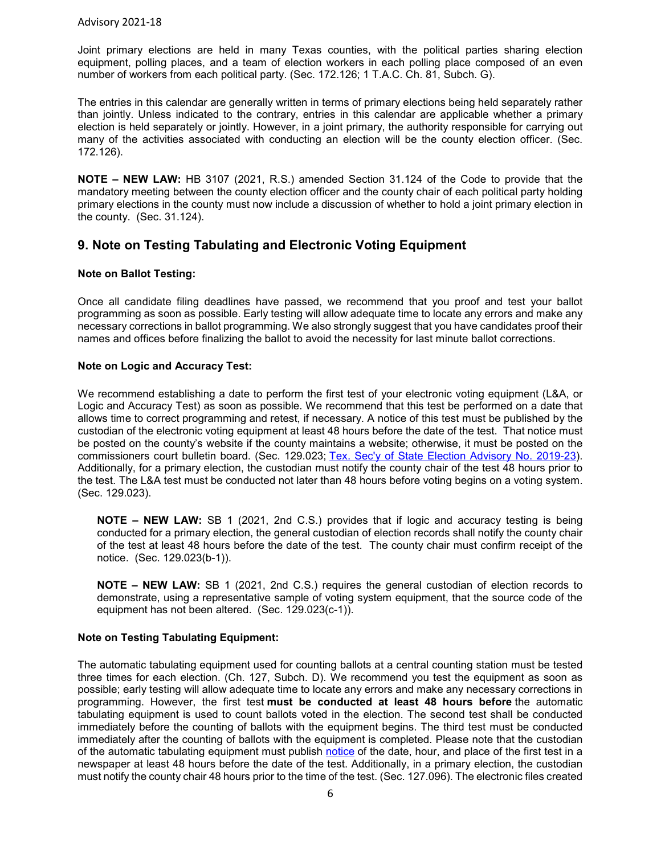Joint primary elections are held in many Texas counties, with the political parties sharing election equipment, polling places, and a team of election workers in each polling place composed of an even number of workers from each political party. (Sec. 172.126; 1 T.A.C. Ch. 81, Subch. G).

The entries in this calendar are generally written in terms of primary elections being held separately rather than jointly. Unless indicated to the contrary, entries in this calendar are applicable whether a primary election is held separately or jointly. However, in a joint primary, the authority responsible for carrying out many of the activities associated with conducting an election will be the county election officer. (Sec. 172.126).

**NOTE – NEW LAW:** HB 3107 (2021, R.S.) amended Section 31.124 of the Code to provide that the mandatory meeting between the county election officer and the county chair of each political party holding primary elections in the county must now include a discussion of whether to hold a joint primary election in the county. (Sec. 31.124).

## <span id="page-5-0"></span>**9. Note on Testing Tabulating and Electronic Voting Equipment**

#### **Note on Ballot Testing:**

Once all candidate filing deadlines have passed, we recommend that you proof and test your ballot programming as soon as possible. Early testing will allow adequate time to locate any errors and make any necessary corrections in ballot programming. We also strongly suggest that you have candidates proof their names and offices before finalizing the ballot to avoid the necessity for last minute ballot corrections.

#### **Note on Logic and Accuracy Test:**

We recommend establishing a date to perform the first test of your electronic voting equipment (L&A, or Logic and Accuracy Test) as soon as possible. We recommend that this test be performed on a date that allows time to correct programming and retest, if necessary. A notice of this test must be published by the custodian of the electronic voting equipment at least 48 hours before the date of the test. That notice must be posted on the county's website if the county maintains a website; otherwise, it must be posted on the commissioners court bulletin board. (Sec. 129.023; [Tex. Sec'y of State Election Advisory No. 2019-23\)](https://www.sos.texas.gov/elections/laws/advisory2019-23.shtml). Additionally, for a primary election, the custodian must notify the county chair of the test 48 hours prior to the test. The L&A test must be conducted not later than 48 hours before voting begins on a voting system. (Sec. 129.023).

**NOTE – NEW LAW:** SB 1 (2021, 2nd C.S.) provides that if logic and accuracy testing is being conducted for a primary election, the general custodian of election records shall notify the county chair of the test at least 48 hours before the date of the test. The county chair must confirm receipt of the notice. (Sec. 129.023(b-1)).

**NOTE – NEW LAW:** SB 1 (2021, 2nd C.S.) requires the general custodian of election records to demonstrate, using a representative sample of voting system equipment, that the source code of the equipment has not been altered. (Sec. 129.023(c-1)).

#### **Note on Testing Tabulating Equipment:**

The automatic tabulating equipment used for counting ballots at a central counting station must be tested three times for each election. (Ch. 127, Subch. D). We recommend you test the equipment as soon as possible; early testing will allow adequate time to locate any errors and make any necessary corrections in programming. However, the first test **must be conducted at least 48 hours before** the automatic tabulating equipment is used to count ballots voted in the election. The second test shall be conducted immediately before the counting of ballots with the equipment begins. The third test must be conducted immediately after the counting of ballots with the equipment is completed. Please note that the custodian of the automatic tabulating equipment must publish [notice](http://www.sos.state.tx.us/elections/forms/pol-sub/6-1f.pdf) of the date, hour, and place of the first test in a newspaper at least 48 hours before the date of the test. Additionally, in a primary election, the custodian must notify the county chair 48 hours prior to the time of the test. (Sec. 127.096). The electronic files created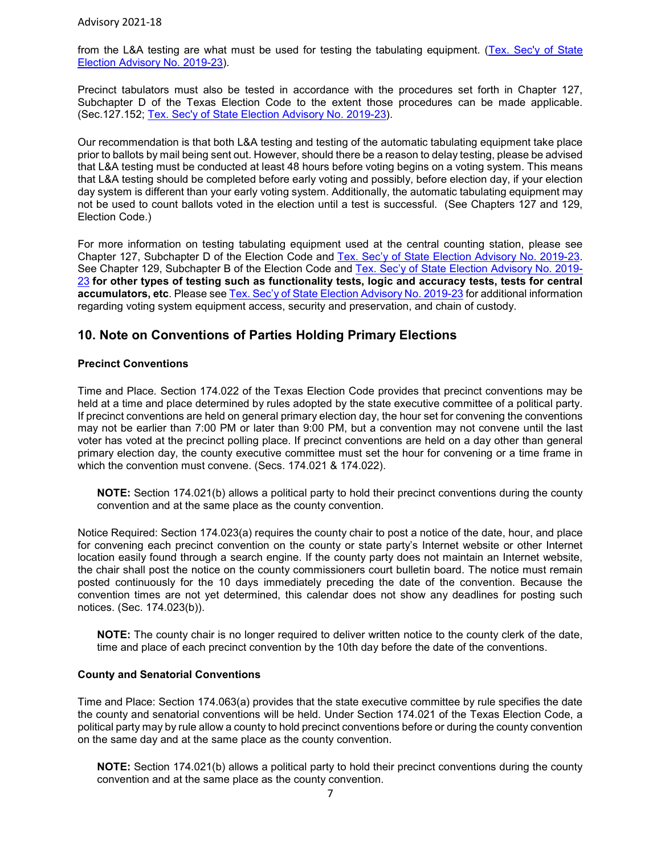from the L&A testing are what must be used for testing the tabulating equipment. [\(Tex. Sec'y of State](https://www.sos.texas.gov/elections/laws/advisory2019-23.shtml)  [Election Advisory No. 2019-23\)](https://www.sos.texas.gov/elections/laws/advisory2019-23.shtml).

Precinct tabulators must also be tested in accordance with the procedures set forth in Chapter 127, Subchapter D of the Texas Election Code to the extent those procedures can be made applicable. (Sec.127.152; [Tex. Sec'y of State Election Advisory No. 2019-23\)](https://www.sos.texas.gov/elections/laws/advisory2019-23.shtml).

Our recommendation is that both L&A testing and testing of the automatic tabulating equipment take place prior to ballots by mail being sent out. However, should there be a reason to delay testing, please be advised that L&A testing must be conducted at least 48 hours before voting begins on a voting system. This means that L&A testing should be completed before early voting and possibly, before election day, if your election day system is different than your early voting system. Additionally, the automatic tabulating equipment may not be used to count ballots voted in the election until a test is successful. (See Chapters 127 and 129, Election Code.)

For more information on testing tabulating equipment used at the central counting station, please see Chapter 127, Subchapter D of the Election Code and [Tex. Sec'y of State Election Advisory No. 2019-23.](https://www.sos.texas.gov/elections/laws/advisory2019-23.shtml) See Chapter 129, Subchapter B of the Election Code and [Tex. Sec'y of State Election Advisory No. 2019-](https://www.sos.texas.gov/elections/laws/advisory2019-23.shtml) [23](https://www.sos.texas.gov/elections/laws/advisory2019-23.shtml) **for other types of testing such as functionality tests, logic and accuracy tests, tests for central accumulators, etc**. Please se[e Tex. Sec'y of State Election Advisory No. 2019-23](https://www.sos.texas.gov/elections/laws/advisory2019-23.shtml) for additional information regarding voting system equipment access, security and preservation, and chain of custody.

## <span id="page-6-0"></span>**10. Note on Conventions of Parties Holding Primary Elections**

#### **Precinct Conventions**

Time and Place. Section 174.022 of the Texas Election Code provides that precinct conventions may be held at a time and place determined by rules adopted by the state executive committee of a political party. If precinct conventions are held on general primary election day, the hour set for convening the conventions may not be earlier than 7:00 PM or later than 9:00 PM, but a convention may not convene until the last voter has voted at the precinct polling place. If precinct conventions are held on a day other than general primary election day, the county executive committee must set the hour for convening or a time frame in which the convention must convene. (Secs. 174.021 & 174.022).

**NOTE:** Section 174.021(b) allows a political party to hold their precinct conventions during the county convention and at the same place as the county convention.

Notice Required: Section 174.023(a) requires the county chair to post a notice of the date, hour, and place for convening each precinct convention on the county or state party's Internet website or other Internet location easily found through a search engine. If the county party does not maintain an Internet website, the chair shall post the notice on the county commissioners court bulletin board. The notice must remain posted continuously for the 10 days immediately preceding the date of the convention. Because the convention times are not yet determined, this calendar does not show any deadlines for posting such notices. (Sec. 174.023(b)).

**NOTE:** The county chair is no longer required to deliver written notice to the county clerk of the date, time and place of each precinct convention by the 10th day before the date of the conventions.

#### **County and Senatorial Conventions**

Time and Place: Section 174.063(a) provides that the state executive committee by rule specifies the date the county and senatorial conventions will be held. Under Section 174.021 of the Texas Election Code, a political party may by rule allow a county to hold precinct conventions before or during the county convention on the same day and at the same place as the county convention.

**NOTE:** Section 174.021(b) allows a political party to hold their precinct conventions during the county convention and at the same place as the county convention.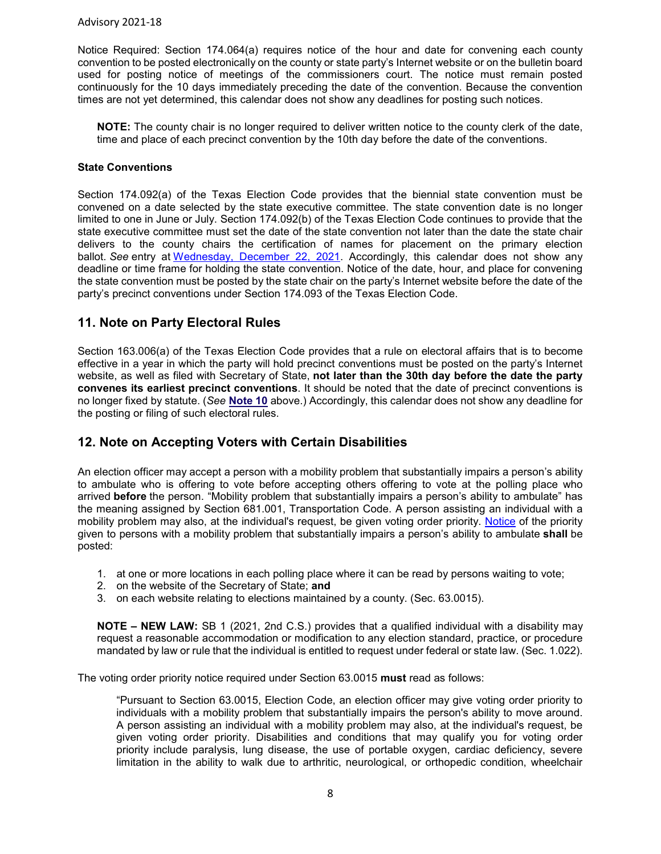Notice Required: Section 174.064(a) requires notice of the hour and date for convening each county convention to be posted electronically on the county or state party's Internet website or on the bulletin board used for posting notice of meetings of the commissioners court. The notice must remain posted continuously for the 10 days immediately preceding the date of the convention. Because the convention times are not yet determined, this calendar does not show any deadlines for posting such notices.

**NOTE:** The county chair is no longer required to deliver written notice to the county clerk of the date, time and place of each precinct convention by the 10th day before the date of the conventions.

#### **State Conventions**

Section 174.092(a) of the Texas Election Code provides that the biennial state convention must be convened on a date selected by the state executive committee. The state convention date is no longer limited to one in June or July. Section 174.092(b) of the Texas Election Code continues to provide that the state executive committee must set the date of the state convention not later than the date the state chair delivers to the county chairs the certification of names for placement on the primary election ballot. *See* entry at [Wednesday, December 22, 2021](#page-14-0). Accordingly, this calendar does not show any deadline or time frame for holding the state convention. Notice of the date, hour, and place for convening the state convention must be posted by the state chair on the party's Internet website before the date of the party's precinct conventions under Section 174.093 of the Texas Election Code.

## <span id="page-7-0"></span>**11. Note on Party Electoral Rules**

Section 163.006(a) of the Texas Election Code provides that a rule on electoral affairs that is to become effective in a year in which the party will hold precinct conventions must be posted on the party's Internet website, as well as filed with Secretary of State, **not later than the 30th day before the date the party convenes its earliest precinct conventions**. It should be noted that the date of precinct conventions is no longer fixed by statute. (*See* **[Note 10](#page-6-0)** above.) Accordingly, this calendar does not show any deadline for the posting or filing of such electoral rules.

## <span id="page-7-1"></span>**12. Note on Accepting Voters with Certain Disabilities**

An election officer may accept a person with a mobility problem that substantially impairs a person's ability to ambulate who is offering to vote before accepting others offering to vote at the polling place who arrived **before** the person. "Mobility problem that substantially impairs a person's ability to ambulate" has the meaning assigned by Section 681.001, Transportation Code. A person assisting an individual with a mobility problem may also, at the individual's request, be given voting order priority. [Notice](https://www.sos.state.tx.us/elections/forms/pol-sub/7-7bf.pdf) of the priority given to persons with a mobility problem that substantially impairs a person's ability to ambulate **shall** be posted:

- 1. at one or more locations in each polling place where it can be read by persons waiting to vote;
- 2. on the website of the Secretary of State; **and**
- 3. on each website relating to elections maintained by a county. (Sec. 63.0015).

**NOTE – NEW LAW:** SB 1 (2021, 2nd C.S.) provides that a qualified individual with a disability may request a reasonable accommodation or modification to any election standard, practice, or procedure mandated by law or rule that the individual is entitled to request under federal or state law. (Sec. 1.022).

The voting order priority notice required under Section 63.0015 **must** read as follows:

 "Pursuant to Section 63.0015, Election Code, an election officer may give voting order priority to individuals with a mobility problem that substantially impairs the person's ability to move around. A person assisting an individual with a mobility problem may also, at the individual's request, be given voting order priority. Disabilities and conditions that may qualify you for voting order priority include paralysis, lung disease, the use of portable oxygen, cardiac deficiency, severe limitation in the ability to walk due to arthritic, neurological, or orthopedic condition, wheelchair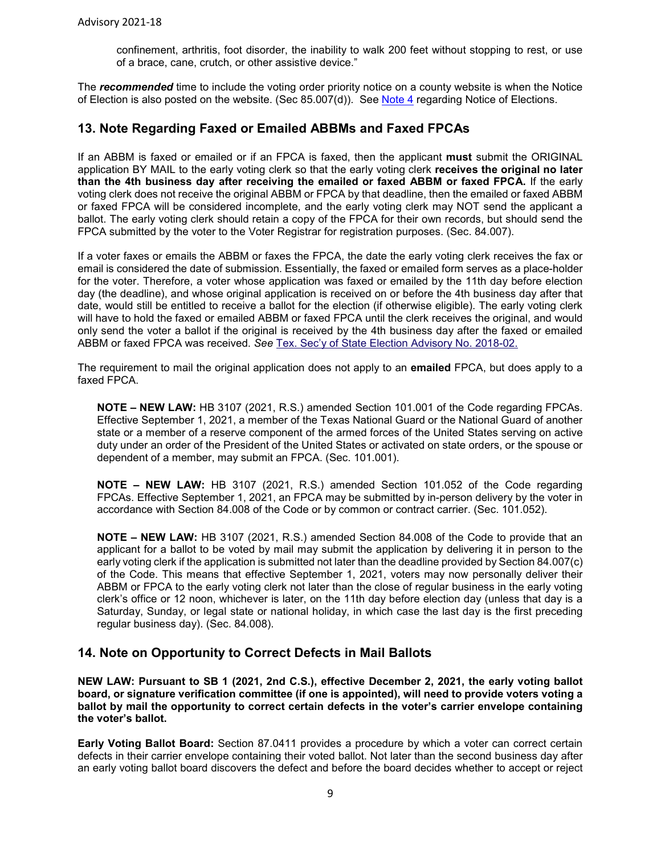confinement, arthritis, foot disorder, the inability to walk 200 feet without stopping to rest, or use of a brace, cane, crutch, or other assistive device."

The *recommended* time to include the voting order priority notice on a county website is when the Notice of Election is also posted on the website. (Sec 85.007(d)). See [Note](#page-1-1) 4 regarding Notice of Elections.

## <span id="page-8-0"></span>**13. Note Regarding Faxed or Emailed ABBMs and Faxed FPCAs**

If an ABBM is faxed or emailed or if an FPCA is faxed, then the applicant **must** submit the ORIGINAL application BY MAIL to the early voting clerk so that the early voting clerk **receives the original no later than the 4th business day after receiving the emailed or faxed ABBM or faxed FPCA.** If the early voting clerk does not receive the original ABBM or FPCA by that deadline, then the emailed or faxed ABBM or faxed FPCA will be considered incomplete, and the early voting clerk may NOT send the applicant a ballot. The early voting clerk should retain a copy of the FPCA for their own records, but should send the FPCA submitted by the voter to the Voter Registrar for registration purposes. (Sec. 84.007).

If a voter faxes or emails the ABBM or faxes the FPCA, the date the early voting clerk receives the fax or email is considered the date of submission. Essentially, the faxed or emailed form serves as a place-holder for the voter. Therefore, a voter whose application was faxed or emailed by the 11th day before election day (the deadline), and whose original application is received on or before the 4th business day after that date, would still be entitled to receive a ballot for the election (if otherwise eligible). The early voting clerk will have to hold the faxed or emailed ABBM or faxed FPCA until the clerk receives the original, and would only send the voter a ballot if the original is received by the 4th business day after the faxed or emailed ABBM or faxed FPCA was received. *See* [Tex. Sec'y of State Election Advisory No. 2018-02.](https://www.sos.texas.gov/elections/laws/advisory2018-02.shtml)

The requirement to mail the original application does not apply to an **emailed** FPCA, but does apply to a faxed FPCA.

**NOTE – NEW LAW:** HB 3107 (2021, R.S.) amended Section 101.001 of the Code regarding FPCAs. Effective September 1, 2021, a member of the Texas National Guard or the National Guard of another state or a member of a reserve component of the armed forces of the United States serving on active duty under an order of the President of the United States or activated on state orders, or the spouse or dependent of a member, may submit an FPCA. (Sec. 101.001).

**NOTE – NEW LAW:** HB 3107 (2021, R.S.) amended Section 101.052 of the Code regarding FPCAs. Effective September 1, 2021, an FPCA may be submitted by in-person delivery by the voter in accordance with Section 84.008 of the Code or by common or contract carrier. (Sec. 101.052).

**NOTE – NEW LAW:** HB 3107 (2021, R.S.) amended Section 84.008 of the Code to provide that an applicant for a ballot to be voted by mail may submit the application by delivering it in person to the early voting clerk if the application is submitted not later than the deadline provided by Section 84.007(c) of the Code. This means that effective September 1, 2021, voters may now personally deliver their ABBM or FPCA to the early voting clerk not later than the close of regular business in the early voting clerk's office or 12 noon, whichever is later, on the 11th day before election day (unless that day is a Saturday, Sunday, or legal state or national holiday, in which case the last day is the first preceding regular business day). (Sec. 84.008).

## <span id="page-8-1"></span>**14. Note on Opportunity to Correct Defects in Mail Ballots**

**NEW LAW: Pursuant to SB 1 (2021, 2nd C.S.), effective December 2, 2021, the early voting ballot board, or signature verification committee (if one is appointed), will need to provide voters voting a ballot by mail the opportunity to correct certain defects in the voter's carrier envelope containing the voter's ballot.** 

**Early Voting Ballot Board:** Section 87.0411 provides a procedure by which a voter can correct certain defects in their carrier envelope containing their voted ballot. Not later than the second business day after an early voting ballot board discovers the defect and before the board decides whether to accept or reject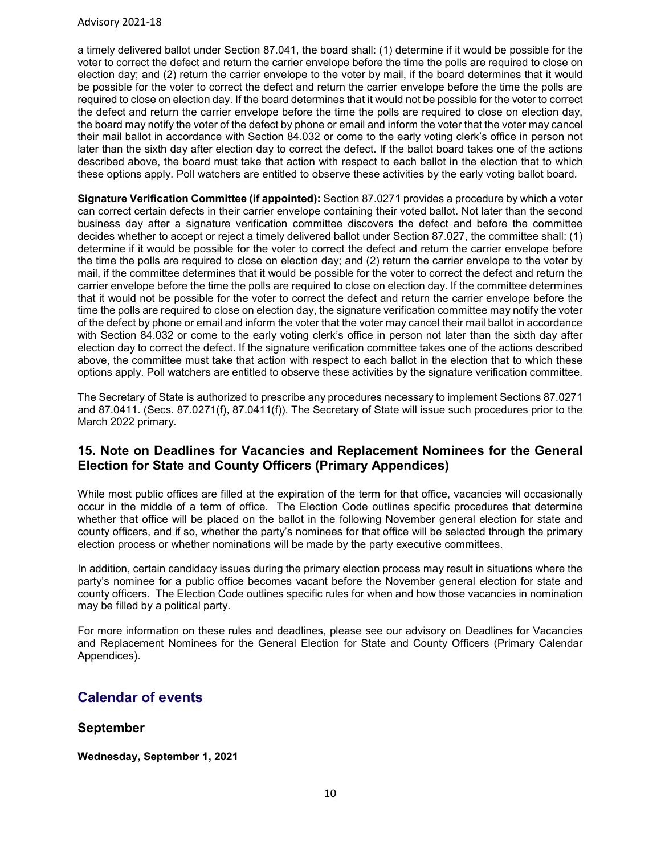a timely delivered ballot under Section 87.041, the board shall: (1) determine if it would be possible for the voter to correct the defect and return the carrier envelope before the time the polls are required to close on election day; and (2) return the carrier envelope to the voter by mail, if the board determines that it would be possible for the voter to correct the defect and return the carrier envelope before the time the polls are required to close on election day. If the board determines that it would not be possible for the voter to correct the defect and return the carrier envelope before the time the polls are required to close on election day, the board may notify the voter of the defect by phone or email and inform the voter that the voter may cancel their mail ballot in accordance with Section 84.032 or come to the early voting clerk's office in person not later than the sixth day after election day to correct the defect. If the ballot board takes one of the actions described above, the board must take that action with respect to each ballot in the election that to which these options apply. Poll watchers are entitled to observe these activities by the early voting ballot board.

**Signature Verification Committee (if appointed):** Section 87.0271 provides a procedure by which a voter can correct certain defects in their carrier envelope containing their voted ballot. Not later than the second business day after a signature verification committee discovers the defect and before the committee decides whether to accept or reject a timely delivered ballot under Section 87.027, the committee shall: (1) determine if it would be possible for the voter to correct the defect and return the carrier envelope before the time the polls are required to close on election day; and (2) return the carrier envelope to the voter by mail, if the committee determines that it would be possible for the voter to correct the defect and return the carrier envelope before the time the polls are required to close on election day. If the committee determines that it would not be possible for the voter to correct the defect and return the carrier envelope before the time the polls are required to close on election day, the signature verification committee may notify the voter of the defect by phone or email and inform the voter that the voter may cancel their mail ballot in accordance with Section 84.032 or come to the early voting clerk's office in person not later than the sixth day after election day to correct the defect. If the signature verification committee takes one of the actions described above, the committee must take that action with respect to each ballot in the election that to which these options apply. Poll watchers are entitled to observe these activities by the signature verification committee.

The Secretary of State is authorized to prescribe any procedures necessary to implement Sections 87.0271 and 87.0411. (Secs. 87.0271(f), 87.0411(f)). The Secretary of State will issue such procedures prior to the March 2022 primary.

## <span id="page-9-0"></span>**15. Note on Deadlines for Vacancies and Replacement Nominees for the General Election for State and County Officers (Primary Appendices)**

While most public offices are filled at the expiration of the term for that office, vacancies will occasionally occur in the middle of a term of office. The Election Code outlines specific procedures that determine whether that office will be placed on the ballot in the following November general election for state and county officers, and if so, whether the party's nominees for that office will be selected through the primary election process or whether nominations will be made by the party executive committees.

In addition, certain candidacy issues during the primary election process may result in situations where the party's nominee for a public office becomes vacant before the November general election for state and county officers. The Election Code outlines specific rules for when and how those vacancies in nomination may be filled by a political party.

For more information on these rules and deadlines, please see our advisory on Deadlines for Vacancies and Replacement Nominees for the General Election for State and County Officers (Primary Calendar Appendices).

## **Calendar of events**

## **September**

**Wednesday, September 1, 2021**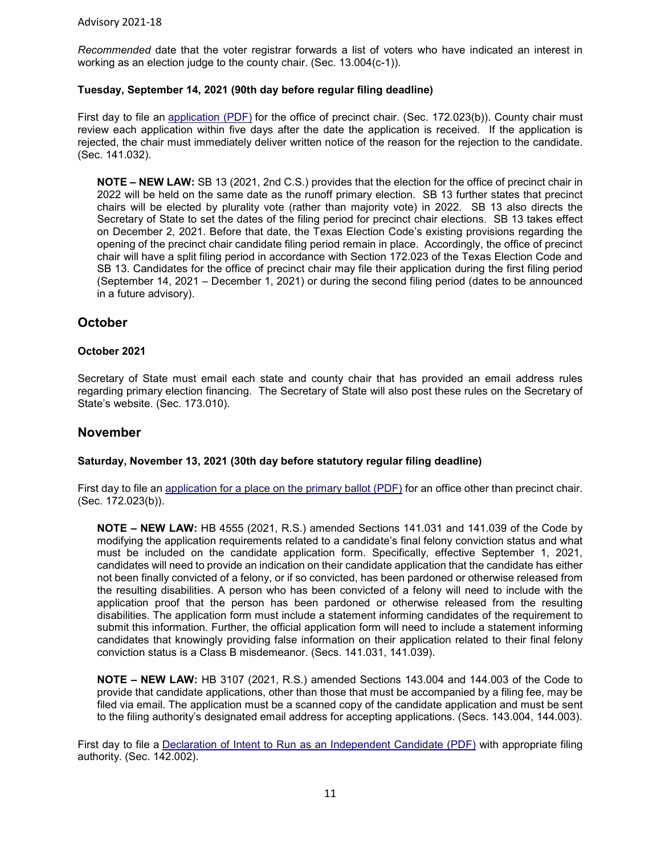*Recommended* date that the voter registrar forwards a list of voters who have indicated an interest in working as an election judge to the county chair. (Sec. 13.004(c-1)).

#### **Tuesday, September 14, 2021 (90th day before regular filing deadline)**

First day to file an [application \(PDF\)](https://www.sos.texas.gov/elections/forms/pol-sub/2-1f.pdf) for the office of precinct chair. (Sec. 172.023(b)). County chair must review each application within five days after the date the application is received. If the application is rejected, the chair must immediately deliver written notice of the reason for the rejection to the candidate. (Sec. 141.032).

**NOTE – NEW LAW:** SB 13 (2021, 2nd C.S.) provides that the election for the office of precinct chair in 2022 will be held on the same date as the runoff primary election. SB 13 further states that precinct chairs will be elected by plurality vote (rather than majority vote) in 2022. SB 13 also directs the Secretary of State to set the dates of the filing period for precinct chair elections. SB 13 takes effect on December 2, 2021. Before that date, the Texas Election Code's existing provisions regarding the opening of the precinct chair candidate filing period remain in place. Accordingly, the office of precinct chair will have a split filing period in accordance with Section 172.023 of the Texas Election Code and SB 13. Candidates for the office of precinct chair may file their application during the first filing period (September 14, 2021 – December 1, 2021) or during the second filing period (dates to be announced in a future advisory).

## **October**

#### **October 2021**

Secretary of State must email each state and county chair that has provided an email address rules regarding primary election financing. The Secretary of State will also post these rules on the Secretary of State's website. (Sec. 173.010).

#### **November**

#### **Saturday, November 13, 2021 (30th day before statutory regular filing deadline)**

First day to file an [application for a place on the primary ballot \(PDF\)](https://www.sos.texas.gov/elections/forms/pol-sub/2-2f.pdf) for an office other than precinct chair. (Sec. 172.023(b)).

**NOTE – NEW LAW:** HB 4555 (2021, R.S.) amended Sections 141.031 and 141.039 of the Code by modifying the application requirements related to a candidate's final felony conviction status and what must be included on the candidate application form. Specifically, effective September 1, 2021, candidates will need to provide an indication on their candidate application that the candidate has either not been finally convicted of a felony, or if so convicted, has been pardoned or otherwise released from the resulting disabilities. A person who has been convicted of a felony will need to include with the application proof that the person has been pardoned or otherwise released from the resulting disabilities. The application form must include a statement informing candidates of the requirement to submit this information. Further, the official application form will need to include a statement informing candidates that knowingly providing false information on their application related to their final felony conviction status is a Class B misdemeanor. (Secs. 141.031, 141.039).

**NOTE – NEW LAW:** HB 3107 (2021, R.S.) amended Sections 143.004 and 144.003 of the Code to provide that candidate applications, other than those that must be accompanied by a filing fee, may be filed via email. The application must be a scanned copy of the candidate application and must be sent to the filing authority's designated email address for accepting applications. (Secs. 143.004, 144.003).

First day to file a [Declaration of Intent to Run as an Independent Candidate \(PDF\)](https://www.sos.texas.gov/elections/forms/pol-sub/2-5f.pdf) with appropriate filing authority. (Sec. 142.002).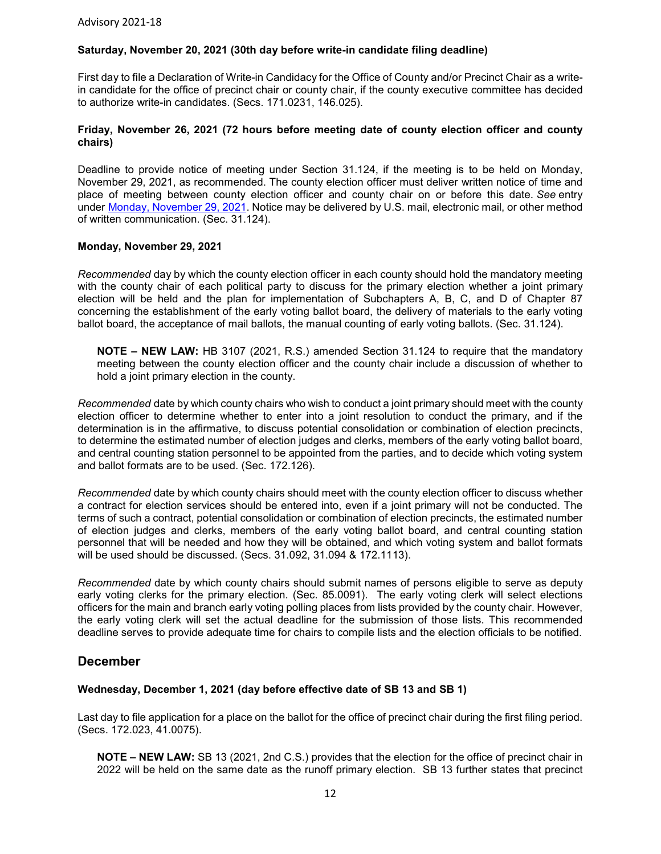#### **Saturday, November 20, 2021 (30th day before write-in candidate filing deadline)**

First day to file a Declaration of Write-in Candidacy for the Office of County and/or Precinct Chair as a writein candidate for the office of precinct chair or county chair, if the county executive committee has decided to authorize write-in candidates. (Secs. 171.0231, 146.025).

#### **Friday, November 26, 2021 (72 hours before meeting date of county election officer and county chairs)**

Deadline to provide notice of meeting under Section 31.124, if the meeting is to be held on Monday, November 29, 2021, as recommended. The county election officer must deliver written notice of time and place of meeting between county election officer and county chair on or before this date. *See* entry under [Monday, November 29, 2021.](#page-11-0) Notice may be delivered by U.S. mail, electronic mail, or other method of written communication. (Sec. 31.124).

#### <span id="page-11-0"></span>**Monday, November 29, 2021**

*Recommended* day by which the county election officer in each county should hold the mandatory meeting with the county chair of each political party to discuss for the primary election whether a joint primary election will be held and the plan for implementation of Subchapters A, B, C, and D of Chapter 87 concerning the establishment of the early voting ballot board, the delivery of materials to the early voting ballot board, the acceptance of mail ballots, the manual counting of early voting ballots. (Sec. 31.124).

**NOTE – NEW LAW:** HB 3107 (2021, R.S.) amended Section 31.124 to require that the mandatory meeting between the county election officer and the county chair include a discussion of whether to hold a joint primary election in the county.

*Recommended* date by which county chairs who wish to conduct a joint primary should meet with the county election officer to determine whether to enter into a joint resolution to conduct the primary, and if the determination is in the affirmative, to discuss potential consolidation or combination of election precincts, to determine the estimated number of election judges and clerks, members of the early voting ballot board, and central counting station personnel to be appointed from the parties, and to decide which voting system and ballot formats are to be used. (Sec. 172.126).

*Recommended* date by which county chairs should meet with the county election officer to discuss whether a contract for election services should be entered into, even if a joint primary will not be conducted. The terms of such a contract, potential consolidation or combination of election precincts, the estimated number of election judges and clerks, members of the early voting ballot board, and central counting station personnel that will be needed and how they will be obtained, and which voting system and ballot formats will be used should be discussed. (Secs. 31.092, 31.094 & 172.1113).

*Recommended* date by which county chairs should submit names of persons eligible to serve as deputy early voting clerks for the primary election. (Sec. 85.0091). The early voting clerk will select elections officers for the main and branch early voting polling places from lists provided by the county chair. However, the early voting clerk will set the actual deadline for the submission of those lists. This recommended deadline serves to provide adequate time for chairs to compile lists and the election officials to be notified.

## **December**

#### **Wednesday, December 1, 2021 (day before effective date of SB 13 and SB 1)**

Last day to file application for a place on the ballot for the office of precinct chair during the first filing period. (Secs. 172.023, 41.0075).

**NOTE – NEW LAW:** SB 13 (2021, 2nd C.S.) provides that the election for the office of precinct chair in 2022 will be held on the same date as the runoff primary election. SB 13 further states that precinct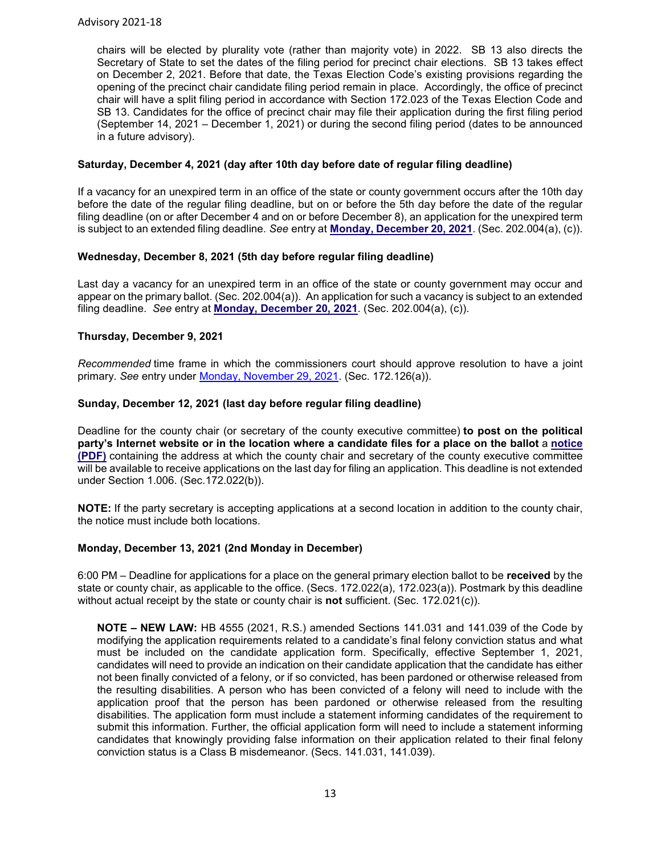chairs will be elected by plurality vote (rather than majority vote) in 2022. SB 13 also directs the Secretary of State to set the dates of the filing period for precinct chair elections. SB 13 takes effect on December 2, 2021. Before that date, the Texas Election Code's existing provisions regarding the opening of the precinct chair candidate filing period remain in place. Accordingly, the office of precinct chair will have a split filing period in accordance with Section 172.023 of the Texas Election Code and SB 13. Candidates for the office of precinct chair may file their application during the first filing period (September 14, 2021 – December 1, 2021) or during the second filing period (dates to be announced in a future advisory).

#### **Saturday, December 4, 2021 (day after 10th day before date of regular filing deadline)**

If a vacancy for an unexpired term in an office of the state or county government occurs after the 10th day before the date of the regular filing deadline, but on or before the 5th day before the date of the regular filing deadline (on or after December 4 and on or before December 8), an application for the unexpired term is subject to an extended filing deadline. *See* entry at **[Monday, December 20, 2021](#page-13-0)**. (Sec. 202.004(a), (c)).

#### **Wednesday, December 8, 2021 (5th day before regular filing deadline)**

Last day a vacancy for an unexpired term in an office of the state or county government may occur and appear on the primary ballot. (Sec. 202.004(a)). An application for such a vacancy is subject to an extended filing deadline. *See* entry at **[Monday, December 20, 2021](#page-13-0)**. (Sec. 202.004(a), (c)).

#### **Thursday, December 9, 2021**

*Recommended* time frame in which the commissioners court should approve resolution to have a joint primary. *See* entry under [Monday, November 29, 2021.](#page-11-0) (Sec. 172.126(a)).

#### **Sunday, December 12, 2021 (last day before regular filing deadline)**

Deadline for the county chair (or secretary of the county executive committee) **to post on the political party's Internet website or in the location where a candidate files for a place on the ballot** a **[notice](https://www.sos.texas.gov/elections/forms/pol-sub/c2w.pdf)  [\(PDF\)](https://www.sos.texas.gov/elections/forms/pol-sub/c2w.pdf)** containing the address at which the county chair and secretary of the county executive committee will be available to receive applications on the last day for filing an application. This deadline is not extended under Section 1.006. (Sec.172.022(b)).

**NOTE:** If the party secretary is accepting applications at a second location in addition to the county chair, the notice must include both locations.

#### **Monday, December 13, 2021 (2nd Monday in December)**

6:00 PM – Deadline for applications for a place on the general primary election ballot to be **received** by the state or county chair, as applicable to the office. (Secs. 172.022(a), 172.023(a)). Postmark by this deadline without actual receipt by the state or county chair is **not** sufficient. (Sec. 172.021(c)).

**NOTE – NEW LAW:** HB 4555 (2021, R.S.) amended Sections 141.031 and 141.039 of the Code by modifying the application requirements related to a candidate's final felony conviction status and what must be included on the candidate application form. Specifically, effective September 1, 2021, candidates will need to provide an indication on their candidate application that the candidate has either not been finally convicted of a felony, or if so convicted, has been pardoned or otherwise released from the resulting disabilities. A person who has been convicted of a felony will need to include with the application proof that the person has been pardoned or otherwise released from the resulting disabilities. The application form must include a statement informing candidates of the requirement to submit this information. Further, the official application form will need to include a statement informing candidates that knowingly providing false information on their application related to their final felony conviction status is a Class B misdemeanor. (Secs. 141.031, 141.039).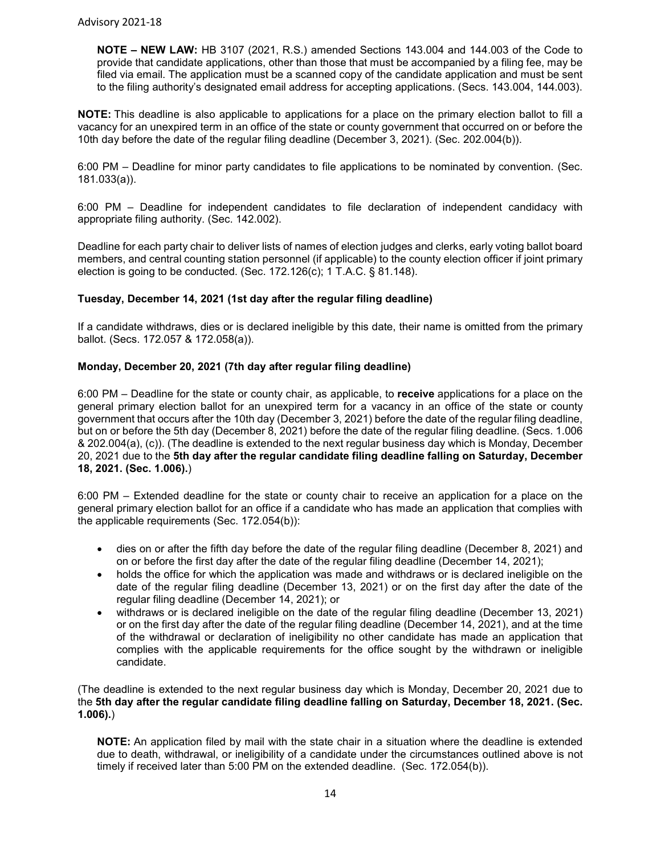**NOTE – NEW LAW:** HB 3107 (2021, R.S.) amended Sections 143.004 and 144.003 of the Code to provide that candidate applications, other than those that must be accompanied by a filing fee, may be filed via email. The application must be a scanned copy of the candidate application and must be sent to the filing authority's designated email address for accepting applications. (Secs. 143.004, 144.003).

**NOTE:** This deadline is also applicable to applications for a place on the primary election ballot to fill a vacancy for an unexpired term in an office of the state or county government that occurred on or before the 10th day before the date of the regular filing deadline (December 3, 2021). (Sec. 202.004(b)).

6:00 PM – Deadline for minor party candidates to file applications to be nominated by convention. (Sec. 181.033(a)).

6:00 PM – Deadline for independent candidates to file declaration of independent candidacy with appropriate filing authority. (Sec. 142.002).

Deadline for each party chair to deliver lists of names of election judges and clerks, early voting ballot board members, and central counting station personnel (if applicable) to the county election officer if joint primary election is going to be conducted. (Sec. 172.126(c); 1 T.A.C. § 81.148).

#### **Tuesday, December 14, 2021 (1st day after the regular filing deadline)**

If a candidate withdraws, dies or is declared ineligible by this date, their name is omitted from the primary ballot. (Secs. 172.057 & 172.058(a)).

#### <span id="page-13-0"></span>**Monday, December 20, 2021 (7th day after regular filing deadline)**

6:00 PM – Deadline for the state or county chair, as applicable, to **receive** applications for a place on the general primary election ballot for an unexpired term for a vacancy in an office of the state or county government that occurs after the 10th day (December 3, 2021) before the date of the regular filing deadline, but on or before the 5th day (December 8, 2021) before the date of the regular filing deadline. (Secs. 1.006 & 202.004(a), (c)). (The deadline is extended to the next regular business day which is Monday, December 20, 2021 due to the **5th day after the regular candidate filing deadline falling on Saturday, December 18, 2021. (Sec. 1.006).**)

6:00 PM – Extended deadline for the state or county chair to receive an application for a place on the general primary election ballot for an office if a candidate who has made an application that complies with the applicable requirements (Sec. 172.054(b)):

- dies on or after the fifth day before the date of the regular filing deadline (December 8, 2021) and on or before the first day after the date of the regular filing deadline (December 14, 2021);
- holds the office for which the application was made and withdraws or is declared ineligible on the date of the regular filing deadline (December 13, 2021) or on the first day after the date of the regular filing deadline (December 14, 2021); or
- withdraws or is declared ineligible on the date of the regular filing deadline (December 13, 2021) or on the first day after the date of the regular filing deadline (December 14, 2021), and at the time of the withdrawal or declaration of ineligibility no other candidate has made an application that complies with the applicable requirements for the office sought by the withdrawn or ineligible candidate.

(The deadline is extended to the next regular business day which is Monday, December 20, 2021 due to the **5th day after the regular candidate filing deadline falling on Saturday, December 18, 2021. (Sec. 1.006).**)

**NOTE:** An application filed by mail with the state chair in a situation where the deadline is extended due to death, withdrawal, or ineligibility of a candidate under the circumstances outlined above is not timely if received later than 5:00 PM on the extended deadline. (Sec. 172.054(b)).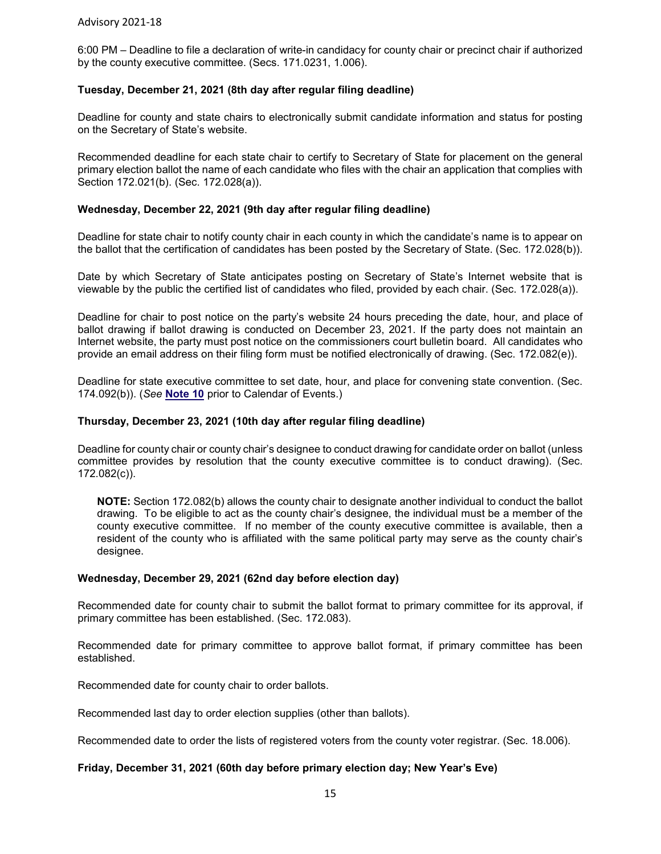6:00 PM – Deadline to file a declaration of write-in candidacy for county chair or precinct chair if authorized by the county executive committee. (Secs. 171.0231, 1.006).

#### **Tuesday, December 21, 2021 (8th day after regular filing deadline)**

Deadline for county and state chairs to electronically submit candidate information and status for posting on the Secretary of State's website.

Recommended deadline for each state chair to certify to Secretary of State for placement on the general primary election ballot the name of each candidate who files with the chair an application that complies with Section 172.021(b). (Sec. 172.028(a)).

#### <span id="page-14-0"></span>**Wednesday, December 22, 2021 (9th day after regular filing deadline)**

Deadline for state chair to notify county chair in each county in which the candidate's name is to appear on the ballot that the certification of candidates has been posted by the Secretary of State. (Sec. 172.028(b)).

Date by which Secretary of State anticipates posting on Secretary of State's Internet website that is viewable by the public the certified list of candidates who filed, provided by each chair. (Sec. 172.028(a)).

Deadline for chair to post notice on the party's website 24 hours preceding the date, hour, and place of ballot drawing if ballot drawing is conducted on December 23, 2021. If the party does not maintain an Internet website, the party must post notice on the commissioners court bulletin board. All candidates who provide an email address on their filing form must be notified electronically of drawing. (Sec. 172.082(e)).

Deadline for state executive committee to set date, hour, and place for convening state convention. (Sec. 174.092(b)). (*See* **[Note 1](#page-6-0)0** prior to Calendar of Events.)

#### **Thursday, December 23, 2021 (10th day after regular filing deadline)**

Deadline for county chair or county chair's designee to conduct drawing for candidate order on ballot (unless committee provides by resolution that the county executive committee is to conduct drawing). (Sec. 172.082(c)).

**NOTE:** Section 172.082(b) allows the county chair to designate another individual to conduct the ballot drawing. To be eligible to act as the county chair's designee, the individual must be a member of the county executive committee. If no member of the county executive committee is available, then a resident of the county who is affiliated with the same political party may serve as the county chair's designee.

#### **Wednesday, December 29, 2021 (62nd day before election day)**

Recommended date for county chair to submit the ballot format to primary committee for its approval, if primary committee has been established. (Sec. 172.083).

Recommended date for primary committee to approve ballot format, if primary committee has been established.

Recommended date for county chair to order ballots.

Recommended last day to order election supplies (other than ballots).

Recommended date to order the lists of registered voters from the county voter registrar. (Sec. 18.006).

#### **Friday, December 31, 2021 (60th day before primary election day; New Year's Eve)**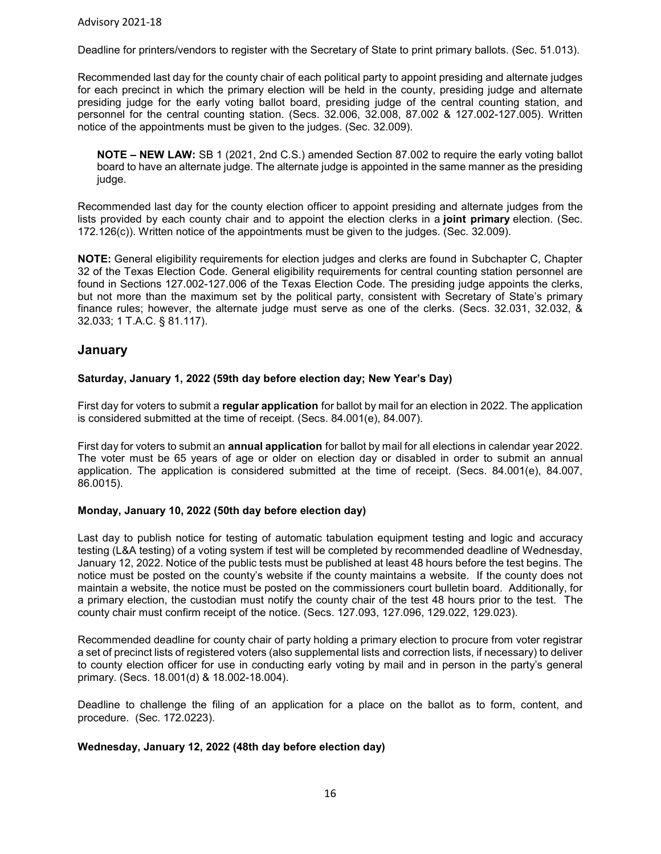Deadline for printers/vendors to register with the Secretary of State to print primary ballots. (Sec. 51.013).

Recommended last day for the county chair of each political party to appoint presiding and alternate judges for each precinct in which the primary election will be held in the county, presiding judge and alternate presiding judge for the early voting ballot board, presiding judge of the central counting station, and personnel for the central counting station. (Secs. 32.006, 32.008, 87.002 & 127.002-127.005). Written notice of the appointments must be given to the judges. (Sec. 32.009).

**NOTE – NEW LAW:** SB 1 (2021, 2nd C.S.) amended Section 87.002 to require the early voting ballot board to have an alternate judge. The alternate judge is appointed in the same manner as the presiding judge.

Recommended last day for the county election officer to appoint presiding and alternate judges from the lists provided by each county chair and to appoint the election clerks in a **joint primary** election. (Sec. 172.126(c)). Written notice of the appointments must be given to the judges. (Sec. 32.009).

**NOTE:** General eligibility requirements for election judges and clerks are found in Subchapter C, Chapter 32 of the Texas Election Code. General eligibility requirements for central counting station personnel are found in Sections 127.002-127.006 of the Texas Election Code. The presiding judge appoints the clerks, but not more than the maximum set by the political party, consistent with Secretary of State's primary finance rules; however, the alternate judge must serve as one of the clerks. (Secs. 32.031, 32.032, & 32.033; 1 T.A.C. § 81.117).

## **January**

#### **Saturday, January 1, 2022 (59th day before election day; New Year's Day)**

First day for voters to submit a **regular application** for ballot by mail for an election in 2022. The application is considered submitted at the time of receipt. (Secs. 84.001(e), 84.007).

First day for voters to submit an **annual application** for ballot by mail for all elections in calendar year 2022. The voter must be 65 years of age or older on election day or disabled in order to submit an annual application. The application is considered submitted at the time of receipt. (Secs. 84.001(e), 84.007, 86.0015).

#### **Monday, January 10, 2022 (50th day before election day)**

Last day to publish notice for testing of automatic tabulation equipment testing and logic and accuracy testing (L&A testing) of a voting system if test will be completed by recommended deadline of Wednesday, January 12, 2022. Notice of the public tests must be published at least 48 hours before the test begins. The notice must be posted on the county's website if the county maintains a website. If the county does not maintain a website, the notice must be posted on the commissioners court bulletin board. Additionally, for a primary election, the custodian must notify the county chair of the test 48 hours prior to the test. The county chair must confirm receipt of the notice. (Secs. 127.093, 127.096, 129.022, 129.023).

Recommended deadline for county chair of party holding a primary election to procure from voter registrar a set of precinct lists of registered voters (also supplemental lists and correction lists, if necessary) to deliver to county election officer for use in conducting early voting by mail and in person in the party's general primary. (Secs. 18.001(d) & 18.002-18.004).

Deadline to challenge the filing of an application for a place on the ballot as to form, content, and procedure. (Sec. 172.0223).

#### **Wednesday, January 12, 2022 (48th day before election day)**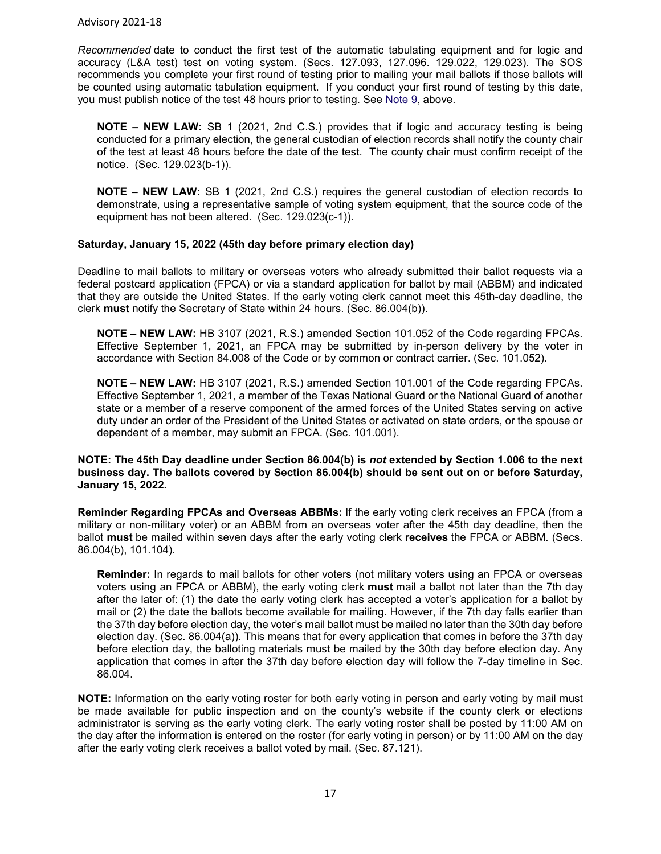*Recommended* date to conduct the first test of the automatic tabulating equipment and for logic and accuracy (L&A test) test on voting system. (Secs. 127.093, 127.096. 129.022, 129.023). The SOS recommends you complete your first round of testing prior to mailing your mail ballots if those ballots will be counted using automatic tabulation equipment. If you conduct your first round of testing by this date, you must publish notice of the test 48 hours prior to testing. See [Note 9](#page-5-0), above.

**NOTE – NEW LAW:** SB 1 (2021, 2nd C.S.) provides that if logic and accuracy testing is being conducted for a primary election, the general custodian of election records shall notify the county chair of the test at least 48 hours before the date of the test. The county chair must confirm receipt of the notice. (Sec. 129.023(b-1)).

**NOTE – NEW LAW:** SB 1 (2021, 2nd C.S.) requires the general custodian of election records to demonstrate, using a representative sample of voting system equipment, that the source code of the equipment has not been altered. (Sec. 129.023(c-1)).

#### **Saturday, January 15, 2022 (45th day before primary election day)**

Deadline to mail ballots to military or overseas voters who already submitted their ballot requests via a federal postcard application (FPCA) or via a standard application for ballot by mail (ABBM) and indicated that they are outside the United States. If the early voting clerk cannot meet this 45th-day deadline, the clerk **must** notify the Secretary of State within 24 hours. (Sec. 86.004(b)).

**NOTE – NEW LAW:** HB 3107 (2021, R.S.) amended Section 101.052 of the Code regarding FPCAs. Effective September 1, 2021, an FPCA may be submitted by in-person delivery by the voter in accordance with Section 84.008 of the Code or by common or contract carrier. (Sec. 101.052).

**NOTE – NEW LAW:** HB 3107 (2021, R.S.) amended Section 101.001 of the Code regarding FPCAs. Effective September 1, 2021, a member of the Texas National Guard or the National Guard of another state or a member of a reserve component of the armed forces of the United States serving on active duty under an order of the President of the United States or activated on state orders, or the spouse or dependent of a member, may submit an FPCA. (Sec. 101.001).

#### **NOTE: The 45th Day deadline under Section 86.004(b) is** *not* **extended by Section 1.006 to the next business day. The ballots covered by Section 86.004(b) should be sent out on or before Saturday, January 15, 2022.**

**Reminder Regarding FPCAs and Overseas ABBMs:** If the early voting clerk receives an FPCA (from a military or non-military voter) or an ABBM from an overseas voter after the 45th day deadline, then the ballot **must** be mailed within seven days after the early voting clerk **receives** the FPCA or ABBM. (Secs. 86.004(b), 101.104).

**Reminder:** In regards to mail ballots for other voters (not military voters using an FPCA or overseas voters using an FPCA or ABBM), the early voting clerk **must** mail a ballot not later than the 7th day after the later of: (1) the date the early voting clerk has accepted a voter's application for a ballot by mail or (2) the date the ballots become available for mailing. However, if the 7th day falls earlier than the 37th day before election day, the voter's mail ballot must be mailed no later than the 30th day before election day. (Sec. 86.004(a)). This means that for every application that comes in before the 37th day before election day, the balloting materials must be mailed by the 30th day before election day. Any application that comes in after the 37th day before election day will follow the 7-day timeline in Sec. 86.004.

**NOTE:** Information on the early voting roster for both early voting in person and early voting by mail must be made available for public inspection and on the county's website if the county clerk or elections administrator is serving as the early voting clerk. The early voting roster shall be posted by 11:00 AM on the day after the information is entered on the roster (for early voting in person) or by 11:00 AM on the day after the early voting clerk receives a ballot voted by mail. (Sec. 87.121).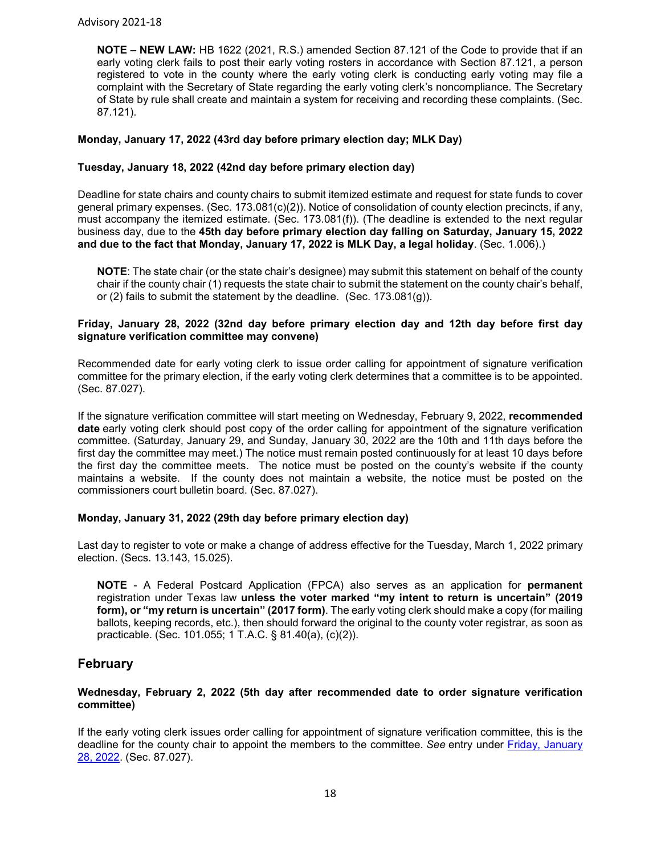**NOTE – NEW LAW:** HB 1622 (2021, R.S.) amended Section 87.121 of the Code to provide that if an early voting clerk fails to post their early voting rosters in accordance with Section 87.121, a person registered to vote in the county where the early voting clerk is conducting early voting may file a complaint with the Secretary of State regarding the early voting clerk's noncompliance. The Secretary of State by rule shall create and maintain a system for receiving and recording these complaints. (Sec. 87.121).

#### **Monday, January 17, 2022 (43rd day before primary election day; MLK Day)**

#### **Tuesday, January 18, 2022 (42nd day before primary election day)**

Deadline for state chairs and county chairs to submit itemized estimate and request for state funds to cover general primary expenses. (Sec. 173.081(c)(2)). Notice of consolidation of county election precincts, if any, must accompany the itemized estimate. (Sec. 173.081(f)). (The deadline is extended to the next regular business day, due to the **45th day before primary election day falling on Saturday, January 15, 2022 and due to the fact that Monday, January 17, 2022 is MLK Day, a legal holiday**. (Sec. 1.006).)

**NOTE**: The state chair (or the state chair's designee) may submit this statement on behalf of the county chair if the county chair (1) requests the state chair to submit the statement on the county chair's behalf, or  $(2)$  fails to submit the statement by the deadline. (Sec. 173.081 $(g)$ ).

#### <span id="page-17-0"></span>**Friday, January 28, 2022 (32nd day before primary election day and 12th day before first day signature verification committee may convene)**

Recommended date for early voting clerk to issue order calling for appointment of signature verification committee for the primary election, if the early voting clerk determines that a committee is to be appointed. (Sec. 87.027).

If the signature verification committee will start meeting on Wednesday, February 9, 2022, **recommended date** early voting clerk should post copy of the order calling for appointment of the signature verification committee. (Saturday, January 29, and Sunday, January 30, 2022 are the 10th and 11th days before the first day the committee may meet.) The notice must remain posted continuously for at least 10 days before the first day the committee meets. The notice must be posted on the county's website if the county maintains a website. If the county does not maintain a website, the notice must be posted on the commissioners court bulletin board. (Sec. 87.027).

#### **Monday, January 31, 2022 (29th day before primary election day)**

Last day to register to vote or make a change of address effective for the Tuesday, March 1, 2022 primary election. (Secs. 13.143, 15.025).

**NOTE** - A Federal Postcard Application (FPCA) also serves as an application for **permanent** registration under Texas law **unless the voter marked "my intent to return is uncertain" (2019 form), or "my return is uncertain" (2017 form)**. The early voting clerk should make a copy (for mailing ballots, keeping records, etc.), then should forward the original to the county voter registrar, as soon as practicable. (Sec. 101.055; 1 T.A.C. § 81.40(a), (c)(2)).

## **February**

#### **Wednesday, February 2, 2022 (5th day after recommended date to order signature verification committee)**

If the early voting clerk issues order calling for appointment of signature verification committee, this is the deadline for the county chair to appoint the members to the committee. *See* entry under [Friday, January](#page-17-0)  [28, 2022.](#page-17-0) (Sec. 87.027).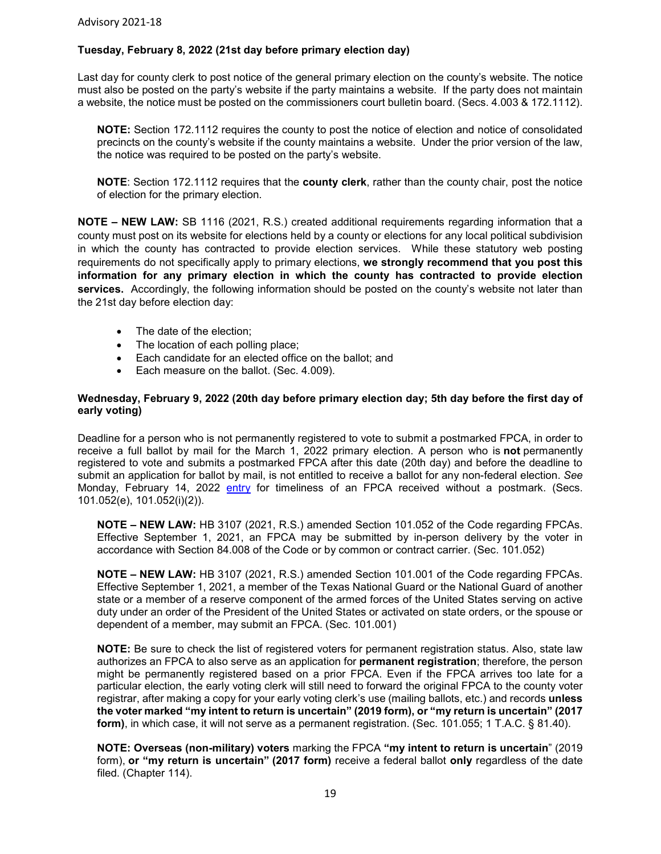#### **Tuesday, February 8, 2022 (21st day before primary election day)**

Last day for county clerk to post notice of the general primary election on the county's website. The notice must also be posted on the party's website if the party maintains a website. If the party does not maintain a website, the notice must be posted on the commissioners court bulletin board. (Secs. 4.003 & 172.1112).

**NOTE:** Section 172.1112 requires the county to post the notice of election and notice of consolidated precincts on the county's website if the county maintains a website. Under the prior version of the law, the notice was required to be posted on the party's website.

**NOTE**: Section 172.1112 requires that the **county clerk**, rather than the county chair, post the notice of election for the primary election.

**NOTE – NEW LAW:** SB 1116 (2021, R.S.) created additional requirements regarding information that a county must post on its website for elections held by a county or elections for any local political subdivision in which the county has contracted to provide election services. While these statutory web posting requirements do not specifically apply to primary elections, **we strongly recommend that you post this information for any primary election in which the county has contracted to provide election services.** Accordingly, the following information should be posted on the county's website not later than the 21st day before election day:

- The date of the election;
- The location of each polling place;
- Each candidate for an elected office on the ballot; and
- Each measure on the ballot. (Sec. 4.009).

#### <span id="page-18-0"></span>**Wednesday, February 9, 2022 (20th day before primary election day; 5th day before the first day of early voting)**

Deadline for a person who is not permanently registered to vote to submit a postmarked FPCA, in order to receive a full ballot by mail for the March 1, 2022 primary election. A person who is **not** permanently registered to vote and submits a postmarked FPCA after this date (20th day) and before the deadline to submit an application for ballot by mail, is not entitled to receive a ballot for any non-federal election. *See* Monday, February 14, 2022 [entry](#page-20-0) for timeliness of an FPCA received without a postmark. (Secs. 101.052(e), 101.052(i)(2)).

**NOTE – NEW LAW:** HB 3107 (2021, R.S.) amended Section 101.052 of the Code regarding FPCAs. Effective September 1, 2021, an FPCA may be submitted by in-person delivery by the voter in accordance with Section 84.008 of the Code or by common or contract carrier. (Sec. 101.052)

**NOTE – NEW LAW:** HB 3107 (2021, R.S.) amended Section 101.001 of the Code regarding FPCAs. Effective September 1, 2021, a member of the Texas National Guard or the National Guard of another state or a member of a reserve component of the armed forces of the United States serving on active duty under an order of the President of the United States or activated on state orders, or the spouse or dependent of a member, may submit an FPCA. (Sec. 101.001)

**NOTE:** Be sure to check the list of registered voters for permanent registration status. Also, state law authorizes an FPCA to also serve as an application for **permanent registration**; therefore, the person might be permanently registered based on a prior FPCA. Even if the FPCA arrives too late for a particular election, the early voting clerk will still need to forward the original FPCA to the county voter registrar, after making a copy for your early voting clerk's use (mailing ballots, etc.) and records **unless the voter marked "my intent to return is uncertain" (2019 form), or "my return is uncertain" (2017 form)**, in which case, it will not serve as a permanent registration. (Sec. 101.055; 1 T.A.C. § 81.40).

**NOTE: Overseas (non-military) voters** marking the FPCA **"my intent to return is uncertain**" (2019 form), **or "my return is uncertain" (2017 form)** receive a federal ballot **only** regardless of the date filed. (Chapter 114).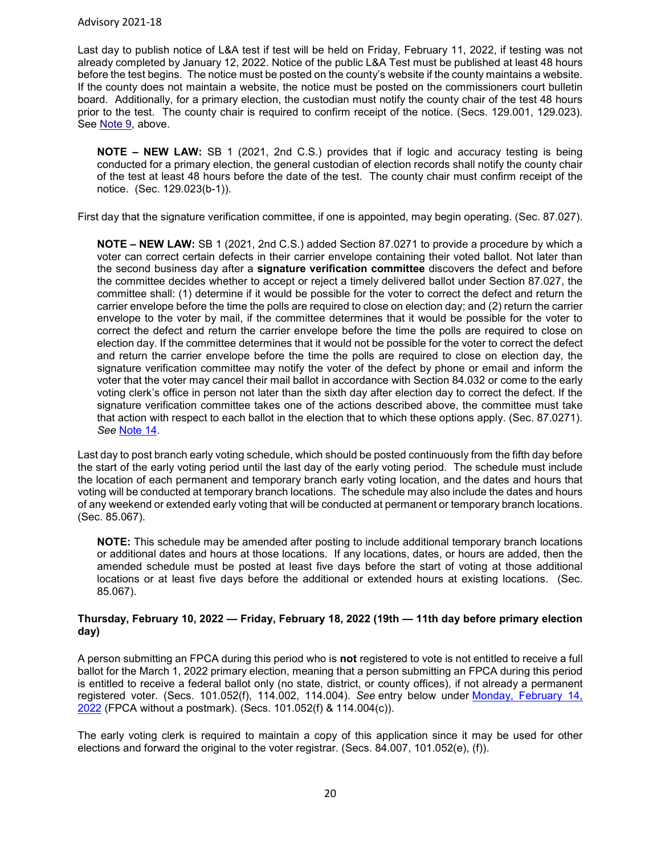Last day to publish notice of L&A test if test will be held on Friday, February 11, 2022, if testing was not already completed by January 12, 2022. Notice of the public L&A Test must be published at least 48 hours before the test begins. The notice must be posted on the county's website if the county maintains a website. If the county does not maintain a website, the notice must be posted on the commissioners court bulletin board. Additionally, for a primary election, the custodian must notify the county chair of the test 48 hours prior to the test. The county chair is required to confirm receipt of the notice. (Secs. 129.001, 129.023). See [Note 9,](#page-5-0) above.

**NOTE – NEW LAW:** SB 1 (2021, 2nd C.S.) provides that if logic and accuracy testing is being conducted for a primary election, the general custodian of election records shall notify the county chair of the test at least 48 hours before the date of the test. The county chair must confirm receipt of the notice. (Sec. 129.023(b-1)).

First day that the signature verification committee, if one is appointed, may begin operating. (Sec. 87.027).

**NOTE – NEW LAW:** SB 1 (2021, 2nd C.S.) added Section 87.0271 to provide a procedure by which a voter can correct certain defects in their carrier envelope containing their voted ballot. Not later than the second business day after a **signature verification committee** discovers the defect and before the committee decides whether to accept or reject a timely delivered ballot under Section 87.027, the committee shall: (1) determine if it would be possible for the voter to correct the defect and return the carrier envelope before the time the polls are required to close on election day; and (2) return the carrier envelope to the voter by mail, if the committee determines that it would be possible for the voter to correct the defect and return the carrier envelope before the time the polls are required to close on election day. If the committee determines that it would not be possible for the voter to correct the defect and return the carrier envelope before the time the polls are required to close on election day, the signature verification committee may notify the voter of the defect by phone or email and inform the voter that the voter may cancel their mail ballot in accordance with Section 84.032 or come to the early voting clerk's office in person not later than the sixth day after election day to correct the defect. If the signature verification committee takes one of the actions described above, the committee must take that action with respect to each ballot in the election that to which these options apply. (Sec. 87.0271). *See* [Note 14.](#page-8-1)

Last day to post branch early voting schedule, which should be posted continuously from the fifth day before the start of the early voting period until the last day of the early voting period. The schedule must include the location of each permanent and temporary branch early voting location, and the dates and hours that voting will be conducted at temporary branch locations. The schedule may also include the dates and hours of any weekend or extended early voting that will be conducted at permanent or temporary branch locations. (Sec. 85.067).

**NOTE:** This schedule may be amended after posting to include additional temporary branch locations or additional dates and hours at those locations. If any locations, dates, or hours are added, then the amended schedule must be posted at least five days before the start of voting at those additional locations or at least five days before the additional or extended hours at existing locations. (Sec. 85.067).

#### **Thursday, February 10, 2022 — Friday, February 18, 2022 (19th — 11th day before primary election day)**

A person submitting an FPCA during this period who is **not** registered to vote is not entitled to receive a full ballot for the March 1, 2022 primary election, meaning that a person submitting an FPCA during this period is entitled to receive a federal ballot only (no state, district, or county offices), if not already a permanent registered voter. (Secs. 101.052(f), 114.002, 114.004). *See* entry below under [Monday, February 14,](#page-20-0)  [2022](#page-20-0) (FPCA without a postmark). (Secs. 101.052(f) & 114.004(c)).

The early voting clerk is required to maintain a copy of this application since it may be used for other elections and forward the original to the voter registrar. (Secs. 84.007, 101.052(e), (f)).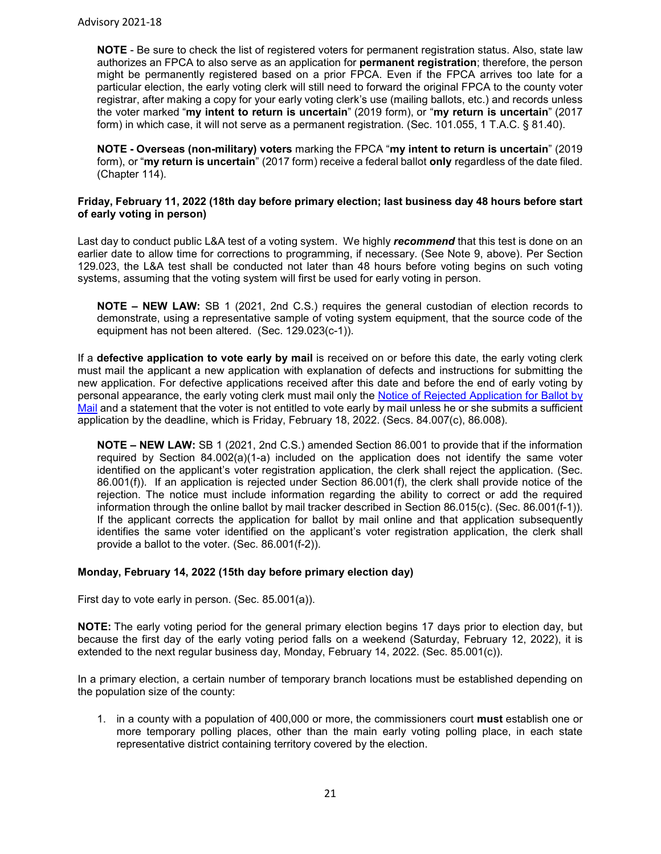**NOTE** - Be sure to check the list of registered voters for permanent registration status. Also, state law authorizes an FPCA to also serve as an application for **permanent registration**; therefore, the person might be permanently registered based on a prior FPCA. Even if the FPCA arrives too late for a particular election, the early voting clerk will still need to forward the original FPCA to the county voter registrar, after making a copy for your early voting clerk's use (mailing ballots, etc.) and records unless the voter marked "**my intent to return is uncertain**" (2019 form), or "**my return is uncertain**" (2017 form) in which case, it will not serve as a permanent registration. (Sec. 101.055, 1 T.A.C. § 81.40).

**NOTE - Overseas (non-military) voters** marking the FPCA "**my intent to return is uncertain**" (2019 form), or "**my return is uncertain**" (2017 form) receive a federal ballot **only** regardless of the date filed. (Chapter 114).

#### **Friday, February 11, 2022 (18th day before primary election; last business day 48 hours before start of early voting in person)**

Last day to conduct public L&A test of a voting system. We highly *recommend* that this test is done on an earlier date to allow time for corrections to programming, if necessary. (See Note 9, above). Per Section 129.023, the L&A test shall be conducted not later than 48 hours before voting begins on such voting systems, assuming that the voting system will first be used for early voting in person.

**NOTE – NEW LAW:** SB 1 (2021, 2nd C.S.) requires the general custodian of election records to demonstrate, using a representative sample of voting system equipment, that the source code of the equipment has not been altered. (Sec. 129.023(c-1)).

If a **defective application to vote early by mail** is received on or before this date, the early voting clerk must mail the applicant a new application with explanation of defects and instructions for submitting the new application. For defective applications received after this date and before the end of early voting by personal appearance, the early voting clerk must mail only the [Notice of Rejected Application for Ballot by](https://www.sos.texas.gov/elections/forms/pol-sub/5-16f.pdf)  [Mail](https://www.sos.texas.gov/elections/forms/pol-sub/5-16f.pdf) and a statement that the voter is not entitled to vote early by mail unless he or she submits a sufficient application by the deadline, which is Friday, February 18, 2022. (Secs. 84.007(c), 86.008).

**NOTE – NEW LAW:** SB 1 (2021, 2nd C.S.) amended Section 86.001 to provide that if the information required by Section 84.002(a)(1-a) included on the application does not identify the same voter identified on the applicant's voter registration application, the clerk shall reject the application. (Sec. 86.001(f)). If an application is rejected under Section 86.001(f), the clerk shall provide notice of the rejection. The notice must include information regarding the ability to correct or add the required information through the online ballot by mail tracker described in Section 86.015(c). (Sec. 86.001(f-1)). If the applicant corrects the application for ballot by mail online and that application subsequently identifies the same voter identified on the applicant's voter registration application, the clerk shall provide a ballot to the voter. (Sec. 86.001(f-2)).

#### <span id="page-20-0"></span>**Monday, February 14, 2022 (15th day before primary election day)**

First day to vote early in person. (Sec. 85.001(a)).

**NOTE:** The early voting period for the general primary election begins 17 days prior to election day, but because the first day of the early voting period falls on a weekend (Saturday, February 12, 2022), it is extended to the next regular business day, Monday, February 14, 2022. (Sec. 85.001(c)).

In a primary election, a certain number of temporary branch locations must be established depending on the population size of the county:

1. in a county with a population of 400,000 or more, the commissioners court **must** establish one or more temporary polling places, other than the main early voting polling place, in each state representative district containing territory covered by the election.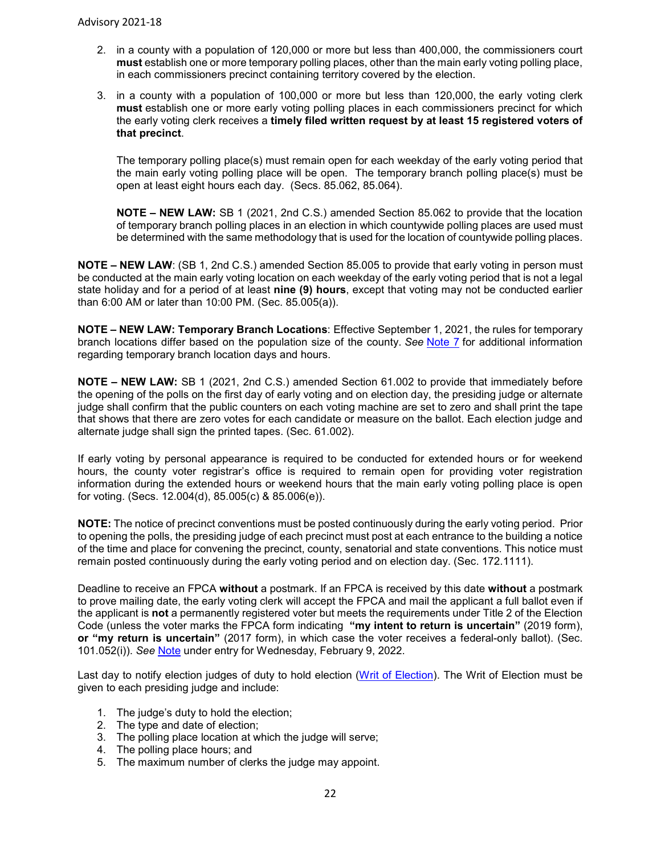- 2. in a county with a population of 120,000 or more but less than 400,000, the commissioners court **must** establish one or more temporary polling places, other than the main early voting polling place, in each commissioners precinct containing territory covered by the election.
- 3. in a county with a population of 100,000 or more but less than 120,000, the early voting clerk **must** establish one or more early voting polling places in each commissioners precinct for which the early voting clerk receives a **timely filed written request by at least 15 registered voters of that precinct**.

The temporary polling place(s) must remain open for each weekday of the early voting period that the main early voting polling place will be open. The temporary branch polling place(s) must be open at least eight hours each day. (Secs. 85.062, 85.064).

**NOTE – NEW LAW:** SB 1 (2021, 2nd C.S.) amended Section 85.062 to provide that the location of temporary branch polling places in an election in which countywide polling places are used must be determined with the same methodology that is used for the location of countywide polling places.

**NOTE – NEW LAW**: (SB 1, 2nd C.S.) amended Section 85.005 to provide that early voting in person must be conducted at the main early voting location on each weekday of the early voting period that is not a legal state holiday and for a period of at least **nine (9) hours**, except that voting may not be conducted earlier than 6:00 AM or later than 10:00 PM. (Sec. 85.005(a)).

**NOTE – NEW LAW: Temporary Branch Locations**: Effective September 1, 2021, the rules for temporary branch locations differ based on the population size of the county. *See* [Note 7](#page-3-1) for additional information regarding temporary branch location days and hours.

**NOTE – NEW LAW:** SB 1 (2021, 2nd C.S.) amended Section 61.002 to provide that immediately before the opening of the polls on the first day of early voting and on election day, the presiding judge or alternate judge shall confirm that the public counters on each voting machine are set to zero and shall print the tape that shows that there are zero votes for each candidate or measure on the ballot. Each election judge and alternate judge shall sign the printed tapes. (Sec. 61.002).

If early voting by personal appearance is required to be conducted for extended hours or for weekend hours, the county voter registrar's office is required to remain open for providing voter registration information during the extended hours or weekend hours that the main early voting polling place is open for voting. (Secs. 12.004(d), 85.005(c) & 85.006(e)).

**NOTE:** The notice of precinct conventions must be posted continuously during the early voting period. Prior to opening the polls, the presiding judge of each precinct must post at each entrance to the building a notice of the time and place for convening the precinct, county, senatorial and state conventions. This notice must remain posted continuously during the early voting period and on election day. (Sec. 172.1111).

Deadline to receive an FPCA **without** a postmark. If an FPCA is received by this date **without** a postmark to prove mailing date, the early voting clerk will accept the FPCA and mail the applicant a full ballot even if the applicant is **not** a permanently registered voter but meets the requirements under Title 2 of the Election Code (unless the voter marks the FPCA form indicating **"my intent to return is uncertain"** (2019 form), **or "my return is uncertain"** (2017 form), in which case the voter receives a federal-only ballot). (Sec. 101.052(i)). *See* [Note](#page-18-0) under entry for Wednesday, February 9, 2022.

Last day to notify election judges of duty to hold election [\(Writ of Election\)](https://www.sos.texas.gov/elections/forms/pol-sub/4-12f.pdf). The Writ of Election must be given to each presiding judge and include:

- 1. The judge's duty to hold the election;
- 2. The type and date of election;
- 3. The polling place location at which the judge will serve;
- 4. The polling place hours; and
- 5. The maximum number of clerks the judge may appoint.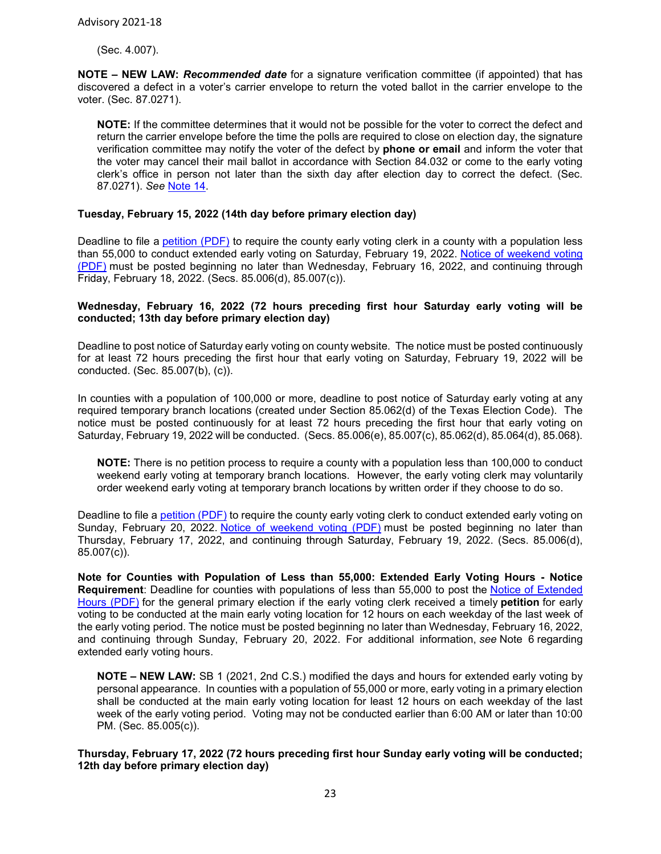(Sec. 4.007).

**NOTE – NEW LAW:** *Recommended date* for a signature verification committee (if appointed) that has discovered a defect in a voter's carrier envelope to return the voted ballot in the carrier envelope to the voter. (Sec. 87.0271).

**NOTE:** If the committee determines that it would not be possible for the voter to correct the defect and return the carrier envelope before the time the polls are required to close on election day, the signature verification committee may notify the voter of the defect by **phone or email** and inform the voter that the voter may cancel their mail ballot in accordance with Section 84.032 or come to the early voting clerk's office in person not later than the sixth day after election day to correct the defect. (Sec. 87.0271). *See* [Note 14.](#page-8-1)

#### **Tuesday, February 15, 2022 (14th day before primary election day)**

Deadline to file a [petition \(PDF\)](https://www.sos.texas.gov/elections/forms/pol-sub/5-45f.pdf) to require the county early voting clerk in a county with a population less than 55,000 to conduct extended early voting on Saturday, February 19, 2022. [Notice of weekend voting](https://www.sos.texas.gov/elections/forms/pol-sub/5-48f.pdf)  [\(PDF\)](https://www.sos.texas.gov/elections/forms/pol-sub/5-48f.pdf) must be posted beginning no later than Wednesday, February 16, 2022, and continuing through Friday, February 18, 2022. (Secs. 85.006(d), 85.007(c)).

#### **Wednesday, February 16, 2022 (72 hours preceding first hour Saturday early voting will be conducted; 13th day before primary election day)**

Deadline to post notice of Saturday early voting on county website. The notice must be posted continuously for at least 72 hours preceding the first hour that early voting on Saturday, February 19, 2022 will be conducted. (Sec. 85.007(b), (c)).

In counties with a population of 100,000 or more, deadline to post notice of Saturday early voting at any required temporary branch locations (created under Section 85.062(d) of the Texas Election Code). The notice must be posted continuously for at least 72 hours preceding the first hour that early voting on Saturday, February 19, 2022 will be conducted. (Secs. 85.006(e), 85.007(c), 85.062(d), 85.064(d), 85.068).

**NOTE:** There is no petition process to require a county with a population less than 100,000 to conduct weekend early voting at temporary branch locations. However, the early voting clerk may voluntarily order weekend early voting at temporary branch locations by written order if they choose to do so.

Deadline to file a [petition \(PDF\)](https://www.sos.texas.gov/elections/forms/pol-sub/5-45f.pdf) to require the county early voting clerk to conduct extended early voting on Sunday, February 20, 2022. [Notice of weekend voting \(PDF\)](https://www.sos.texas.gov/elections/forms/pol-sub/5-48f.pdf) must be posted beginning no later than Thursday, February 17, 2022, and continuing through Saturday, February 19, 2022. (Secs. 85.006(d), 85.007(c)).

**Note for Counties with Population of Less than 55,000: Extended Early Voting Hours - Notice Requirement**: Deadline for counties with populations of less than 55,000 to post the [Notice of Extended](https://www.sos.texas.gov/elections/forms/pol-sub/5-51f.pdf)  [Hours \(PDF\)](https://www.sos.texas.gov/elections/forms/pol-sub/5-51f.pdf) for the general primary election if the early voting clerk received a timely **petition** for early voting to be conducted at the main early voting location for 12 hours on each weekday of the last week of the early voting period. The notice must be posted beginning no later than Wednesday, February 16, 2022, and continuing through Sunday, February 20, 2022. For additional information, *see* Note 6 regarding extended early voting hours.

**NOTE – NEW LAW:** SB 1 (2021, 2nd C.S.) modified the days and hours for extended early voting by personal appearance. In counties with a population of 55,000 or more, early voting in a primary election shall be conducted at the main early voting location for least 12 hours on each weekday of the last week of the early voting period. Voting may not be conducted earlier than 6:00 AM or later than 10:00 PM. (Sec. 85.005(c)).

<span id="page-22-0"></span>**Thursday, February 17, 2022 (72 hours preceding first hour Sunday early voting will be conducted; 12th day before primary election day)**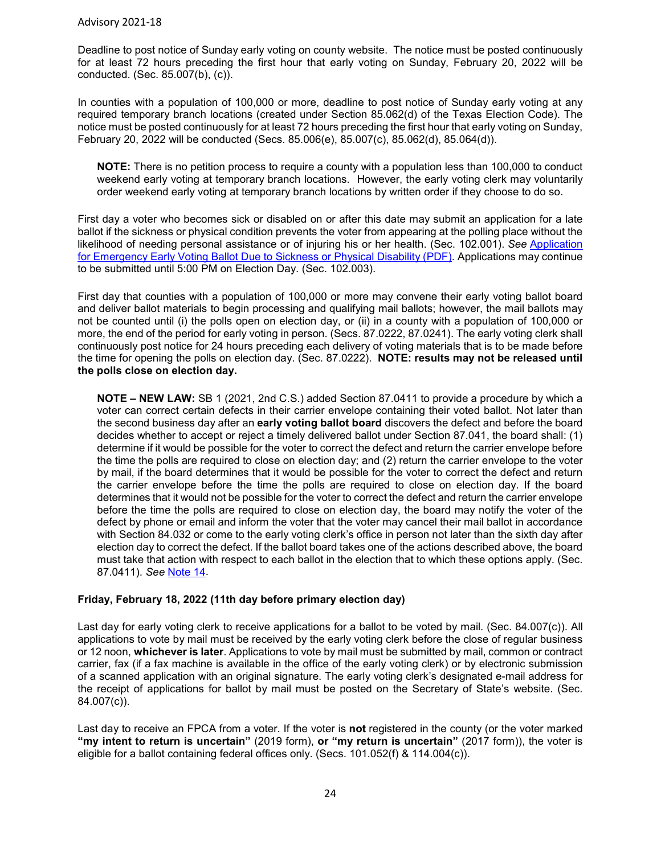Deadline to post notice of Sunday early voting on county website. The notice must be posted continuously for at least 72 hours preceding the first hour that early voting on Sunday, February 20, 2022 will be conducted. (Sec. 85.007(b), (c)).

In counties with a population of 100,000 or more, deadline to post notice of Sunday early voting at any required temporary branch locations (created under Section 85.062(d) of the Texas Election Code). The notice must be posted continuously for at least 72 hours preceding the first hour that early voting on Sunday, February 20, 2022 will be conducted (Secs. 85.006(e), 85.007(c), 85.062(d), 85.064(d)).

**NOTE:** There is no petition process to require a county with a population less than 100,000 to conduct weekend early voting at temporary branch locations. However, the early voting clerk may voluntarily order weekend early voting at temporary branch locations by written order if they choose to do so.

First day a voter who becomes sick or disabled on or after this date may submit an application for a late ballot if the sickness or physical condition prevents the voter from appearing at the polling place without the likelihood of needing personal assistance or of injuring his or her health. (Sec. 102.001). *See* [Application](https://www.sos.texas.gov/elections/forms/pol-sub/5-25f.pdf)  [for Emergency Early Voting Ballot Due to Sickness or Physical Disability \(PDF\).](https://www.sos.texas.gov/elections/forms/pol-sub/5-25f.pdf) Applications may continue to be submitted until 5:00 PM on Election Day. (Sec. 102.003).

First day that counties with a population of 100,000 or more may convene their early voting ballot board and deliver ballot materials to begin processing and qualifying mail ballots; however, the mail ballots may not be counted until (i) the polls open on election day, or (ii) in a county with a population of 100,000 or more, the end of the period for early voting in person. (Secs. 87.0222, 87.0241). The early voting clerk shall continuously post notice for 24 hours preceding each delivery of voting materials that is to be made before the time for opening the polls on election day. (Sec. 87.0222). **NOTE: results may not be released until the polls close on election day.**

**NOTE – NEW LAW:** SB 1 (2021, 2nd C.S.) added Section 87.0411 to provide a procedure by which a voter can correct certain defects in their carrier envelope containing their voted ballot. Not later than the second business day after an **early voting ballot board** discovers the defect and before the board decides whether to accept or reject a timely delivered ballot under Section 87.041, the board shall: (1) determine if it would be possible for the voter to correct the defect and return the carrier envelope before the time the polls are required to close on election day; and (2) return the carrier envelope to the voter by mail, if the board determines that it would be possible for the voter to correct the defect and return the carrier envelope before the time the polls are required to close on election day. If the board determines that it would not be possible for the voter to correct the defect and return the carrier envelope before the time the polls are required to close on election day, the board may notify the voter of the defect by phone or email and inform the voter that the voter may cancel their mail ballot in accordance with Section 84.032 or come to the early voting clerk's office in person not later than the sixth day after election day to correct the defect. If the ballot board takes one of the actions described above, the board must take that action with respect to each ballot in the election that to which these options apply. (Sec. 87.0411). *See* [Note 14.](#page-8-1)

#### **Friday, February 18, 2022 (11th day before primary election day)**

Last day for early voting clerk to receive applications for a ballot to be voted by mail. (Sec. 84.007(c)). All applications to vote by mail must be received by the early voting clerk before the close of regular business or 12 noon, **whichever is later**. Applications to vote by mail must be submitted by mail, common or contract carrier, fax (if a fax machine is available in the office of the early voting clerk) or by electronic submission of a scanned application with an original signature. The early voting clerk's designated e-mail address for the receipt of applications for ballot by mail must be posted on the Secretary of State's website. (Sec. 84.007(c)).

Last day to receive an FPCA from a voter. If the voter is **not** registered in the county (or the voter marked **"my intent to return is uncertain"** (2019 form), **or "my return is uncertain"** (2017 form)), the voter is eligible for a ballot containing federal offices only. (Secs. 101.052(f) & 114.004(c)).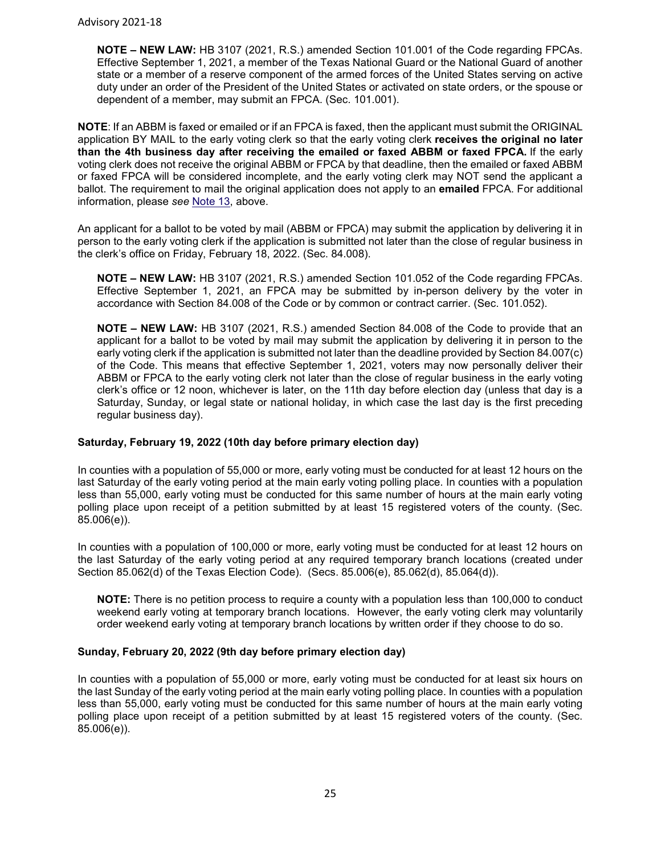**NOTE – NEW LAW:** HB 3107 (2021, R.S.) amended Section 101.001 of the Code regarding FPCAs. Effective September 1, 2021, a member of the Texas National Guard or the National Guard of another state or a member of a reserve component of the armed forces of the United States serving on active duty under an order of the President of the United States or activated on state orders, or the spouse or dependent of a member, may submit an FPCA. (Sec. 101.001).

**NOTE**: If an ABBM is faxed or emailed or if an FPCA is faxed, then the applicant must submit the ORIGINAL application BY MAIL to the early voting clerk so that the early voting clerk **receives the original no later than the 4th business day after receiving the emailed or faxed ABBM or faxed FPCA.** If the early voting clerk does not receive the original ABBM or FPCA by that deadline, then the emailed or faxed ABBM or faxed FPCA will be considered incomplete, and the early voting clerk may NOT send the applicant a ballot. The requirement to mail the original application does not apply to an **emailed** FPCA. For additional information, please *see* [Note 13,](#page-8-0) above.

An applicant for a ballot to be voted by mail (ABBM or FPCA) may submit the application by delivering it in person to the early voting clerk if the application is submitted not later than the close of regular business in the clerk's office on Friday, February 18, 2022. (Sec. 84.008).

**NOTE – NEW LAW:** HB 3107 (2021, R.S.) amended Section 101.052 of the Code regarding FPCAs. Effective September 1, 2021, an FPCA may be submitted by in-person delivery by the voter in accordance with Section 84.008 of the Code or by common or contract carrier. (Sec. 101.052).

**NOTE – NEW LAW:** HB 3107 (2021, R.S.) amended Section 84.008 of the Code to provide that an applicant for a ballot to be voted by mail may submit the application by delivering it in person to the early voting clerk if the application is submitted not later than the deadline provided by Section 84.007(c) of the Code. This means that effective September 1, 2021, voters may now personally deliver their ABBM or FPCA to the early voting clerk not later than the close of regular business in the early voting clerk's office or 12 noon, whichever is later, on the 11th day before election day (unless that day is a Saturday, Sunday, or legal state or national holiday, in which case the last day is the first preceding regular business day).

#### **Saturday, February 19, 2022 (10th day before primary election day)**

In counties with a population of 55,000 or more, early voting must be conducted for at least 12 hours on the last Saturday of the early voting period at the main early voting polling place. In counties with a population less than 55,000, early voting must be conducted for this same number of hours at the main early voting polling place upon receipt of a petition submitted by at least 15 registered voters of the county. (Sec. 85.006(e)).

In counties with a population of 100,000 or more, early voting must be conducted for at least 12 hours on the last Saturday of the early voting period at any required temporary branch locations (created under Section 85.062(d) of the Texas Election Code). (Secs. 85.006(e), 85.062(d), 85.064(d)).

**NOTE:** There is no petition process to require a county with a population less than 100,000 to conduct weekend early voting at temporary branch locations. However, the early voting clerk may voluntarily order weekend early voting at temporary branch locations by written order if they choose to do so.

#### **Sunday, February 20, 2022 (9th day before primary election day)**

In counties with a population of 55,000 or more, early voting must be conducted for at least six hours on the last Sunday of the early voting period at the main early voting polling place. In counties with a population less than 55,000, early voting must be conducted for this same number of hours at the main early voting polling place upon receipt of a petition submitted by at least 15 registered voters of the county. (Sec. 85.006(e)).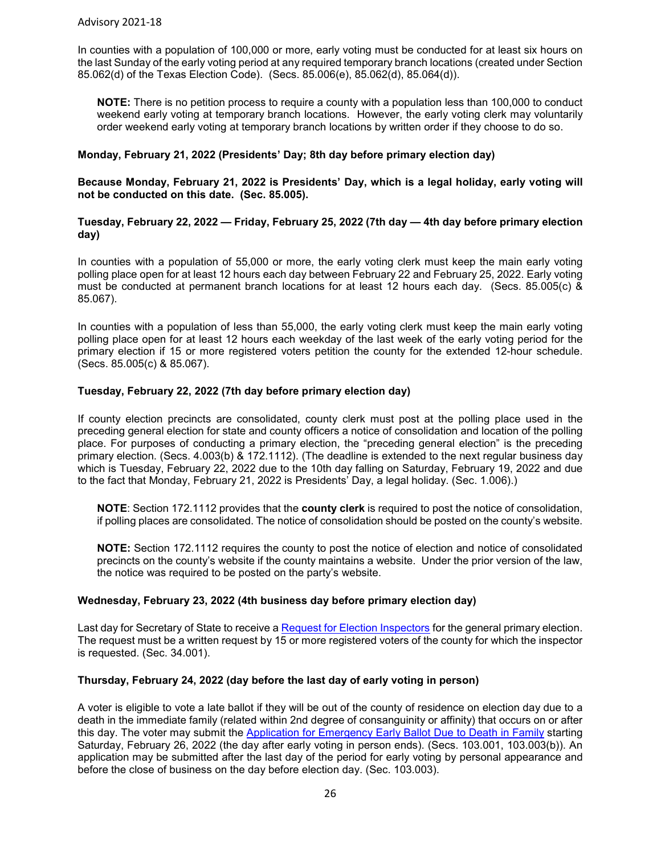In counties with a population of 100,000 or more, early voting must be conducted for at least six hours on the last Sunday of the early voting period at any required temporary branch locations (created under Section 85.062(d) of the Texas Election Code). (Secs. 85.006(e), 85.062(d), 85.064(d)).

**NOTE:** There is no petition process to require a county with a population less than 100,000 to conduct weekend early voting at temporary branch locations. However, the early voting clerk may voluntarily order weekend early voting at temporary branch locations by written order if they choose to do so.

#### **Monday, February 21, 2022 (Presidents' Day; 8th day before primary election day)**

**Because Monday, February 21, 2022 is Presidents' Day, which is a legal holiday, early voting will not be conducted on this date. (Sec. 85.005).** 

#### **Tuesday, February 22, 2022 — Friday, February 25, 2022 (7th day — 4th day before primary election day)**

In counties with a population of 55,000 or more, the early voting clerk must keep the main early voting polling place open for at least 12 hours each day between February 22 and February 25, 2022. Early voting must be conducted at permanent branch locations for at least 12 hours each day. (Secs. 85.005(c) & 85.067).

In counties with a population of less than 55,000, the early voting clerk must keep the main early voting polling place open for at least 12 hours each weekday of the last week of the early voting period for the primary election if 15 or more registered voters petition the county for the extended 12-hour schedule. (Secs. 85.005(c) & 85.067).

#### **Tuesday, February 22, 2022 (7th day before primary election day)**

If county election precincts are consolidated, county clerk must post at the polling place used in the preceding general election for state and county officers a notice of consolidation and location of the polling place. For purposes of conducting a primary election, the "preceding general election" is the preceding primary election. (Secs. 4.003(b) & 172.1112). (The deadline is extended to the next regular business day which is Tuesday, February 22, 2022 due to the 10th day falling on Saturday, February 19, 2022 and due to the fact that Monday, February 21, 2022 is Presidents' Day, a legal holiday. (Sec. 1.006).)

**NOTE**: Section 172.1112 provides that the **county clerk** is required to post the notice of consolidation, if polling places are consolidated. The notice of consolidation should be posted on the county's website.

**NOTE:** Section 172.1112 requires the county to post the notice of election and notice of consolidated precincts on the county's website if the county maintains a website. Under the prior version of the law, the notice was required to be posted on the party's website.

#### **Wednesday, February 23, 2022 (4th business day before primary election day)**

Last day for Secretary of State to receive a [Request for Election Inspectors f](http://www.sos.state.tx.us/elections/forms/pol-sub/4-19f.pdf)or the general primary election. The request must be a written request by 15 or more registered voters of the county for which the inspector is requested. (Sec. 34.001).

#### **Thursday, February 24, 2022 (day before the last day of early voting in person)**

A voter is eligible to vote a late ballot if they will be out of the county of residence on election day due to a death in the immediate family (related within 2nd degree of consanguinity or affinity) that occurs on or after this day. The voter may submit the [Application for Emergency Early Ballot Due to Death in Family](http://www.sos.state.tx.us/elections/forms/pol-sub/5-24f.pdf) starting Saturday, February 26, 2022 (the day after early voting in person ends). (Secs. 103.001, 103.003(b)). An application may be submitted after the last day of the period for early voting by personal appearance and before the close of business on the day before election day. (Sec. 103.003).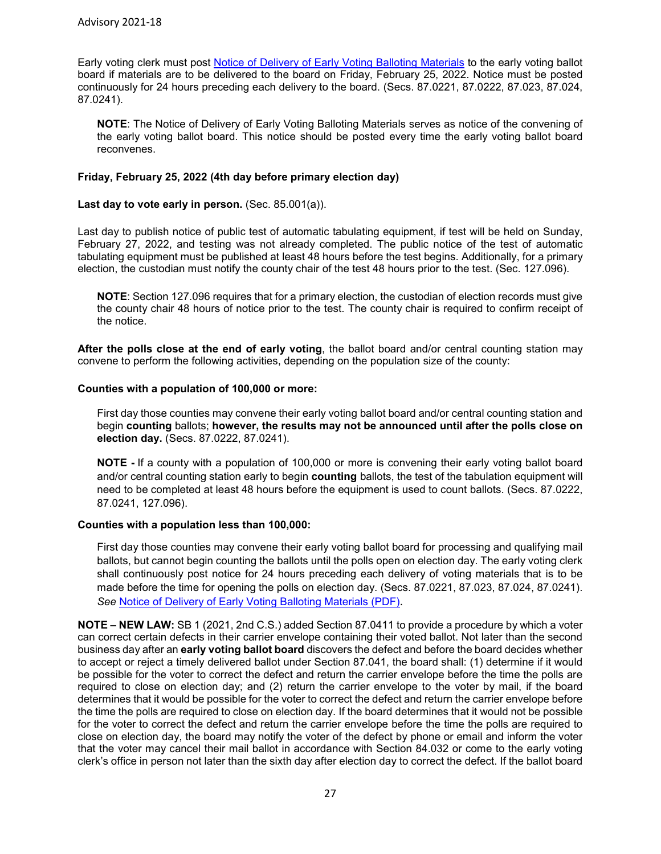Early voting clerk must post [Notice of Delivery of Early Voting Balloting Materials](http://www.sos.state.tx.us/elections/forms/pol-sub/6-6f.pdf) to the early voting ballot board if materials are to be delivered to the board on Friday, February 25, 2022. Notice must be posted continuously for 24 hours preceding each delivery to the board. (Secs. 87.0221, 87.0222, 87.023, 87.024, 87.0241).

**NOTE**: The Notice of Delivery of Early Voting Balloting Materials serves as notice of the convening of the early voting ballot board. This notice should be posted every time the early voting ballot board reconvenes.

#### **Friday, February 25, 2022 (4th day before primary election day)**

#### **Last day to vote early in person.** (Sec. 85.001(a)).

Last day to publish notice of public test of automatic tabulating equipment, if test will be held on Sunday, February 27, 2022, and testing was not already completed. The public notice of the test of automatic tabulating equipment must be published at least 48 hours before the test begins. Additionally, for a primary election, the custodian must notify the county chair of the test 48 hours prior to the test. (Sec. 127.096).

**NOTE**: Section 127.096 requires that for a primary election, the custodian of election records must give the county chair 48 hours of notice prior to the test. The county chair is required to confirm receipt of the notice.

**After the polls close at the end of early voting**, the ballot board and/or central counting station may convene to perform the following activities, depending on the population size of the county:

#### **Counties with a population of 100,000 or more:**

First day those counties may convene their early voting ballot board and/or central counting station and begin **counting** ballots; **however, the results may not be announced until after the polls close on election day.** (Secs. 87.0222, 87.0241).

**NOTE -** If a county with a population of 100,000 or more is convening their early voting ballot board and/or central counting station early to begin **counting** ballots, the test of the tabulation equipment will need to be completed at least 48 hours before the equipment is used to count ballots. (Secs. 87.0222, 87.0241, 127.096).

#### **Counties with a population less than 100,000:**

First day those counties may convene their early voting ballot board for processing and qualifying mail ballots, but cannot begin counting the ballots until the polls open on election day. The early voting clerk shall continuously post notice for 24 hours preceding each delivery of voting materials that is to be made before the time for opening the polls on election day. (Secs. 87.0221, 87.023, 87.024, 87.0241). *See* [Notice of Delivery of Early Voting Balloting Materials \(PDF\)](https://www.sos.texas.gov/elections/forms/pol-sub/6-7f.pdf).

**NOTE – NEW LAW:** SB 1 (2021, 2nd C.S.) added Section 87.0411 to provide a procedure by which a voter can correct certain defects in their carrier envelope containing their voted ballot. Not later than the second business day after an **early voting ballot board** discovers the defect and before the board decides whether to accept or reject a timely delivered ballot under Section 87.041, the board shall: (1) determine if it would be possible for the voter to correct the defect and return the carrier envelope before the time the polls are required to close on election day; and (2) return the carrier envelope to the voter by mail, if the board determines that it would be possible for the voter to correct the defect and return the carrier envelope before the time the polls are required to close on election day. If the board determines that it would not be possible for the voter to correct the defect and return the carrier envelope before the time the polls are required to close on election day, the board may notify the voter of the defect by phone or email and inform the voter that the voter may cancel their mail ballot in accordance with Section 84.032 or come to the early voting clerk's office in person not later than the sixth day after election day to correct the defect. If the ballot board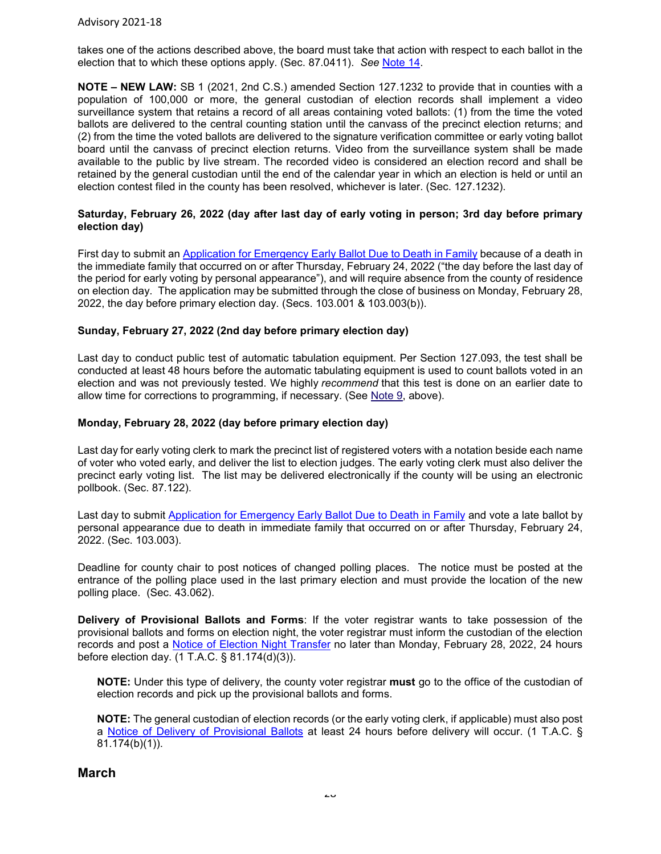takes one of the actions described above, the board must take that action with respect to each ballot in the election that to which these options apply. (Sec. 87.0411). *See* [Note 14.](#page-8-1)

**NOTE – NEW LAW:** SB 1 (2021, 2nd C.S.) amended Section 127.1232 to provide that in counties with a population of 100,000 or more, the general custodian of election records shall implement a video surveillance system that retains a record of all areas containing voted ballots: (1) from the time the voted ballots are delivered to the central counting station until the canvass of the precinct election returns; and (2) from the time the voted ballots are delivered to the signature verification committee or early voting ballot board until the canvass of precinct election returns. Video from the surveillance system shall be made available to the public by live stream. The recorded video is considered an election record and shall be retained by the general custodian until the end of the calendar year in which an election is held or until an election contest filed in the county has been resolved, whichever is later. (Sec. 127.1232).

#### **Saturday, February 26, 2022 (day after last day of early voting in person; 3rd day before primary election day)**

First day to submit an [Application for Emergency Early Ballot Due to Death in Family](http://www.sos.state.tx.us/elections/forms/pol-sub/5-24f.pdf) because of a death in the immediate family that occurred on or after Thursday, February 24, 2022 ("the day before the last day of the period for early voting by personal appearance"), and will require absence from the county of residence on election day. The application may be submitted through the close of business on Monday, February 28, 2022, the day before primary election day. (Secs. 103.001 & 103.003(b)).

#### **Sunday, February 27, 2022 (2nd day before primary election day)**

Last day to conduct public test of automatic tabulation equipment. Per Section 127.093, the test shall be conducted at least 48 hours before the automatic tabulating equipment is used to count ballots voted in an election and was not previously tested. We highly *recommend* that this test is done on an earlier date to allow time for corrections to programming, if necessary. (See [Note 9,](#page-3-0) above).

#### **Monday, February 28, 2022 (day before primary election day)**

Last day for early voting clerk to mark the precinct list of registered voters with a notation beside each name of voter who voted early, and deliver the list to election judges. The early voting clerk must also deliver the precinct early voting list. The list may be delivered electronically if the county will be using an electronic pollbook. (Sec. 87.122).

Last day to submit [Application for Emergency Early Ballot Due to Death in Family](http://www.sos.state.tx.us/elections/forms/pol-sub/5-24f.pdf) and vote a late ballot by personal appearance due to death in immediate family that occurred on or after Thursday, February 24, 2022. (Sec. 103.003).

Deadline for county chair to post notices of changed polling places. The notice must be posted at the entrance of the polling place used in the last primary election and must provide the location of the new polling place. (Sec. 43.062).

**Delivery of Provisional Ballots and Forms**: If the voter registrar wants to take possession of the provisional ballots and forms on election night, the voter registrar must inform the custodian of the election records and post a [Notice of Election Night Transfer](http://www.sos.state.tx.us/elections/forms/pol-sub/8-19af.pdf) no later than Monday, February 28, 2022, 24 hours before election day. (1 T.A.C. § 81.174(d)(3)).

**NOTE:** Under this type of delivery, the county voter registrar **must** go to the office of the custodian of election records and pick up the provisional ballots and forms.

**NOTE:** The general custodian of election records (or the early voting clerk, if applicable) must also post a [Notice of Delivery of Provisional Ballots](http://www.sos.state.tx.us/elections/forms/pol-sub/8-19af.pdf) at least 24 hours before delivery will occur. (1 T.A.C. § 81.174(b)(1)).

#### **March**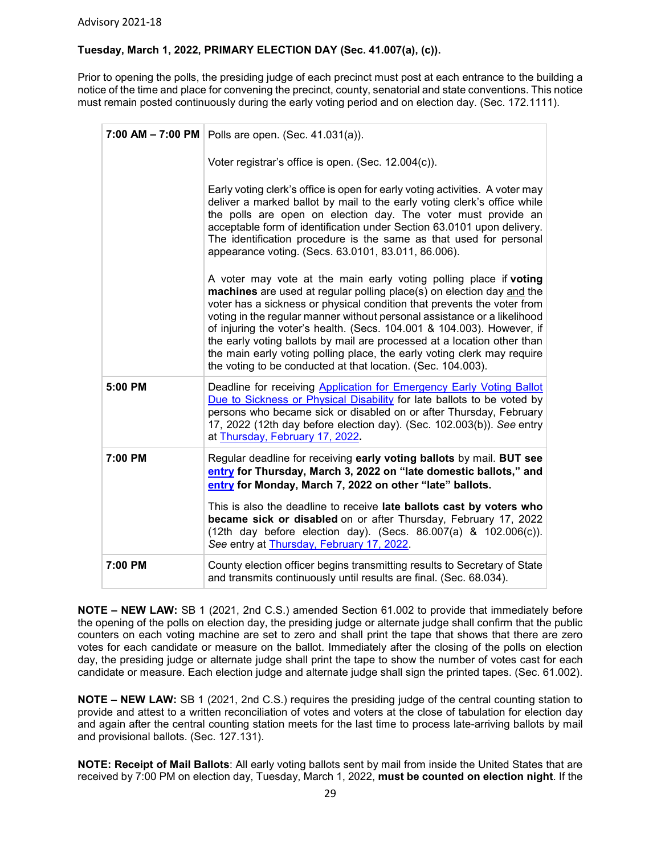## **Tuesday, March 1, 2022, PRIMARY ELECTION DAY (Sec. 41.007(a), (c)).**

Prior to opening the polls, the presiding judge of each precinct must post at each entrance to the building a notice of the time and place for convening the precinct, county, senatorial and state conventions. This notice must remain posted continuously during the early voting period and on election day. (Sec. 172.1111).

|         | 7:00 AM - 7:00 PM   Polls are open. (Sec. 41.031(a)).                                                                                                                                                                                                                                                                                                                                                                                                                                                                                                                                             |
|---------|---------------------------------------------------------------------------------------------------------------------------------------------------------------------------------------------------------------------------------------------------------------------------------------------------------------------------------------------------------------------------------------------------------------------------------------------------------------------------------------------------------------------------------------------------------------------------------------------------|
|         | Voter registrar's office is open. (Sec. 12.004(c)).                                                                                                                                                                                                                                                                                                                                                                                                                                                                                                                                               |
|         | Early voting clerk's office is open for early voting activities. A voter may<br>deliver a marked ballot by mail to the early voting clerk's office while<br>the polls are open on election day. The voter must provide an<br>acceptable form of identification under Section 63.0101 upon delivery.<br>The identification procedure is the same as that used for personal<br>appearance voting. (Secs. 63.0101, 83.011, 86.006).                                                                                                                                                                  |
|         | A voter may vote at the main early voting polling place if voting<br>machines are used at regular polling place(s) on election day and the<br>voter has a sickness or physical condition that prevents the voter from<br>voting in the regular manner without personal assistance or a likelihood<br>of injuring the voter's health. (Secs. 104.001 & 104.003). However, if<br>the early voting ballots by mail are processed at a location other than<br>the main early voting polling place, the early voting clerk may require<br>the voting to be conducted at that location. (Sec. 104.003). |
| 5:00 PM | Deadline for receiving Application for Emergency Early Voting Ballot<br>Due to Sickness or Physical Disability for late ballots to be voted by<br>persons who became sick or disabled on or after Thursday, February<br>17, 2022 (12th day before election day). (Sec. 102.003(b)). See entry<br>at Thursday, February 17, 2022.                                                                                                                                                                                                                                                                  |
| 7:00 PM | Regular deadline for receiving early voting ballots by mail. BUT see<br>entry for Thursday, March 3, 2022 on "late domestic ballots," and<br>entry for Monday, March 7, 2022 on other "late" ballots.                                                                                                                                                                                                                                                                                                                                                                                             |
|         | This is also the deadline to receive late ballots cast by voters who<br>became sick or disabled on or after Thursday, February 17, 2022<br>(12th day before election day). (Secs. 86.007(a) & 102.006(c)).<br>See entry at Thursday, February 17, 2022.                                                                                                                                                                                                                                                                                                                                           |
| 7:00 PM | County election officer begins transmitting results to Secretary of State<br>and transmits continuously until results are final. (Sec. 68.034).                                                                                                                                                                                                                                                                                                                                                                                                                                                   |

**NOTE – NEW LAW:** SB 1 (2021, 2nd C.S.) amended Section 61.002 to provide that immediately before the opening of the polls on election day, the presiding judge or alternate judge shall confirm that the public counters on each voting machine are set to zero and shall print the tape that shows that there are zero votes for each candidate or measure on the ballot. Immediately after the closing of the polls on election day, the presiding judge or alternate judge shall print the tape to show the number of votes cast for each candidate or measure. Each election judge and alternate judge shall sign the printed tapes. (Sec. 61.002).

**NOTE – NEW LAW:** SB 1 (2021, 2nd C.S.) requires the presiding judge of the central counting station to provide and attest to a written reconciliation of votes and voters at the close of tabulation for election day and again after the central counting station meets for the last time to process late-arriving ballots by mail and provisional ballots. (Sec. 127.131).

**NOTE: Receipt of Mail Ballots**: All early voting ballots sent by mail from inside the United States that are received by 7:00 PM on election day, Tuesday, March 1, 2022, **must be counted on election night**. If the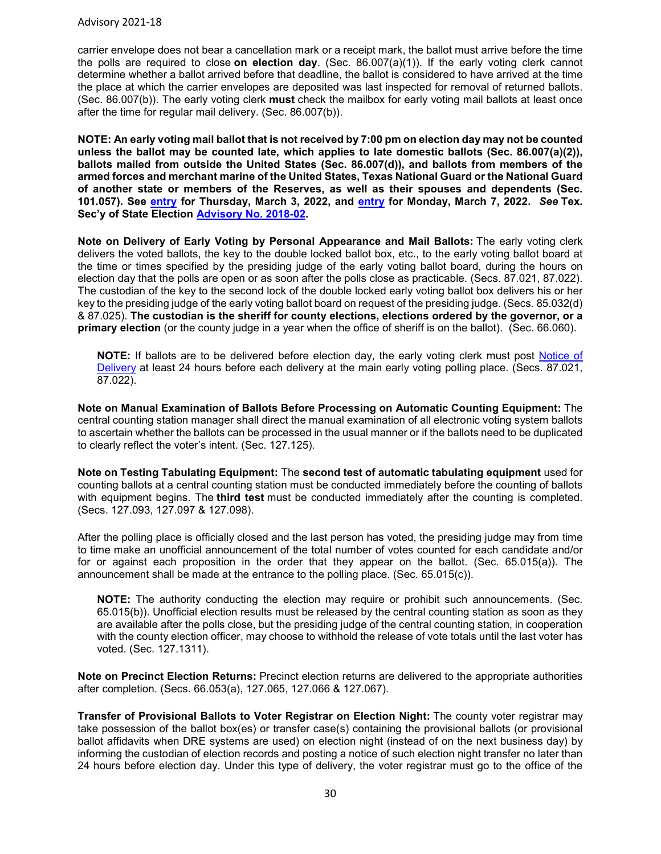carrier envelope does not bear a cancellation mark or a receipt mark, the ballot must arrive before the time the polls are required to close **on election day**. (Sec. 86.007(a)(1)). If the early voting clerk cannot determine whether a ballot arrived before that deadline, the ballot is considered to have arrived at the time the place at which the carrier envelopes are deposited was last inspected for removal of returned ballots. (Sec. 86.007(b)). The early voting clerk **must** check the mailbox for early voting mail ballots at least once after the time for regular mail delivery. (Sec. 86.007(b)).

**NOTE: An early voting mail ballot that is not received by 7:00 pm on election day may not be counted unless the ballot may be counted late, which applies to late domestic ballots (Sec. 86.007(a)(2)), ballots mailed from outside the United States (Sec. 86.007(d)), and ballots from members of the armed forces and merchant marine of the United States, Texas National Guard or the National Guard of another state or members of the Reserves, as well as their spouses and dependents (Sec. 101.057). See [entry](#page-30-0) for Thursday, March 3, 2022, and [entry](#page-31-0) for Monday, March 7, 2022.** *See* **Tex. Sec'y of State Election [Advisory No. 2018-02.](https://www.sos.state.tx.us/elections/laws/advisory2018-02.shtml)**

**Note on Delivery of Early Voting by Personal Appearance and Mail Ballots:** The early voting clerk delivers the voted ballots, the key to the double locked ballot box, etc., to the early voting ballot board at the time or times specified by the presiding judge of the early voting ballot board, during the hours on election day that the polls are open or as soon after the polls close as practicable. (Secs. 87.021, 87.022). The custodian of the key to the second lock of the double locked early voting ballot box delivers his or her key to the presiding judge of the early voting ballot board on request of the presiding judge. (Secs. 85.032(d) & 87.025). **The custodian is the sheriff for county elections, elections ordered by the governor, or a primary election** (or the county judge in a year when the office of sheriff is on the ballot). (Sec. 66.060).

**NOTE:** If ballots are to be delivered before election day, the early voting clerk must post [Notice of](https://www.sos.texas.gov/elections/forms/pol-sub/6-7f.pdf)  [Delivery](https://www.sos.texas.gov/elections/forms/pol-sub/6-7f.pdf) at least 24 hours before each delivery at the main early voting polling place. (Secs. 87.021, 87.022).

**Note on Manual Examination of Ballots Before Processing on Automatic Counting Equipment:** The central counting station manager shall direct the manual examination of all electronic voting system ballots to ascertain whether the ballots can be processed in the usual manner or if the ballots need to be duplicated to clearly reflect the voter's intent. (Sec. 127.125).

**Note on Testing Tabulating Equipment:** The **second test of automatic tabulating equipment** used for counting ballots at a central counting station must be conducted immediately before the counting of ballots with equipment begins. The **third test** must be conducted immediately after the counting is completed. (Secs. 127.093, 127.097 & 127.098).

After the polling place is officially closed and the last person has voted, the presiding judge may from time to time make an unofficial announcement of the total number of votes counted for each candidate and/or for or against each proposition in the order that they appear on the ballot. (Sec. 65.015(a)). The announcement shall be made at the entrance to the polling place. (Sec. 65.015(c)).

**NOTE:** The authority conducting the election may require or prohibit such announcements. (Sec. 65.015(b)). Unofficial election results must be released by the central counting station as soon as they are available after the polls close, but the presiding judge of the central counting station, in cooperation with the county election officer, may choose to withhold the release of vote totals until the last voter has voted. (Sec. 127.1311).

**Note on Precinct Election Returns:** Precinct election returns are delivered to the appropriate authorities after completion. (Secs. 66.053(a), 127.065, 127.066 & 127.067).

**Transfer of Provisional Ballots to Voter Registrar on Election Night:** The county voter registrar may take possession of the ballot box(es) or transfer case(s) containing the provisional ballots (or provisional ballot affidavits when DRE systems are used) on election night (instead of on the next business day) by informing the custodian of election records and posting a notice of such election night transfer no later than 24 hours before election day. Under this type of delivery, the voter registrar must go to the office of the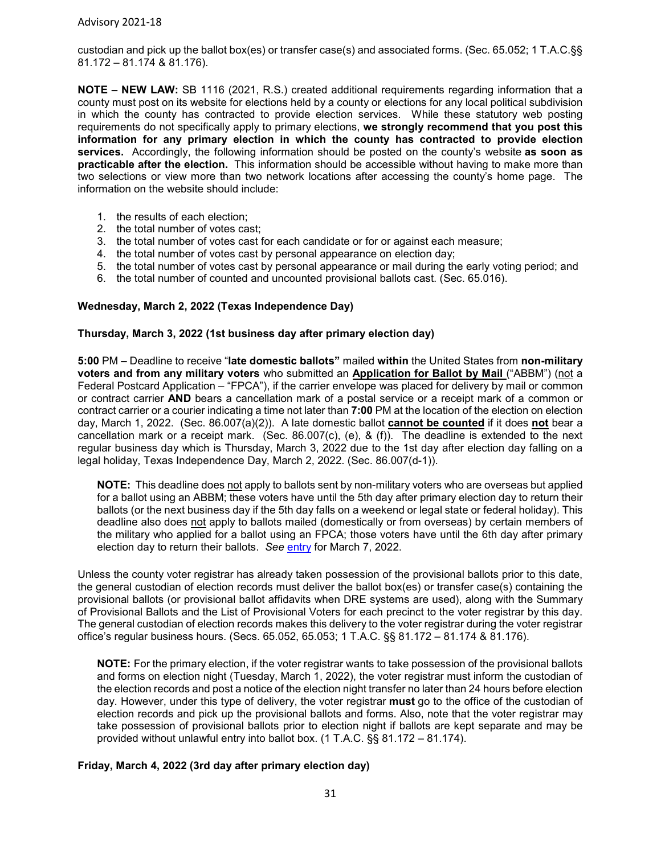custodian and pick up the ballot box(es) or transfer case(s) and associated forms. (Sec. 65.052; 1 T.A.C.§§ 81.172 – 81.174 & 81.176).

**NOTE – NEW LAW:** SB 1116 (2021, R.S.) created additional requirements regarding information that a county must post on its website for elections held by a county or elections for any local political subdivision in which the county has contracted to provide election services. While these statutory web posting requirements do not specifically apply to primary elections, **we strongly recommend that you post this information for any primary election in which the county has contracted to provide election services.** Accordingly, the following information should be posted on the county's website **as soon as practicable after the election.** This information should be accessible without having to make more than two selections or view more than two network locations after accessing the county's home page. The information on the website should include:

- 1. the results of each election;
- 2. the total number of votes cast;
- 3. the total number of votes cast for each candidate or for or against each measure;
- 4. the total number of votes cast by personal appearance on election day;
- 5. the total number of votes cast by personal appearance or mail during the early voting period; and
- 6. the total number of counted and uncounted provisional ballots cast. (Sec. 65.016).

#### **Wednesday, March 2, 2022 (Texas Independence Day)**

#### <span id="page-30-0"></span>**Thursday, March 3, 2022 (1st business day after primary election day)**

**5:00** PM **–** Deadline to receive "**late domestic ballots"** mailed **within** the United States from **non-military voters and from any military voters** who submitted an **Application for Ballot by Mail** ("ABBM") (not a Federal Postcard Application – "FPCA"), if the carrier envelope was placed for delivery by mail or common or contract carrier **AND** bears a cancellation mark of a postal service or a receipt mark of a common or contract carrier or a courier indicating a time not later than **7:00** PM at the location of the election on election day, March 1, 2022.(Sec. 86.007(a)(2)). A late domestic ballot **cannot be counted** if it does **not** bear a cancellation mark or a receipt mark. (Sec. 86.007(c), (e),  $\&$  (f)). The deadline is extended to the next regular business day which is Thursday, March 3, 2022 due to the 1st day after election day falling on a legal holiday, Texas Independence Day, March 2, 2022. (Sec. 86.007(d-1)).

**NOTE:** This deadline does not apply to ballots sent by non-military voters who are overseas but applied for a ballot using an ABBM; these voters have until the 5th day after primary election day to return their ballots (or the next business day if the 5th day falls on a weekend or legal state or federal holiday). This deadline also does not apply to ballots mailed (domestically or from overseas) by certain members of the military who applied for a ballot using an FPCA; those voters have until the 6th day after primary election day to return their ballots. *See* [entry](#page-31-0) for March 7, 2022.

Unless the county voter registrar has already taken possession of the provisional ballots prior to this date, the general custodian of election records must deliver the ballot box(es) or transfer case(s) containing the provisional ballots (or provisional ballot affidavits when DRE systems are used), along with the Summary of Provisional Ballots and the List of Provisional Voters for each precinct to the voter registrar by this day. The general custodian of election records makes this delivery to the voter registrar during the voter registrar office's regular business hours. (Secs. 65.052, 65.053; 1 T.A.C. §§ 81.172 – 81.174 & 81.176).

**NOTE:** For the primary election, if the voter registrar wants to take possession of the provisional ballots and forms on election night (Tuesday, March 1, 2022), the voter registrar must inform the custodian of the election records and post a notice of the election night transfer no later than 24 hours before election day. However, under this type of delivery, the voter registrar **must** go to the office of the custodian of election records and pick up the provisional ballots and forms. Also, note that the voter registrar may take possession of provisional ballots prior to election night if ballots are kept separate and may be provided without unlawful entry into ballot box. (1 T.A.C. §§ 81.172 – 81.174).

#### **Friday, March 4, 2022 (3rd day after primary election day)**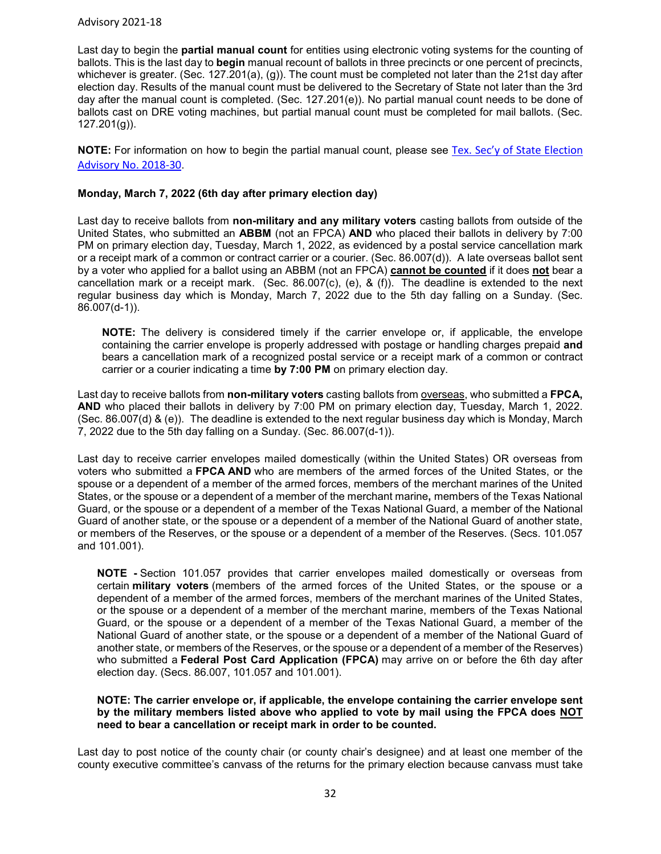Last day to begin the **partial manual count** for entities using electronic voting systems for the counting of ballots. This is the last day to **begin** manual recount of ballots in three precincts or one percent of precincts, whichever is greater. (Sec. 127.201(a), (g)). The count must be completed not later than the 21st day after election day. Results of the manual count must be delivered to the Secretary of State not later than the 3rd day after the manual count is completed. (Sec. 127.201(e)). No partial manual count needs to be done of ballots cast on DRE voting machines, but partial manual count must be completed for mail ballots. (Sec. 127.201(g)).

**NOTE:** For information on how to begin the partial manual count, please see Tex. Sec'y of State Election [Advisory No. 2018-30](https://www.sos.texas.gov/elections/laws/advisory2018-30.shtml).

#### <span id="page-31-0"></span>**Monday, March 7, 2022 (6th day after primary election day)**

Last day to receive ballots from **non-military and any military voters** casting ballots from outside of the United States, who submitted an **ABBM** (not an FPCA) **AND** who placed their ballots in delivery by 7:00 PM on primary election day, Tuesday, March 1, 2022, as evidenced by a postal service cancellation mark or a receipt mark of a common or contract carrier or a courier. (Sec. 86.007(d)). A late overseas ballot sent by a voter who applied for a ballot using an ABBM (not an FPCA) **cannot be counted** if it does **not** bear a cancellation mark or a receipt mark. (Sec. 86.007(c), (e),  $\&$  (f)). The deadline is extended to the next regular business day which is Monday, March 7, 2022 due to the 5th day falling on a Sunday. (Sec. 86.007(d-1)).

**NOTE:** The delivery is considered timely if the carrier envelope or, if applicable, the envelope containing the carrier envelope is properly addressed with postage or handling charges prepaid **and** bears a cancellation mark of a recognized postal service or a receipt mark of a common or contract carrier or a courier indicating a time **by 7:00 PM** on primary election day.

Last day to receive ballots from **non-military voters** casting ballots from overseas, who submitted a **FPCA, AND** who placed their ballots in delivery by 7:00 PM on primary election day, Tuesday, March 1, 2022. (Sec. 86.007(d) & (e)). The deadline is extended to the next regular business day which is Monday, March 7, 2022 due to the 5th day falling on a Sunday. (Sec. 86.007(d-1)).

Last day to receive carrier envelopes mailed domestically (within the United States) OR overseas from voters who submitted a **FPCA AND** who are members of the armed forces of the United States, or the spouse or a dependent of a member of the armed forces, members of the merchant marines of the United States, or the spouse or a dependent of a member of the merchant marine**,** members of the Texas National Guard, or the spouse or a dependent of a member of the Texas National Guard, a member of the National Guard of another state, or the spouse or a dependent of a member of the National Guard of another state, or members of the Reserves, or the spouse or a dependent of a member of the Reserves. (Secs. 101.057 and 101.001).

**NOTE -** Section 101.057 provides that carrier envelopes mailed domestically or overseas from certain **military voters** (members of the armed forces of the United States, or the spouse or a dependent of a member of the armed forces, members of the merchant marines of the United States, or the spouse or a dependent of a member of the merchant marine, members of the Texas National Guard, or the spouse or a dependent of a member of the Texas National Guard, a member of the National Guard of another state, or the spouse or a dependent of a member of the National Guard of another state, or members of the Reserves, or the spouse or a dependent of a member of the Reserves) who submitted a **Federal Post Card Application (FPCA)** may arrive on or before the 6th day after election day. (Secs. 86.007, 101.057 and 101.001).

#### **NOTE: The carrier envelope or, if applicable, the envelope containing the carrier envelope sent by the military members listed above who applied to vote by mail using the FPCA does NOT need to bear a cancellation or receipt mark in order to be counted.**

Last day to post notice of the county chair (or county chair's designee) and at least one member of the county executive committee's canvass of the returns for the primary election because canvass must take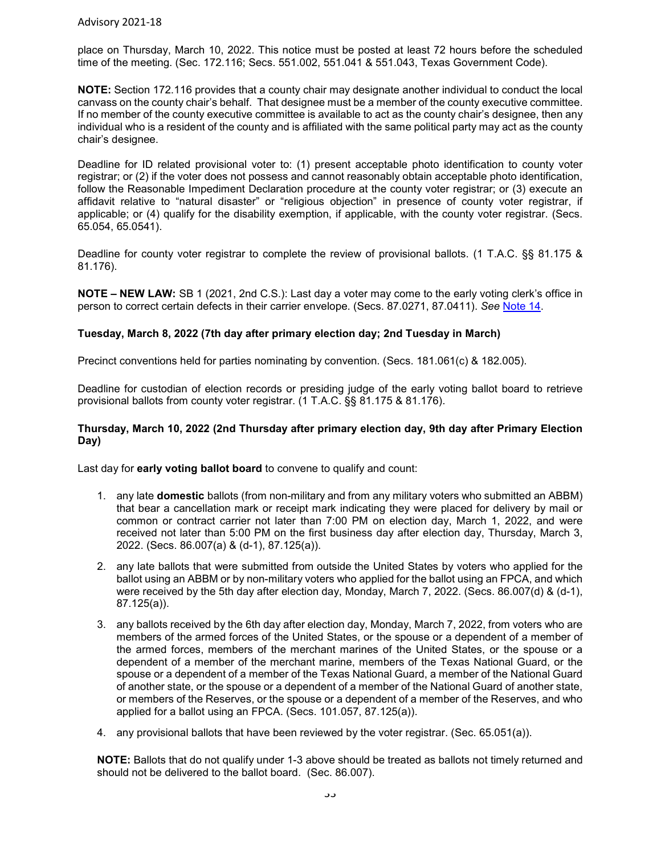place on Thursday, March 10, 2022. This notice must be posted at least 72 hours before the scheduled time of the meeting. (Sec. 172.116; Secs. 551.002, 551.041 & 551.043, Texas Government Code).

**NOTE:** Section 172.116 provides that a county chair may designate another individual to conduct the local canvass on the county chair's behalf. That designee must be a member of the county executive committee. If no member of the county executive committee is available to act as the county chair's designee, then any individual who is a resident of the county and is affiliated with the same political party may act as the county chair's designee.

Deadline for ID related provisional voter to: (1) present acceptable photo identification to county voter registrar; or (2) if the voter does not possess and cannot reasonably obtain acceptable photo identification, follow the Reasonable Impediment Declaration procedure at the county voter registrar; or (3) execute an affidavit relative to "natural disaster" or "religious objection" in presence of county voter registrar, if applicable; or (4) qualify for the disability exemption, if applicable, with the county voter registrar. (Secs. 65.054, 65.0541).

Deadline for county voter registrar to complete the review of provisional ballots. (1 T.A.C. §§ 81.175 & 81.176).

**NOTE – NEW LAW:** SB 1 (2021, 2nd C.S.): Last day a voter may come to the early voting clerk's office in person to correct certain defects in their carrier envelope. (Secs. 87.0271, 87.0411). *See* [Note 14.](#page-8-1)

#### **Tuesday, March 8, 2022 (7th day after primary election day; 2nd Tuesday in March)**

Precinct conventions held for parties nominating by convention. (Secs. 181.061(c) & 182.005).

Deadline for custodian of election records or presiding judge of the early voting ballot board to retrieve provisional ballots from county voter registrar. (1 T.A.C. §§ 81.175 & 81.176).

#### **Thursday, March 10, 2022 (2nd Thursday after primary election day, 9th day after Primary Election Day)**

Last day for **early voting ballot board** to convene to qualify and count:

- 1. any late **domestic** ballots (from non-military and from any military voters who submitted an ABBM) that bear a cancellation mark or receipt mark indicating they were placed for delivery by mail or common or contract carrier not later than 7:00 PM on election day, March 1, 2022, and were received not later than 5:00 PM on the first business day after election day, Thursday, March 3, 2022. (Secs. 86.007(a) & (d-1), 87.125(a)).
- 2. any late ballots that were submitted from outside the United States by voters who applied for the ballot using an ABBM or by non-military voters who applied for the ballot using an FPCA, and which were received by the 5th day after election day, Monday, March 7, 2022. (Secs. 86.007(d) & (d-1), 87.125(a)).
- 3. any ballots received by the 6th day after election day, Monday, March 7, 2022, from voters who are members of the armed forces of the United States, or the spouse or a dependent of a member of the armed forces, members of the merchant marines of the United States, or the spouse or a dependent of a member of the merchant marine, members of the Texas National Guard, or the spouse or a dependent of a member of the Texas National Guard, a member of the National Guard of another state, or the spouse or a dependent of a member of the National Guard of another state, or members of the Reserves, or the spouse or a dependent of a member of the Reserves, and who applied for a ballot using an FPCA. (Secs. 101.057, 87.125(a)).
- 4. any provisional ballots that have been reviewed by the voter registrar. (Sec. 65.051(a)).

**NOTE:** Ballots that do not qualify under 1-3 above should be treated as ballots not timely returned and should not be delivered to the ballot board. (Sec. 86.007).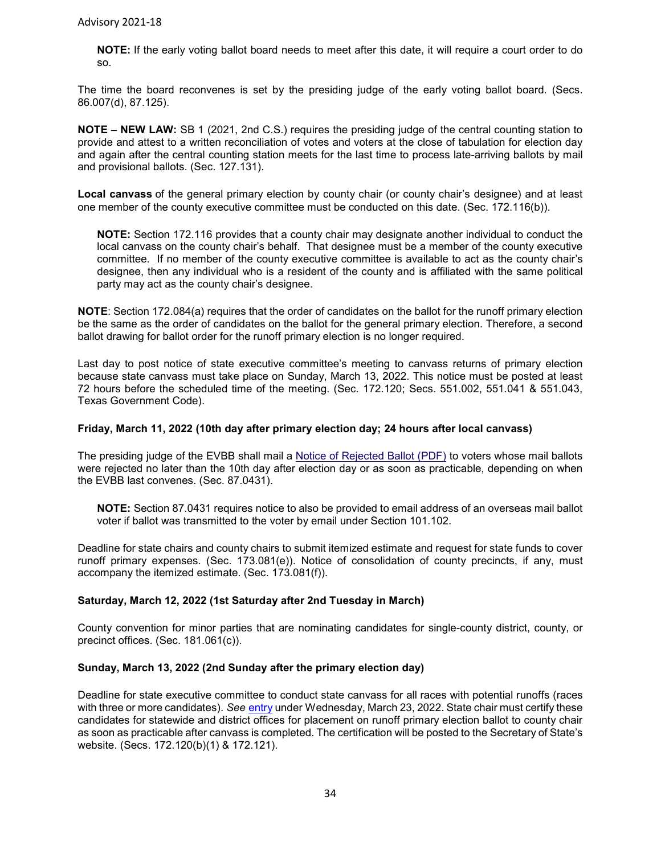**NOTE:** If the early voting ballot board needs to meet after this date, it will require a court order to do so.

The time the board reconvenes is set by the presiding judge of the early voting ballot board. (Secs. 86.007(d), 87.125).

**NOTE – NEW LAW:** SB 1 (2021, 2nd C.S.) requires the presiding judge of the central counting station to provide and attest to a written reconciliation of votes and voters at the close of tabulation for election day and again after the central counting station meets for the last time to process late-arriving ballots by mail and provisional ballots. (Sec. 127.131).

**Local canvass** of the general primary election by county chair (or county chair's designee) and at least one member of the county executive committee must be conducted on this date. (Sec. 172.116(b)).

**NOTE:** Section 172.116 provides that a county chair may designate another individual to conduct the local canvass on the county chair's behalf. That designee must be a member of the county executive committee. If no member of the county executive committee is available to act as the county chair's designee, then any individual who is a resident of the county and is affiliated with the same political party may act as the county chair's designee.

**NOTE**: Section 172.084(a) requires that the order of candidates on the ballot for the runoff primary election be the same as the order of candidates on the ballot for the general primary election. Therefore, a second ballot drawing for ballot order for the runoff primary election is no longer required.

Last day to post notice of state executive committee's meeting to canvass returns of primary election because state canvass must take place on Sunday, March 13, 2022. This notice must be posted at least 72 hours before the scheduled time of the meeting. (Sec. 172.120; Secs. 551.002, 551.041 & 551.043, Texas Government Code).

#### **Friday, March 11, 2022 (10th day after primary election day; 24 hours after local canvass)**

The presiding judge of the EVBB shall mail a Notice of [Rejected Ballot \(PDF\)](https://www.sos.state.tx.us/elections/forms/pol-sub/5-42f.pdf) to voters whose mail ballots were rejected no later than the 10th day after election day or as soon as practicable, depending on when the EVBB last convenes. (Sec. 87.0431).

**NOTE:** Section 87.0431 requires notice to also be provided to email address of an overseas mail ballot voter if ballot was transmitted to the voter by email under Section 101.102.

Deadline for state chairs and county chairs to submit itemized estimate and request for state funds to cover runoff primary expenses. (Sec. 173.081(e)). Notice of consolidation of county precincts, if any, must accompany the itemized estimate. (Sec. 173.081(f)).

#### **Saturday, March 12, 2022 (1st Saturday after 2nd Tuesday in March)**

County convention for minor parties that are nominating candidates for single-county district, county, or precinct offices. (Sec. 181.061(c)).

#### <span id="page-33-0"></span>**Sunday, March 13, 2022 (2nd Sunday after the primary election day)**

Deadline for state executive committee to conduct state canvass for all races with potential runoffs (races with three or more candidates). *See* [entry](#page-34-0) under Wednesday, March 23, 2022. State chair must certify these candidates for statewide and district offices for placement on runoff primary election ballot to county chair as soon as practicable after canvass is completed. The certification will be posted to the Secretary of State's website. (Secs. 172.120(b)(1) & 172.121).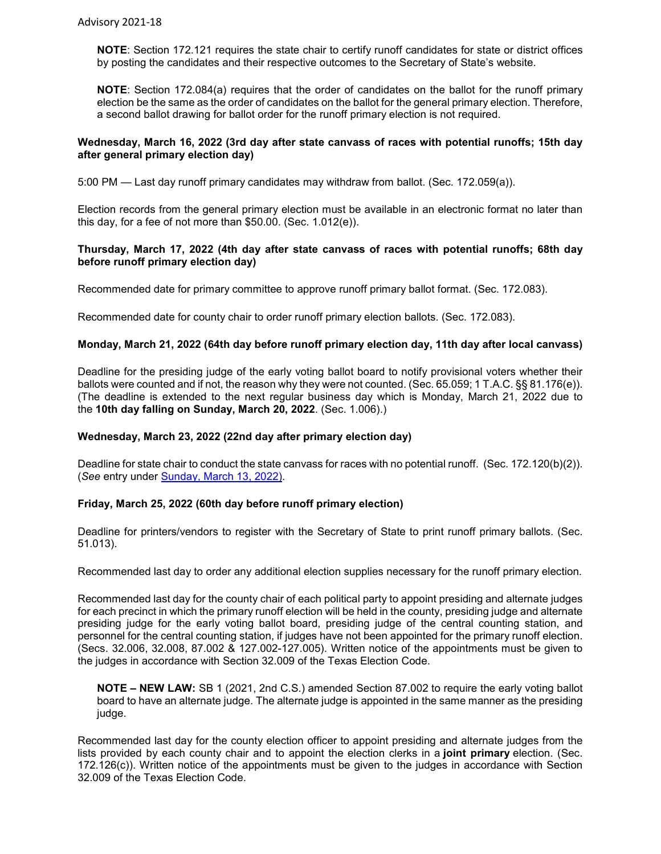**NOTE**: Section 172.121 requires the state chair to certify runoff candidates for state or district offices by posting the candidates and their respective outcomes to the Secretary of State's website.

**NOTE**: Section 172.084(a) requires that the order of candidates on the ballot for the runoff primary election be the same as the order of candidates on the ballot for the general primary election. Therefore, a second ballot drawing for ballot order for the runoff primary election is not required.

#### **Wednesday, March 16, 2022 (3rd day after state canvass of races with potential runoffs; 15th day after general primary election day)**

5:00 PM — Last day runoff primary candidates may withdraw from ballot. (Sec. 172.059(a)).

Election records from the general primary election must be available in an electronic format no later than this day, for a fee of not more than \$50.00. (Sec. 1.012(e)).

#### **Thursday, March 17, 2022 (4th day after state canvass of races with potential runoffs; 68th day before runoff primary election day)**

Recommended date for primary committee to approve runoff primary ballot format. (Sec. 172.083).

Recommended date for county chair to order runoff primary election ballots. (Sec. 172.083).

#### **Monday, March 21, 2022 (64th day before runoff primary election day, 11th day after local canvass)**

Deadline for the presiding judge of the early voting ballot board to notify provisional voters whether their ballots were counted and if not, the reason why they were not counted. (Sec. 65.059; 1 T.A.C. §§ 81.176(e)). (The deadline is extended to the next regular business day which is Monday, March 21, 2022 due to the **10th day falling on Sunday, March 20, 2022**. (Sec. 1.006).)

#### <span id="page-34-0"></span>**Wednesday, March 23, 2022 (22nd day after primary election day)**

Deadline for state chair to conduct the state canvass for races with no potential runoff. (Sec. 172.120(b)(2)). (*See* entry under [Sunday, March 13, 2022\)](#page-33-0).

#### **Friday, March 25, 2022 (60th day before runoff primary election)**

Deadline for printers/vendors to register with the Secretary of State to print runoff primary ballots. (Sec. 51.013).

Recommended last day to order any additional election supplies necessary for the runoff primary election.

Recommended last day for the county chair of each political party to appoint presiding and alternate judges for each precinct in which the primary runoff election will be held in the county, presiding judge and alternate presiding judge for the early voting ballot board, presiding judge of the central counting station, and personnel for the central counting station, if judges have not been appointed for the primary runoff election. (Secs. 32.006, 32.008, 87.002 & 127.002-127.005). Written notice of the appointments must be given to the judges in accordance with Section 32.009 of the Texas Election Code.

**NOTE – NEW LAW:** SB 1 (2021, 2nd C.S.) amended Section 87.002 to require the early voting ballot board to have an alternate judge. The alternate judge is appointed in the same manner as the presiding judge.

Recommended last day for the county election officer to appoint presiding and alternate judges from the lists provided by each county chair and to appoint the election clerks in a **joint primary** election. (Sec. 172.126(c)). Written notice of the appointments must be given to the judges in accordance with Section 32.009 of the Texas Election Code.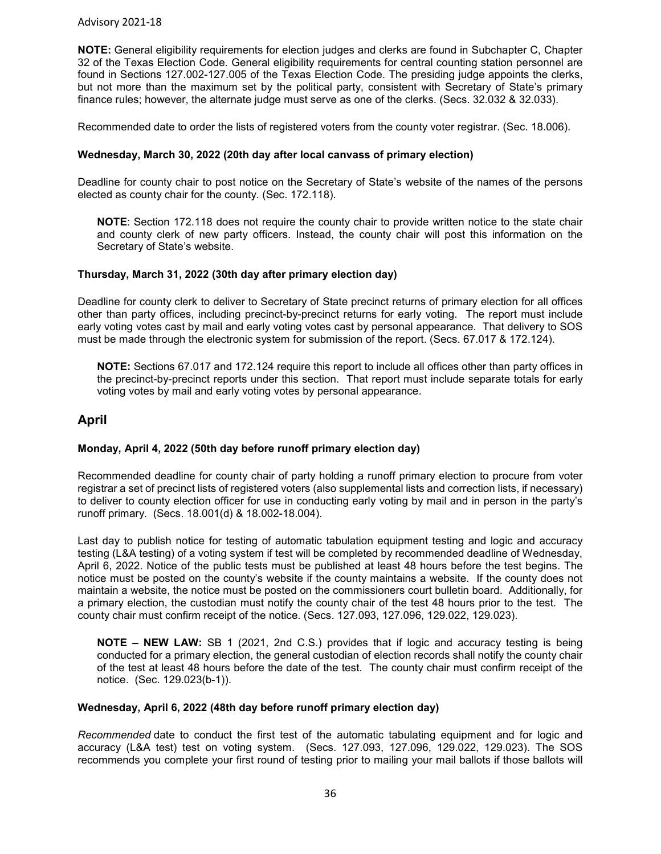**NOTE:** General eligibility requirements for election judges and clerks are found in Subchapter C, Chapter 32 of the Texas Election Code. General eligibility requirements for central counting station personnel are found in Sections 127.002-127.005 of the Texas Election Code. The presiding judge appoints the clerks, but not more than the maximum set by the political party, consistent with Secretary of State's primary finance rules; however, the alternate judge must serve as one of the clerks. (Secs. 32.032 & 32.033).

Recommended date to order the lists of registered voters from the county voter registrar. (Sec. 18.006).

#### **Wednesday, March 30, 2022 (20th day after local canvass of primary election)**

Deadline for county chair to post notice on the Secretary of State's website of the names of the persons elected as county chair for the county. (Sec. 172.118).

**NOTE**: Section 172.118 does not require the county chair to provide written notice to the state chair and county clerk of new party officers. Instead, the county chair will post this information on the Secretary of State's website.

#### **Thursday, March 31, 2022 (30th day after primary election day)**

Deadline for county clerk to deliver to Secretary of State precinct returns of primary election for all offices other than party offices, including precinct-by-precinct returns for early voting. The report must include early voting votes cast by mail and early voting votes cast by personal appearance. That delivery to SOS must be made through the electronic system for submission of the report. (Secs. 67.017 & 172.124).

**NOTE:** Sections 67.017 and 172.124 require this report to include all offices other than party offices in the precinct-by-precinct reports under this section. That report must include separate totals for early voting votes by mail and early voting votes by personal appearance.

## **April**

#### **Monday, April 4, 2022 (50th day before runoff primary election day)**

Recommended deadline for county chair of party holding a runoff primary election to procure from voter registrar a set of precinct lists of registered voters (also supplemental lists and correction lists, if necessary) to deliver to county election officer for use in conducting early voting by mail and in person in the party's runoff primary. (Secs. 18.001(d) & 18.002-18.004).

Last day to publish notice for testing of automatic tabulation equipment testing and logic and accuracy testing (L&A testing) of a voting system if test will be completed by recommended deadline of Wednesday, April 6, 2022. Notice of the public tests must be published at least 48 hours before the test begins. The notice must be posted on the county's website if the county maintains a website. If the county does not maintain a website, the notice must be posted on the commissioners court bulletin board. Additionally, for a primary election, the custodian must notify the county chair of the test 48 hours prior to the test. The county chair must confirm receipt of the notice. (Secs. 127.093, 127.096, 129.022, 129.023).

**NOTE – NEW LAW:** SB 1 (2021, 2nd C.S.) provides that if logic and accuracy testing is being conducted for a primary election, the general custodian of election records shall notify the county chair of the test at least 48 hours before the date of the test. The county chair must confirm receipt of the notice. (Sec. 129.023(b-1)).

#### **Wednesday, April 6, 2022 (48th day before runoff primary election day)**

*Recommended* date to conduct the first test of the automatic tabulating equipment and for logic and accuracy (L&A test) test on voting system. (Secs. 127.093, 127.096, 129.022, 129.023). The SOS recommends you complete your first round of testing prior to mailing your mail ballots if those ballots will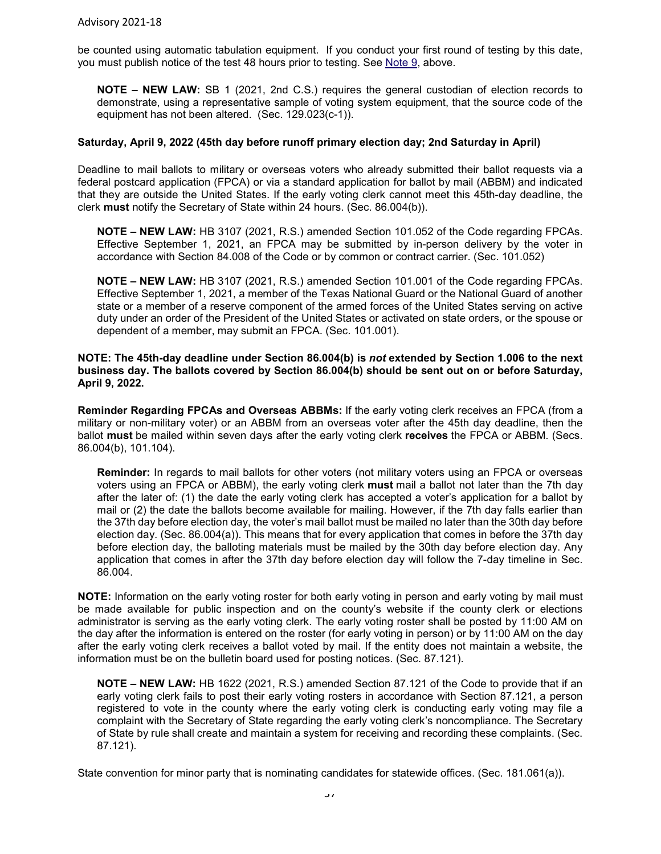be counted using automatic tabulation equipment. If you conduct your first round of testing by this date, you must publish notice of the test 48 hours prior to testing. See [Note 9](#page-5-0), above.

**NOTE – NEW LAW:** SB 1 (2021, 2nd C.S.) requires the general custodian of election records to demonstrate, using a representative sample of voting system equipment, that the source code of the equipment has not been altered. (Sec. 129.023(c-1)).

#### **Saturday, April 9, 2022 (45th day before runoff primary election day; 2nd Saturday in April)**

Deadline to mail ballots to military or overseas voters who already submitted their ballot requests via a federal postcard application (FPCA) or via a standard application for ballot by mail (ABBM) and indicated that they are outside the United States. If the early voting clerk cannot meet this 45th-day deadline, the clerk **must** notify the Secretary of State within 24 hours. (Sec. 86.004(b)).

**NOTE – NEW LAW:** HB 3107 (2021, R.S.) amended Section 101.052 of the Code regarding FPCAs. Effective September 1, 2021, an FPCA may be submitted by in-person delivery by the voter in accordance with Section 84.008 of the Code or by common or contract carrier. (Sec. 101.052)

**NOTE – NEW LAW:** HB 3107 (2021, R.S.) amended Section 101.001 of the Code regarding FPCAs. Effective September 1, 2021, a member of the Texas National Guard or the National Guard of another state or a member of a reserve component of the armed forces of the United States serving on active duty under an order of the President of the United States or activated on state orders, or the spouse or dependent of a member, may submit an FPCA. (Sec. 101.001).

#### **NOTE: The 45th-day deadline under Section 86.004(b) is** *not* **extended by Section 1.006 to the next business day. The ballots covered by Section 86.004(b) should be sent out on or before Saturday, April 9, 2022.**

**Reminder Regarding FPCAs and Overseas ABBMs:** If the early voting clerk receives an FPCA (from a military or non-military voter) or an ABBM from an overseas voter after the 45th day deadline, then the ballot **must** be mailed within seven days after the early voting clerk **receives** the FPCA or ABBM. (Secs. 86.004(b), 101.104).

**Reminder:** In regards to mail ballots for other voters (not military voters using an FPCA or overseas voters using an FPCA or ABBM), the early voting clerk **must** mail a ballot not later than the 7th day after the later of: (1) the date the early voting clerk has accepted a voter's application for a ballot by mail or (2) the date the ballots become available for mailing. However, if the 7th day falls earlier than the 37th day before election day, the voter's mail ballot must be mailed no later than the 30th day before election day. (Sec. 86.004(a)). This means that for every application that comes in before the 37th day before election day, the balloting materials must be mailed by the 30th day before election day. Any application that comes in after the 37th day before election day will follow the 7-day timeline in Sec. 86.004.

**NOTE:** Information on the early voting roster for both early voting in person and early voting by mail must be made available for public inspection and on the county's website if the county clerk or elections administrator is serving as the early voting clerk. The early voting roster shall be posted by 11:00 AM on the day after the information is entered on the roster (for early voting in person) or by 11:00 AM on the day after the early voting clerk receives a ballot voted by mail. If the entity does not maintain a website, the information must be on the bulletin board used for posting notices. (Sec. 87.121).

**NOTE – NEW LAW:** HB 1622 (2021, R.S.) amended Section 87.121 of the Code to provide that if an early voting clerk fails to post their early voting rosters in accordance with Section 87.121, a person registered to vote in the county where the early voting clerk is conducting early voting may file a complaint with the Secretary of State regarding the early voting clerk's noncompliance. The Secretary of State by rule shall create and maintain a system for receiving and recording these complaints. (Sec. 87.121).

State convention for minor party that is nominating candidates for statewide offices. (Sec. 181.061(a)).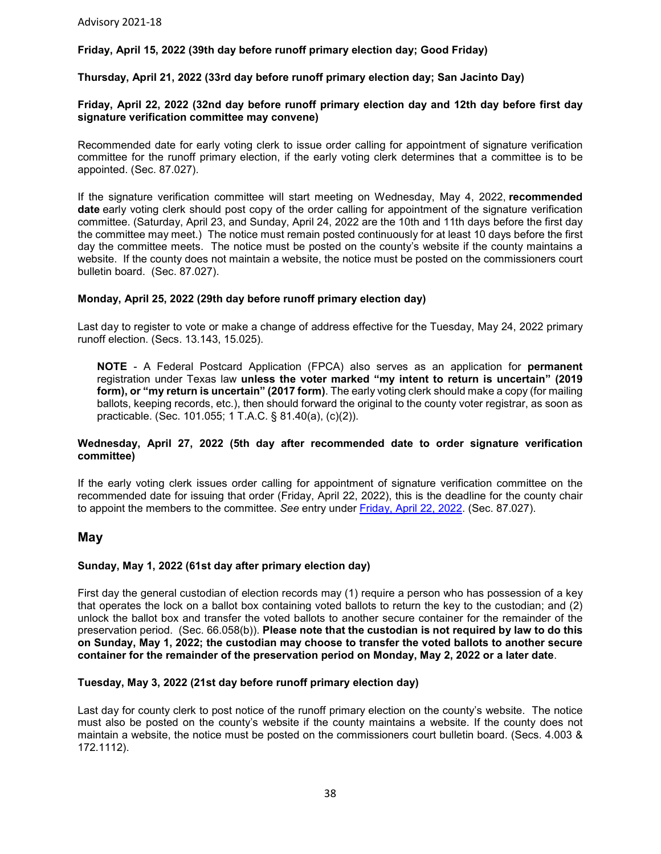#### <span id="page-37-0"></span>**Friday, April 15, 2022 (39th day before runoff primary election day; Good Friday)**

#### **Thursday, April 21, 2022 (33rd day before runoff primary election day; San Jacinto Day)**

#### **Friday, April 22, 2022 (32nd day before runoff primary election day and 12th day before first day signature verification committee may convene)**

Recommended date for early voting clerk to issue order calling for appointment of signature verification committee for the runoff primary election, if the early voting clerk determines that a committee is to be appointed. (Sec. 87.027).

If the signature verification committee will start meeting on Wednesday, May 4, 2022, **recommended date** early voting clerk should post copy of the order calling for appointment of the signature verification committee. (Saturday, April 23, and Sunday, April 24, 2022 are the 10th and 11th days before the first day the committee may meet.) The notice must remain posted continuously for at least 10 days before the first day the committee meets. The notice must be posted on the county's website if the county maintains a website. If the county does not maintain a website, the notice must be posted on the commissioners court bulletin board. (Sec. 87.027).

#### **Monday, April 25, 2022 (29th day before runoff primary election day)**

Last day to register to vote or make a change of address effective for the Tuesday, May 24, 2022 primary runoff election. (Secs. 13.143, 15.025).

**NOTE** - A Federal Postcard Application (FPCA) also serves as an application for **permanent** registration under Texas law **unless the voter marked "my intent to return is uncertain" (2019 form), or "my return is uncertain" (2017 form)**. The early voting clerk should make a copy (for mailing ballots, keeping records, etc.), then should forward the original to the county voter registrar, as soon as practicable. (Sec. 101.055; 1 T.A.C. § 81.40(a), (c)(2)).

#### **Wednesday, April 27, 2022 (5th day after recommended date to order signature verification committee)**

If the early voting clerk issues order calling for appointment of signature verification committee on the recommended date for issuing that order (Friday, April 22, 2022), this is the deadline for the county chair to appoint the members to the committee. *See* entry under [Friday, April 22, 2022.](#page-37-0) (Sec. 87.027).

## **May**

#### **Sunday, May 1, 2022 (61st day after primary election day)**

First day the general custodian of election records may (1) require a person who has possession of a key that operates the lock on a ballot box containing voted ballots to return the key to the custodian; and (2) unlock the ballot box and transfer the voted ballots to another secure container for the remainder of the preservation period. (Sec. 66.058(b)). **Please note that the custodian is not required by law to do this on Sunday, May 1, 2022; the custodian may choose to transfer the voted ballots to another secure container for the remainder of the preservation period on Monday, May 2, 2022 or a later date**.

#### **Tuesday, May 3, 2022 (21st day before runoff primary election day)**

Last day for county clerk to post notice of the runoff primary election on the county's website. The notice must also be posted on the county's website if the county maintains a website. If the county does not maintain a website, the notice must be posted on the commissioners court bulletin board. (Secs. 4.003 & 172.1112).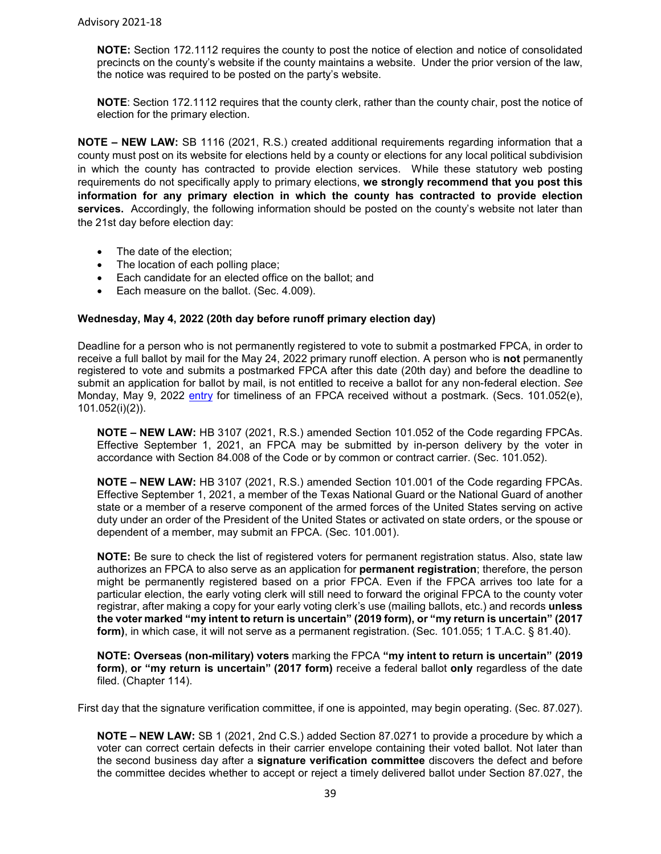**NOTE:** Section 172.1112 requires the county to post the notice of election and notice of consolidated precincts on the county's website if the county maintains a website. Under the prior version of the law, the notice was required to be posted on the party's website.

**NOTE**: Section 172.1112 requires that the county clerk, rather than the county chair, post the notice of election for the primary election.

**NOTE – NEW LAW:** SB 1116 (2021, R.S.) created additional requirements regarding information that a county must post on its website for elections held by a county or elections for any local political subdivision in which the county has contracted to provide election services. While these statutory web posting requirements do not specifically apply to primary elections, **we strongly recommend that you post this information for any primary election in which the county has contracted to provide election services.** Accordingly, the following information should be posted on the county's website not later than the 21st day before election day:

- The date of the election;
- The location of each polling place;
- Each candidate for an elected office on the ballot; and
- Each measure on the ballot. (Sec. 4.009).

#### <span id="page-38-0"></span>**Wednesday, May 4, 2022 (20th day before runoff primary election day)**

Deadline for a person who is not permanently registered to vote to submit a postmarked FPCA, in order to receive a full ballot by mail for the May 24, 2022 primary runoff election. A person who is **not** permanently registered to vote and submits a postmarked FPCA after this date (20th day) and before the deadline to submit an application for ballot by mail, is not entitled to receive a ballot for any non-federal election. *See* Monday, May 9, 2022 [entry](#page-39-0) for timeliness of an FPCA received without a postmark. (Secs. 101.052(e), 101.052(i)(2)).

**NOTE – NEW LAW:** HB 3107 (2021, R.S.) amended Section 101.052 of the Code regarding FPCAs. Effective September 1, 2021, an FPCA may be submitted by in-person delivery by the voter in accordance with Section 84.008 of the Code or by common or contract carrier. (Sec. 101.052).

**NOTE – NEW LAW:** HB 3107 (2021, R.S.) amended Section 101.001 of the Code regarding FPCAs. Effective September 1, 2021, a member of the Texas National Guard or the National Guard of another state or a member of a reserve component of the armed forces of the United States serving on active duty under an order of the President of the United States or activated on state orders, or the spouse or dependent of a member, may submit an FPCA. (Sec. 101.001).

**NOTE:** Be sure to check the list of registered voters for permanent registration status. Also, state law authorizes an FPCA to also serve as an application for **permanent registration**; therefore, the person might be permanently registered based on a prior FPCA. Even if the FPCA arrives too late for a particular election, the early voting clerk will still need to forward the original FPCA to the county voter registrar, after making a copy for your early voting clerk's use (mailing ballots, etc.) and records **unless the voter marked "my intent to return is uncertain" (2019 form), or "my return is uncertain" (2017 form)**, in which case, it will not serve as a permanent registration. (Sec. 101.055; 1 T.A.C. § 81.40).

**NOTE: Overseas (non-military) voters** marking the FPCA **"my intent to return is uncertain" (2019 form)**, **or "my return is uncertain" (2017 form)** receive a federal ballot **only** regardless of the date filed. (Chapter 114).

First day that the signature verification committee, if one is appointed, may begin operating. (Sec. 87.027).

**NOTE – NEW LAW:** SB 1 (2021, 2nd C.S.) added Section 87.0271 to provide a procedure by which a voter can correct certain defects in their carrier envelope containing their voted ballot. Not later than the second business day after a **signature verification committee** discovers the defect and before the committee decides whether to accept or reject a timely delivered ballot under Section 87.027, the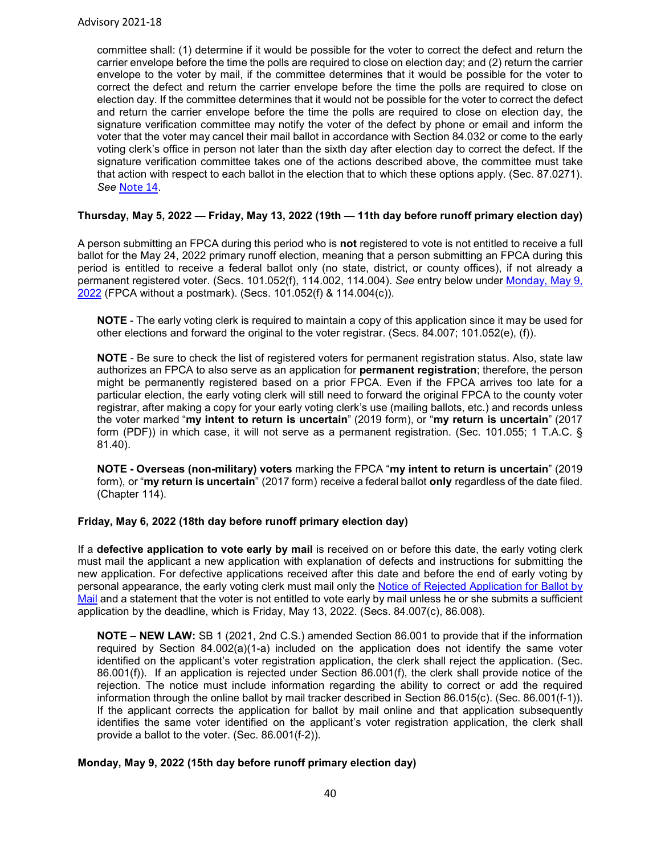committee shall: (1) determine if it would be possible for the voter to correct the defect and return the carrier envelope before the time the polls are required to close on election day; and (2) return the carrier envelope to the voter by mail, if the committee determines that it would be possible for the voter to correct the defect and return the carrier envelope before the time the polls are required to close on election day. If the committee determines that it would not be possible for the voter to correct the defect and return the carrier envelope before the time the polls are required to close on election day, the signature verification committee may notify the voter of the defect by phone or email and inform the voter that the voter may cancel their mail ballot in accordance with Section 84.032 or come to the early voting clerk's office in person not later than the sixth day after election day to correct the defect. If the signature verification committee takes one of the actions described above, the committee must take that action with respect to each ballot in the election that to which these options apply. (Sec. 87.0271). *See* Note 14.

#### **Thursday, May 5, 2022 — Friday, May 13, 2022 (19th — 11th day before runoff primary election day)**

A person submitting an FPCA during this period who is **not** registered to vote is not entitled to receive a full ballot for the May 24, 2022 primary runoff election, meaning that a person submitting an FPCA during this period is entitled to receive a federal ballot only (no state, district, or county offices), if not already a permanent registered voter. (Secs. 101.052(f), 114.002, 114.004). *See* entry below under [Monday, May 9,](#page-39-0)  [2022](#page-39-0) (FPCA without a postmark). (Secs. 101.052(f) & 114.004(c)).

**NOTE** - The early voting clerk is required to maintain a copy of this application since it may be used for other elections and forward the original to the voter registrar. (Secs. 84.007; 101.052(e), (f)).

**NOTE** - Be sure to check the list of registered voters for permanent registration status. Also, state law authorizes an FPCA to also serve as an application for **permanent registration**; therefore, the person might be permanently registered based on a prior FPCA. Even if the FPCA arrives too late for a particular election, the early voting clerk will still need to forward the original FPCA to the county voter registrar, after making a copy for your early voting clerk's use (mailing ballots, etc.) and records unless the voter marked "**my intent to return is uncertain**" (2019 form), or "**my return is uncertain**" (2017 form (PDF)) in which case, it will not serve as a permanent registration. (Sec. 101.055; 1 T.A.C. § 81.40).

**NOTE - Overseas (non-military) voters** marking the FPCA "**my intent to return is uncertain**" (2019 form), or "**my return is uncertain**" (2017 form) receive a federal ballot **only** regardless of the date filed. (Chapter 114).

#### **Friday, May 6, 2022 (18th day before runoff primary election day)**

If a **defective application to vote early by mail** is received on or before this date, the early voting clerk must mail the applicant a new application with explanation of defects and instructions for submitting the new application. For defective applications received after this date and before the end of early voting by personal appearance, the early voting clerk must mail only the [Notice of Rejected Application for Ballot by](http://www.sos.state.tx.us/elections/forms/pol-sub/5-16f.pdf)  [Mail](http://www.sos.state.tx.us/elections/forms/pol-sub/5-16f.pdf) and a statement that the voter is not entitled to vote early by mail unless he or she submits a sufficient application by the deadline, which is Friday, May 13, 2022. (Secs. 84.007(c), 86.008).

**NOTE – NEW LAW:** SB 1 (2021, 2nd C.S.) amended Section 86.001 to provide that if the information required by Section 84.002(a)(1-a) included on the application does not identify the same voter identified on the applicant's voter registration application, the clerk shall reject the application. (Sec. 86.001(f)). If an application is rejected under Section 86.001(f), the clerk shall provide notice of the rejection. The notice must include information regarding the ability to correct or add the required information through the online ballot by mail tracker described in Section 86.015(c). (Sec. 86.001(f-1)). If the applicant corrects the application for ballot by mail online and that application subsequently identifies the same voter identified on the applicant's voter registration application, the clerk shall provide a ballot to the voter. (Sec. 86.001(f-2)).

#### <span id="page-39-0"></span>**Monday, May 9, 2022 (15th day before runoff primary election day)**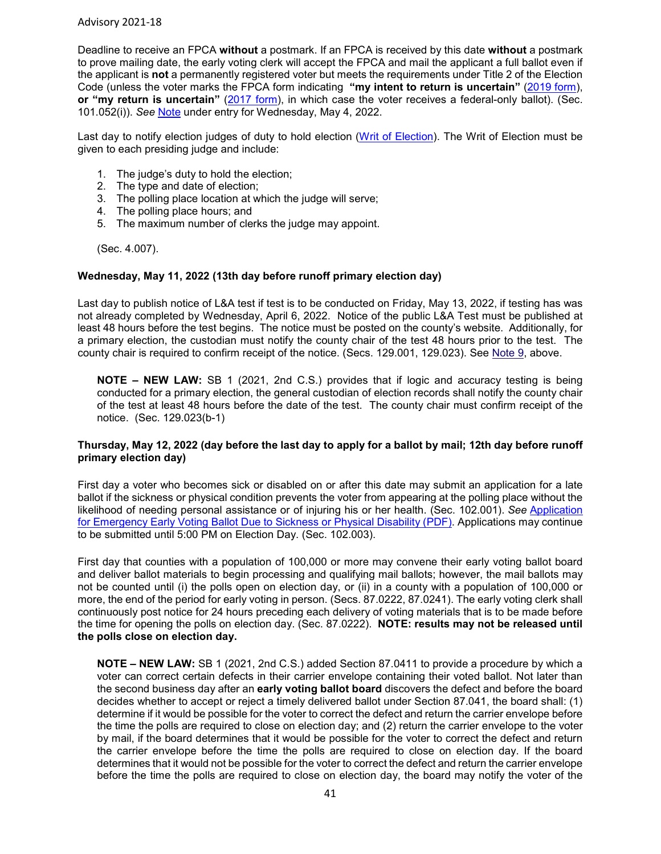Deadline to receive an FPCA **without** a postmark. If an FPCA is received by this date **without** a postmark to prove mailing date, the early voting clerk will accept the FPCA and mail the applicant a full ballot even if the applicant is **not** a permanently registered voter but meets the requirements under Title 2 of the Election Code (unless the voter marks the FPCA form indicating **"my intent to return is uncertain"** [\(2019 form\)](https://www.fvap.gov/uploads/FVAP/Forms/fpca2013.pdf), **or "my return is uncertain"** [\(2017 form\)](https://www.fvap.gov/uploads/FVAP/fpca-qrg.pdf), in which case the voter receives a federal-only ballot). (Sec. 101.052(i)). *See* [Note](#page-38-0) under entry for Wednesday, May 4, 2022.

Last day to notify election judges of duty to hold election [\(Writ of Election\)](http://www.sos.state.tx.us/elections/forms/pol-sub/4-12f.pdf). The Writ of Election must be given to each presiding judge and include:

- 1. The judge's duty to hold the election;
- 2. The type and date of election;
- 3. The polling place location at which the judge will serve;
- 4. The polling place hours; and
- 5. The maximum number of clerks the judge may appoint.

(Sec. 4.007).

#### **Wednesday, May 11, 2022 (13th day before runoff primary election day)**

Last day to publish notice of L&A test if test is to be conducted on Friday, May 13, 2022, if testing has was not already completed by Wednesday, April 6, 2022. Notice of the public L&A Test must be published at least 48 hours before the test begins. The notice must be posted on the county's website. Additionally, for a primary election, the custodian must notify the county chair of the test 48 hours prior to the test. The county chair is required to confirm receipt of the notice. (Secs. 129.001, 129.023). See [Note 9,](#page-5-0) above.

**NOTE – NEW LAW:** SB 1 (2021, 2nd C.S.) provides that if logic and accuracy testing is being conducted for a primary election, the general custodian of election records shall notify the county chair of the test at least 48 hours before the date of the test. The county chair must confirm receipt of the notice. (Sec. 129.023(b-1)

#### <span id="page-40-0"></span>**Thursday, May 12, 2022 (day before the last day to apply for a ballot by mail; 12th day before runoff primary election day)**

First day a voter who becomes sick or disabled on or after this date may submit an application for a late ballot if the sickness or physical condition prevents the voter from appearing at the polling place without the likelihood of needing personal assistance or of injuring his or her health. (Sec. 102.001). *See* [Application](https://www.sos.texas.gov/elections/forms/pol-sub/5-25f.pdf)  [for Emergency Early Voting Ballot Due to Sickness or Physical Disability \(PDF\).](https://www.sos.texas.gov/elections/forms/pol-sub/5-25f.pdf) Applications may continue to be submitted until 5:00 PM on Election Day. (Sec. 102.003).

First day that counties with a population of 100,000 or more may convene their early voting ballot board and deliver ballot materials to begin processing and qualifying mail ballots; however, the mail ballots may not be counted until (i) the polls open on election day, or (ii) in a county with a population of 100,000 or more, the end of the period for early voting in person. (Secs. 87.0222, 87.0241). The early voting clerk shall continuously post notice for 24 hours preceding each delivery of voting materials that is to be made before the time for opening the polls on election day. (Sec. 87.0222). **NOTE: results may not be released until the polls close on election day.**

**NOTE – NEW LAW:** SB 1 (2021, 2nd C.S.) added Section 87.0411 to provide a procedure by which a voter can correct certain defects in their carrier envelope containing their voted ballot. Not later than the second business day after an **early voting ballot board** discovers the defect and before the board decides whether to accept or reject a timely delivered ballot under Section 87.041, the board shall: (1) determine if it would be possible for the voter to correct the defect and return the carrier envelope before the time the polls are required to close on election day; and (2) return the carrier envelope to the voter by mail, if the board determines that it would be possible for the voter to correct the defect and return the carrier envelope before the time the polls are required to close on election day. If the board determines that it would not be possible for the voter to correct the defect and return the carrier envelope before the time the polls are required to close on election day, the board may notify the voter of the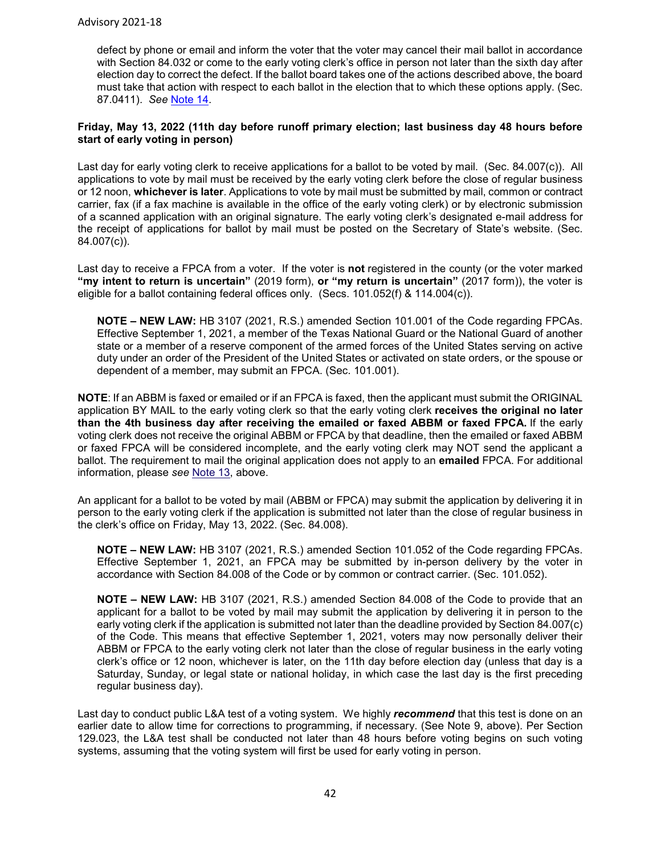defect by phone or email and inform the voter that the voter may cancel their mail ballot in accordance with Section 84.032 or come to the early voting clerk's office in person not later than the sixth day after election day to correct the defect. If the ballot board takes one of the actions described above, the board must take that action with respect to each ballot in the election that to which these options apply. (Sec. 87.0411). *See* [Note 14.](#page-8-1)

#### **Friday, May 13, 2022 (11th day before runoff primary election; last business day 48 hours before start of early voting in person)**

Last day for early voting clerk to receive applications for a ballot to be voted by mail. (Sec. 84.007(c)). All applications to vote by mail must be received by the early voting clerk before the close of regular business or 12 noon, **whichever is later**. Applications to vote by mail must be submitted by mail, common or contract carrier, fax (if a fax machine is available in the office of the early voting clerk) or by electronic submission of a scanned application with an original signature. The early voting clerk's designated e-mail address for the receipt of applications for ballot by mail must be posted on the Secretary of State's website. (Sec. 84.007(c)).

Last day to receive a FPCA from a voter. If the voter is **not** registered in the county (or the voter marked **"my intent to return is uncertain"** (2019 form), **or "my return is uncertain"** (2017 form)), the voter is eligible for a ballot containing federal offices only. (Secs. 101.052(f) & 114.004(c)).

**NOTE – NEW LAW:** HB 3107 (2021, R.S.) amended Section 101.001 of the Code regarding FPCAs. Effective September 1, 2021, a member of the Texas National Guard or the National Guard of another state or a member of a reserve component of the armed forces of the United States serving on active duty under an order of the President of the United States or activated on state orders, or the spouse or dependent of a member, may submit an FPCA. (Sec. 101.001).

**NOTE**: If an ABBM is faxed or emailed or if an FPCA is faxed, then the applicant must submit the ORIGINAL application BY MAIL to the early voting clerk so that the early voting clerk **receives the original no later than the 4th business day after receiving the emailed or faxed ABBM or faxed FPCA.** If the early voting clerk does not receive the original ABBM or FPCA by that deadline, then the emailed or faxed ABBM or faxed FPCA will be considered incomplete, and the early voting clerk may NOT send the applicant a ballot. The requirement to mail the original application does not apply to an **emailed** FPCA. For additional information, please *see* [Note 13](#page-8-0), above.

An applicant for a ballot to be voted by mail (ABBM or FPCA) may submit the application by delivering it in person to the early voting clerk if the application is submitted not later than the close of regular business in the clerk's office on Friday, May 13, 2022. (Sec. 84.008).

**NOTE – NEW LAW:** HB 3107 (2021, R.S.) amended Section 101.052 of the Code regarding FPCAs. Effective September 1, 2021, an FPCA may be submitted by in-person delivery by the voter in accordance with Section 84.008 of the Code or by common or contract carrier. (Sec. 101.052).

**NOTE – NEW LAW:** HB 3107 (2021, R.S.) amended Section 84.008 of the Code to provide that an applicant for a ballot to be voted by mail may submit the application by delivering it in person to the early voting clerk if the application is submitted not later than the deadline provided by Section 84.007(c) of the Code. This means that effective September 1, 2021, voters may now personally deliver their ABBM or FPCA to the early voting clerk not later than the close of regular business in the early voting clerk's office or 12 noon, whichever is later, on the 11th day before election day (unless that day is a Saturday, Sunday, or legal state or national holiday, in which case the last day is the first preceding regular business day).

Last day to conduct public L&A test of a voting system. We highly *recommend* that this test is done on an earlier date to allow time for corrections to programming, if necessary. (See Note 9, above). Per Section 129.023, the L&A test shall be conducted not later than 48 hours before voting begins on such voting systems, assuming that the voting system will first be used for early voting in person.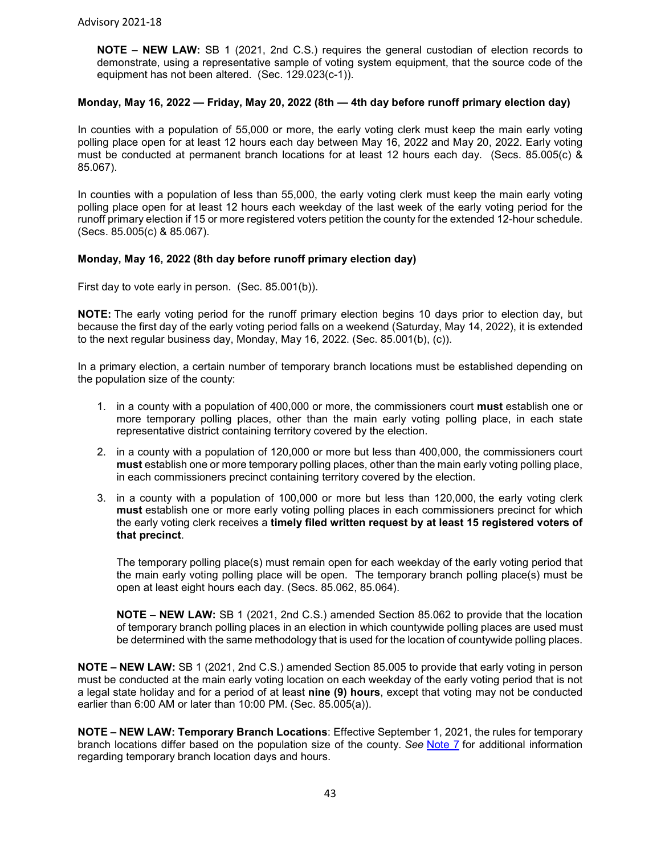**NOTE – NEW LAW:** SB 1 (2021, 2nd C.S.) requires the general custodian of election records to demonstrate, using a representative sample of voting system equipment, that the source code of the equipment has not been altered. (Sec. 129.023(c-1)).

#### **Monday, May 16, 2022 — Friday, May 20, 2022 (8th — 4th day before runoff primary election day)**

In counties with a population of 55,000 or more, the early voting clerk must keep the main early voting polling place open for at least 12 hours each day between May 16, 2022 and May 20, 2022. Early voting must be conducted at permanent branch locations for at least 12 hours each day. (Secs. 85.005(c) & 85.067).

In counties with a population of less than 55,000, the early voting clerk must keep the main early voting polling place open for at least 12 hours each weekday of the last week of the early voting period for the runoff primary election if 15 or more registered voters petition the county for the extended 12-hour schedule. (Secs. 85.005(c) & 85.067).

#### **Monday, May 16, 2022 (8th day before runoff primary election day)**

First day to vote early in person. (Sec. 85.001(b)).

**NOTE:** The early voting period for the runoff primary election begins 10 days prior to election day, but because the first day of the early voting period falls on a weekend (Saturday, May 14, 2022), it is extended to the next regular business day, Monday, May 16, 2022. (Sec. 85.001(b), (c)).

In a primary election, a certain number of temporary branch locations must be established depending on the population size of the county:

- 1. in a county with a population of 400,000 or more, the commissioners court **must** establish one or more temporary polling places, other than the main early voting polling place, in each state representative district containing territory covered by the election.
- 2. in a county with a population of 120,000 or more but less than 400,000, the commissioners court **must** establish one or more temporary polling places, other than the main early voting polling place, in each commissioners precinct containing territory covered by the election.
- 3. in a county with a population of 100,000 or more but less than 120,000, the early voting clerk **must** establish one or more early voting polling places in each commissioners precinct for which the early voting clerk receives a **timely filed written request by at least 15 registered voters of that precinct**.

The temporary polling place(s) must remain open for each weekday of the early voting period that the main early voting polling place will be open. The temporary branch polling place(s) must be open at least eight hours each day. (Secs. 85.062, 85.064).

**NOTE – NEW LAW:** SB 1 (2021, 2nd C.S.) amended Section 85.062 to provide that the location of temporary branch polling places in an election in which countywide polling places are used must be determined with the same methodology that is used for the location of countywide polling places.

**NOTE – NEW LAW:** SB 1 (2021, 2nd C.S.) amended Section 85.005 to provide that early voting in person must be conducted at the main early voting location on each weekday of the early voting period that is not a legal state holiday and for a period of at least **nine (9) hours**, except that voting may not be conducted earlier than 6:00 AM or later than 10:00 PM. (Sec. 85.005(a)).

**NOTE – NEW LAW: Temporary Branch Locations**: Effective September 1, 2021, the rules for temporary branch locations differ based on the population size of the county. *See* [Note 7](#page-3-1) for additional information regarding temporary branch location days and hours.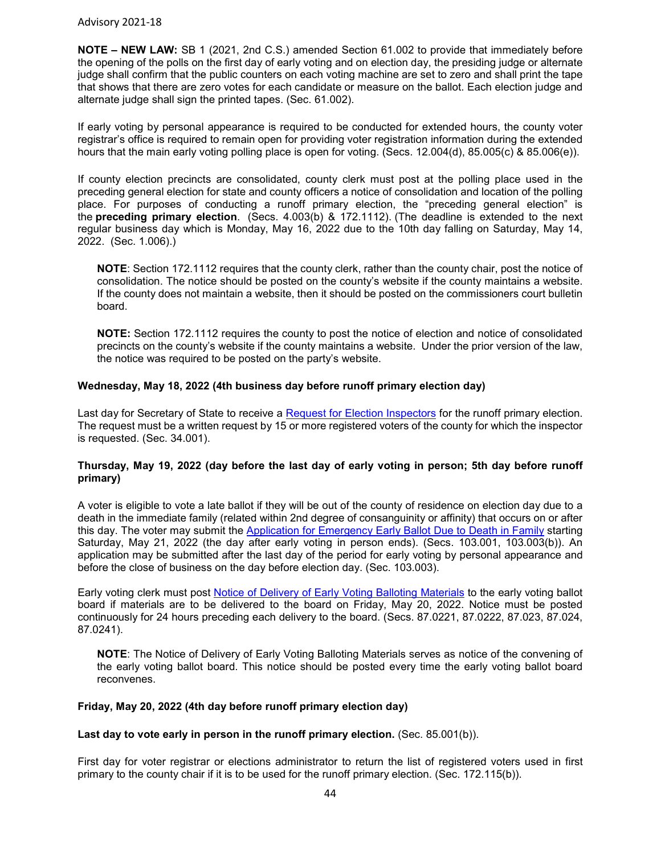**NOTE – NEW LAW:** SB 1 (2021, 2nd C.S.) amended Section 61.002 to provide that immediately before the opening of the polls on the first day of early voting and on election day, the presiding judge or alternate judge shall confirm that the public counters on each voting machine are set to zero and shall print the tape that shows that there are zero votes for each candidate or measure on the ballot. Each election judge and alternate judge shall sign the printed tapes. (Sec. 61.002).

If early voting by personal appearance is required to be conducted for extended hours, the county voter registrar's office is required to remain open for providing voter registration information during the extended hours that the main early voting polling place is open for voting. (Secs. 12.004(d), 85.005(c) & 85.006(e)).

If county election precincts are consolidated, county clerk must post at the polling place used in the preceding general election for state and county officers a notice of consolidation and location of the polling place. For purposes of conducting a runoff primary election, the "preceding general election" is the **preceding primary election**. (Secs. 4.003(b) & 172.1112). (The deadline is extended to the next regular business day which is Monday, May 16, 2022 due to the 10th day falling on Saturday, May 14, 2022. (Sec. 1.006).)

**NOTE**: Section 172.1112 requires that the county clerk, rather than the county chair, post the notice of consolidation. The notice should be posted on the county's website if the county maintains a website. If the county does not maintain a website, then it should be posted on the commissioners court bulletin board.

**NOTE:** Section 172.1112 requires the county to post the notice of election and notice of consolidated precincts on the county's website if the county maintains a website. Under the prior version of the law, the notice was required to be posted on the party's website.

#### **Wednesday, May 18, 2022 (4th business day before runoff primary election day)**

Last day for Secretary of State to receive a [Request for Election Inspectors](http://www.sos.state.tx.us/elections/forms/pol-sub/4-19f.pdf) for the runoff primary election. The request must be a written request by 15 or more registered voters of the county for which the inspector is requested. (Sec. 34.001).

#### **Thursday, May 19, 2022 (day before the last day of early voting in person; 5th day before runoff primary)**

A voter is eligible to vote a late ballot if they will be out of the county of residence on election day due to a death in the immediate family (related within 2nd degree of consanguinity or affinity) that occurs on or after this day. The voter may submit the [Application for Emergency Early Ballot Due to Death in Family](http://www.sos.state.tx.us/elections/forms/pol-sub/5-24f.pdf) starting Saturday, May 21, 2022 (the day after early voting in person ends). (Secs. 103.001, 103.003(b)). An application may be submitted after the last day of the period for early voting by personal appearance and before the close of business on the day before election day. (Sec. 103.003).

Early voting clerk must post [Notice of Delivery of Early Voting Balloting Materials](http://www.sos.state.tx.us/elections/forms/pol-sub/6-6f.pdf) to the early voting ballot board if materials are to be delivered to the board on Friday, May 20, 2022. Notice must be posted continuously for 24 hours preceding each delivery to the board. (Secs. 87.0221, 87.0222, 87.023, 87.024, 87.0241).

**NOTE**: The Notice of Delivery of Early Voting Balloting Materials serves as notice of the convening of the early voting ballot board. This notice should be posted every time the early voting ballot board reconvenes.

#### **Friday, May 20, 2022 (4th day before runoff primary election day)**

#### **Last day to vote early in person in the runoff primary election.** (Sec. 85.001(b)).

First day for voter registrar or elections administrator to return the list of registered voters used in first primary to the county chair if it is to be used for the runoff primary election. (Sec. 172.115(b)).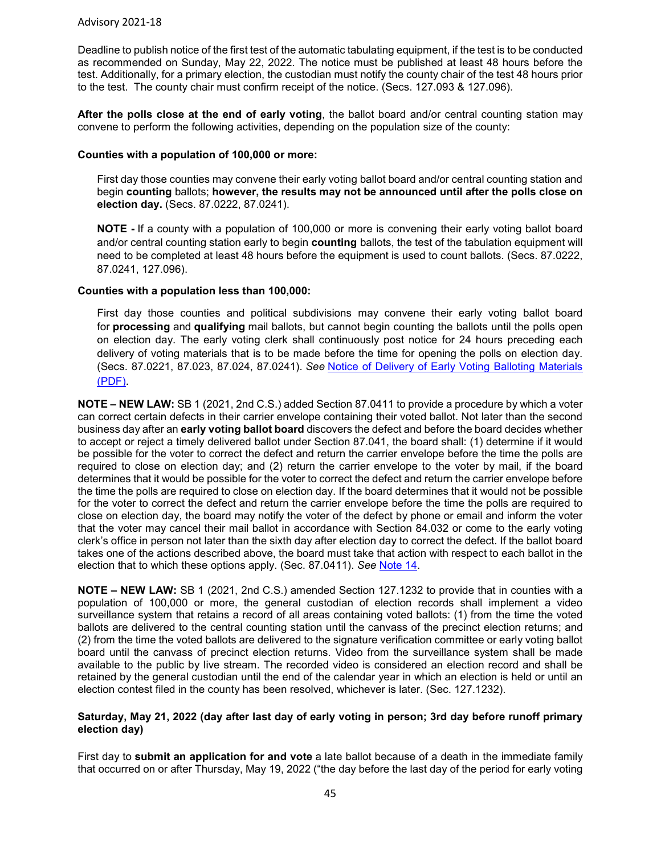Deadline to publish notice of the first test of the automatic tabulating equipment, if the test is to be conducted as recommended on Sunday, May 22, 2022. The notice must be published at least 48 hours before the test. Additionally, for a primary election, the custodian must notify the county chair of the test 48 hours prior to the test. The county chair must confirm receipt of the notice. (Secs. 127.093 & 127.096).

**After the polls close at the end of early voting**, the ballot board and/or central counting station may convene to perform the following activities, depending on the population size of the county:

#### **Counties with a population of 100,000 or more:**

First day those counties may convene their early voting ballot board and/or central counting station and begin **counting** ballots; **however, the results may not be announced until after the polls close on election day.** (Secs. 87.0222, 87.0241).

**NOTE -** If a county with a population of 100,000 or more is convening their early voting ballot board and/or central counting station early to begin **counting** ballots, the test of the tabulation equipment will need to be completed at least 48 hours before the equipment is used to count ballots. (Secs. 87.0222, 87.0241, 127.096).

#### **Counties with a population less than 100,000:**

First day those counties and political subdivisions may convene their early voting ballot board for **processing** and **qualifying** mail ballots, but cannot begin counting the ballots until the polls open on election day. The early voting clerk shall continuously post notice for 24 hours preceding each delivery of voting materials that is to be made before the time for opening the polls on election day. (Secs. 87.0221, 87.023, 87.024, 87.0241). *See* [Notice of Delivery of Early Voting Balloting Materials](https://www.sos.texas.gov/elections/forms/pol-sub/6-7f.pdf)  [\(PDF\)](https://www.sos.texas.gov/elections/forms/pol-sub/6-7f.pdf).

**NOTE – NEW LAW:** SB 1 (2021, 2nd C.S.) added Section 87.0411 to provide a procedure by which a voter can correct certain defects in their carrier envelope containing their voted ballot. Not later than the second business day after an **early voting ballot board** discovers the defect and before the board decides whether to accept or reject a timely delivered ballot under Section 87.041, the board shall: (1) determine if it would be possible for the voter to correct the defect and return the carrier envelope before the time the polls are required to close on election day; and (2) return the carrier envelope to the voter by mail, if the board determines that it would be possible for the voter to correct the defect and return the carrier envelope before the time the polls are required to close on election day. If the board determines that it would not be possible for the voter to correct the defect and return the carrier envelope before the time the polls are required to close on election day, the board may notify the voter of the defect by phone or email and inform the voter that the voter may cancel their mail ballot in accordance with Section 84.032 or come to the early voting clerk's office in person not later than the sixth day after election day to correct the defect. If the ballot board takes one of the actions described above, the board must take that action with respect to each ballot in the election that to which these options apply. (Sec. 87.0411). *See* [Note 14.](#page-8-1)

**NOTE – NEW LAW:** SB 1 (2021, 2nd C.S.) amended Section 127.1232 to provide that in counties with a population of 100,000 or more, the general custodian of election records shall implement a video surveillance system that retains a record of all areas containing voted ballots: (1) from the time the voted ballots are delivered to the central counting station until the canvass of the precinct election returns; and (2) from the time the voted ballots are delivered to the signature verification committee or early voting ballot board until the canvass of precinct election returns. Video from the surveillance system shall be made available to the public by live stream. The recorded video is considered an election record and shall be retained by the general custodian until the end of the calendar year in which an election is held or until an election contest filed in the county has been resolved, whichever is later. (Sec. 127.1232).

#### **Saturday, May 21, 2022 (day after last day of early voting in person; 3rd day before runoff primary election day)**

First day to **submit an application for and vote** a late ballot because of a death in the immediate family that occurred on or after Thursday, May 19, 2022 ("the day before the last day of the period for early voting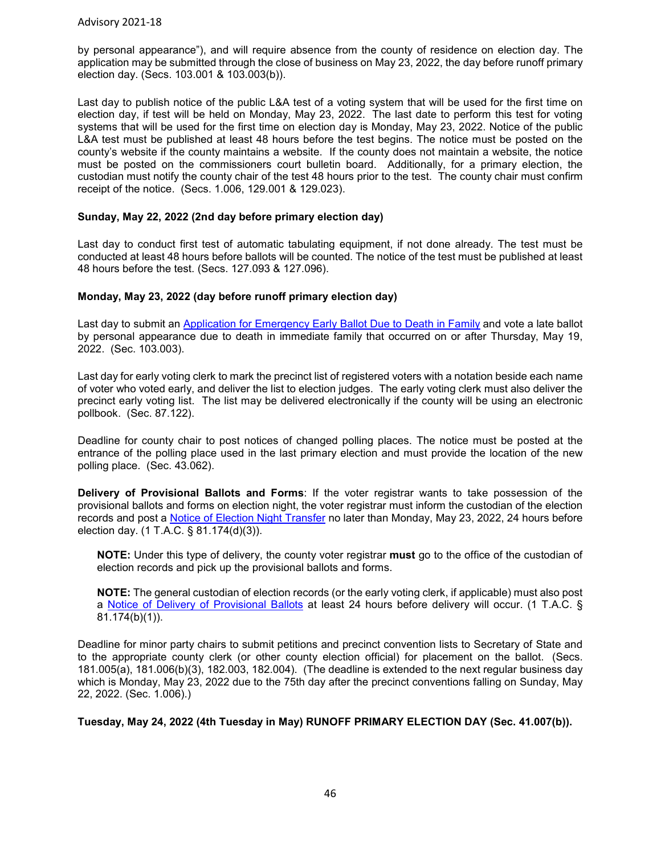by personal appearance"), and will require absence from the county of residence on election day. The application may be submitted through the close of business on May 23, 2022, the day before runoff primary election day. (Secs. 103.001 & 103.003(b)).

Last day to publish notice of the public L&A test of a voting system that will be used for the first time on election day, if test will be held on Monday, May 23, 2022. The last date to perform this test for voting systems that will be used for the first time on election day is Monday, May 23, 2022. Notice of the public L&A test must be published at least 48 hours before the test begins. The notice must be posted on the county's website if the county maintains a website. If the county does not maintain a website, the notice must be posted on the commissioners court bulletin board. Additionally, for a primary election, the custodian must notify the county chair of the test 48 hours prior to the test. The county chair must confirm receipt of the notice. (Secs. 1.006, 129.001 & 129.023).

#### **Sunday, May 22, 2022 (2nd day before primary election day)**

Last day to conduct first test of automatic tabulating equipment, if not done already. The test must be conducted at least 48 hours before ballots will be counted. The notice of the test must be published at least 48 hours before the test. (Secs. 127.093 & 127.096).

#### **Monday, May 23, 2022 (day before runoff primary election day)**

Last day to submit an [Application for Emergency Early Ballot Due to Death in Family](http://www.sos.state.tx.us/elections/forms/pol-sub/5-24f.pdf) and vote a late ballot by personal appearance due to death in immediate family that occurred on or after Thursday, May 19, 2022. (Sec. 103.003).

Last day for early voting clerk to mark the precinct list of registered voters with a notation beside each name of voter who voted early, and deliver the list to election judges. The early voting clerk must also deliver the precinct early voting list. The list may be delivered electronically if the county will be using an electronic pollbook. (Sec. 87.122).

Deadline for county chair to post notices of changed polling places. The notice must be posted at the entrance of the polling place used in the last primary election and must provide the location of the new polling place. (Sec. 43.062).

**Delivery of Provisional Ballots and Forms**: If the voter registrar wants to take possession of the provisional ballots and forms on election night, the voter registrar must inform the custodian of the election records and post a [Notice of Election Night Transfer](http://www.sos.state.tx.us/elections/forms/pol-sub/8-19af.pdf) no later than Monday, May 23, 2022, 24 hours before election day. (1 T.A.C. § 81.174(d)(3)).

**NOTE:** Under this type of delivery, the county voter registrar **must** go to the office of the custodian of election records and pick up the provisional ballots and forms.

**NOTE:** The general custodian of election records (or the early voting clerk, if applicable) must also post a [Notice of Delivery of Provisional Ballots](http://www.sos.state.tx.us/elections/forms/pol-sub/8-19af.pdf) at least 24 hours before delivery will occur. (1 T.A.C. § 81.174(b)(1)).

Deadline for minor party chairs to submit petitions and precinct convention lists to Secretary of State and to the appropriate county clerk (or other county election official) for placement on the ballot. (Secs. 181.005(a), 181.006(b)(3), 182.003, 182.004). (The deadline is extended to the next regular business day which is Monday, May 23, 2022 due to the 75th day after the precinct conventions falling on Sunday, May 22, 2022. (Sec. 1.006).)

**Tuesday, May 24, 2022 (4th Tuesday in May) RUNOFF PRIMARY ELECTION DAY (Sec. 41.007(b)).**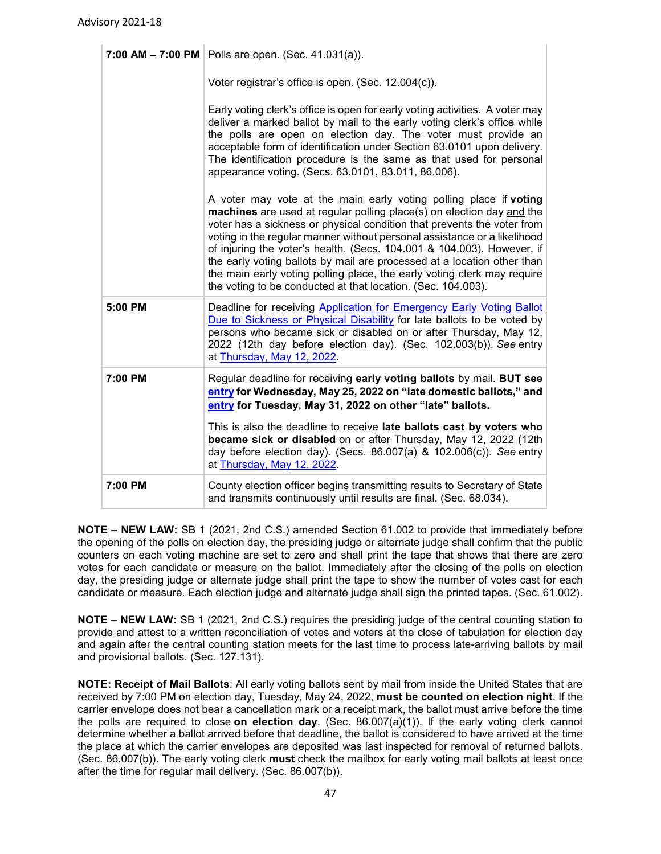|         | 7:00 AM - 7:00 PM   Polls are open. (Sec. 41.031(a)).                                                                                                                                                                                                                                                                                                                                                                                                                                                                                                                                                    |
|---------|----------------------------------------------------------------------------------------------------------------------------------------------------------------------------------------------------------------------------------------------------------------------------------------------------------------------------------------------------------------------------------------------------------------------------------------------------------------------------------------------------------------------------------------------------------------------------------------------------------|
|         | Voter registrar's office is open. (Sec. 12.004(c)).                                                                                                                                                                                                                                                                                                                                                                                                                                                                                                                                                      |
|         | Early voting clerk's office is open for early voting activities. A voter may<br>deliver a marked ballot by mail to the early voting clerk's office while<br>the polls are open on election day. The voter must provide an<br>acceptable form of identification under Section 63.0101 upon delivery.<br>The identification procedure is the same as that used for personal<br>appearance voting. (Secs. 63.0101, 83.011, 86.006).                                                                                                                                                                         |
|         | A voter may vote at the main early voting polling place if <b>voting</b><br>machines are used at regular polling place(s) on election day and the<br>voter has a sickness or physical condition that prevents the voter from<br>voting in the regular manner without personal assistance or a likelihood<br>of injuring the voter's health. (Secs. 104.001 & 104.003). However, if<br>the early voting ballots by mail are processed at a location other than<br>the main early voting polling place, the early voting clerk may require<br>the voting to be conducted at that location. (Sec. 104.003). |
| 5:00 PM | Deadline for receiving Application for Emergency Early Voting Ballot<br>Due to Sickness or Physical Disability for late ballots to be voted by<br>persons who became sick or disabled on or after Thursday, May 12,<br>2022 (12th day before election day). (Sec. 102.003(b)). See entry<br>at Thursday, May 12, 2022.                                                                                                                                                                                                                                                                                   |
| 7:00 PM | Regular deadline for receiving early voting ballots by mail. BUT see<br>entry for Wednesday, May 25, 2022 on "late domestic ballots," and<br>entry for Tuesday, May 31, 2022 on other "late" ballots.                                                                                                                                                                                                                                                                                                                                                                                                    |
|         | This is also the deadline to receive late ballots cast by voters who<br>became sick or disabled on or after Thursday, May 12, 2022 (12th<br>day before election day). (Secs. $86.007(a)$ & $102.006(c)$ ). See entry<br>at Thursday, May 12, 2022.                                                                                                                                                                                                                                                                                                                                                       |
| 7:00 PM | County election officer begins transmitting results to Secretary of State<br>and transmits continuously until results are final. (Sec. 68.034).                                                                                                                                                                                                                                                                                                                                                                                                                                                          |

**NOTE – NEW LAW:** SB 1 (2021, 2nd C.S.) amended Section 61.002 to provide that immediately before the opening of the polls on election day, the presiding judge or alternate judge shall confirm that the public counters on each voting machine are set to zero and shall print the tape that shows that there are zero votes for each candidate or measure on the ballot. Immediately after the closing of the polls on election day, the presiding judge or alternate judge shall print the tape to show the number of votes cast for each candidate or measure. Each election judge and alternate judge shall sign the printed tapes. (Sec. 61.002).

**NOTE – NEW LAW:** SB 1 (2021, 2nd C.S.) requires the presiding judge of the central counting station to provide and attest to a written reconciliation of votes and voters at the close of tabulation for election day and again after the central counting station meets for the last time to process late-arriving ballots by mail and provisional ballots. (Sec. 127.131).

**NOTE: Receipt of Mail Ballots**: All early voting ballots sent by mail from inside the United States that are received by 7:00 PM on election day, Tuesday, May 24, 2022, **must be counted on election night**. If the carrier envelope does not bear a cancellation mark or a receipt mark, the ballot must arrive before the time the polls are required to close **on election day**. (Sec. 86.007(a)(1)). If the early voting clerk cannot determine whether a ballot arrived before that deadline, the ballot is considered to have arrived at the time the place at which the carrier envelopes are deposited was last inspected for removal of returned ballots. (Sec. 86.007(b)). The early voting clerk **must** check the mailbox for early voting mail ballots at least once after the time for regular mail delivery. (Sec. 86.007(b)).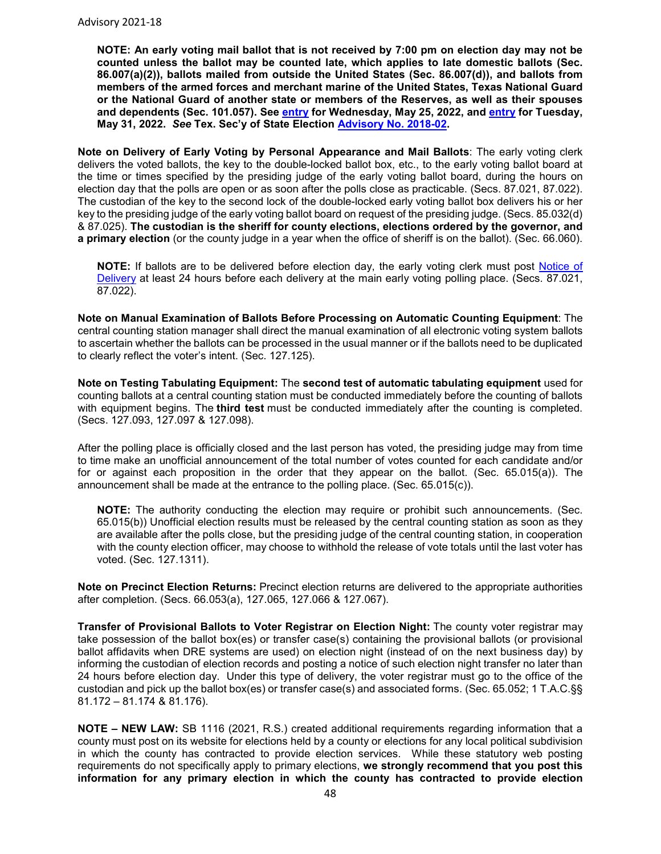**NOTE: An early voting mail ballot that is not received by 7:00 pm on election day may not be counted unless the ballot may be counted late, which applies to late domestic ballots (Sec. 86.007(a)(2)), ballots mailed from outside the United States (Sec. 86.007(d)), and ballots from members of the armed forces and merchant marine of the United States, Texas National Guard or the National Guard of another state or members of the Reserves, as well as their spouses and dependents (Sec. 101.057). See [entry](#page-48-0) for Wednesday, May 25, 2022, and [entry](#page-49-0) for Tuesday, May 31, 2022.** *See* **Tex. Sec'y of State Election [Advisory No. 2018-02.](https://www.sos.state.tx.us/elections/laws/advisory2018-02.shtml)**

**Note on Delivery of Early Voting by Personal Appearance and Mail Ballots**: The early voting clerk delivers the voted ballots, the key to the double-locked ballot box, etc., to the early voting ballot board at the time or times specified by the presiding judge of the early voting ballot board, during the hours on election day that the polls are open or as soon after the polls close as practicable. (Secs. 87.021, 87.022). The custodian of the key to the second lock of the double-locked early voting ballot box delivers his or her key to the presiding judge of the early voting ballot board on request of the presiding judge. (Secs. 85.032(d) & 87.025). **The custodian is the sheriff for county elections, elections ordered by the governor, and a primary election** (or the county judge in a year when the office of sheriff is on the ballot). (Sec. 66.060).

**NOTE:** If ballots are to be delivered before election day, the early voting clerk must post [Notice of](https://www.sos.texas.gov/elections/forms/pol-sub/6-7f.pdf)  [Delivery](https://www.sos.texas.gov/elections/forms/pol-sub/6-7f.pdf) at least 24 hours before each delivery at the main early voting polling place. (Secs. 87.021, 87.022).

**Note on Manual Examination of Ballots Before Processing on Automatic Counting Equipment**: The central counting station manager shall direct the manual examination of all electronic voting system ballots to ascertain whether the ballots can be processed in the usual manner or if the ballots need to be duplicated to clearly reflect the voter's intent. (Sec. 127.125).

**Note on Testing Tabulating Equipment:** The **second test of automatic tabulating equipment** used for counting ballots at a central counting station must be conducted immediately before the counting of ballots with equipment begins. The **third test** must be conducted immediately after the counting is completed. (Secs. 127.093, 127.097 & 127.098).

After the polling place is officially closed and the last person has voted, the presiding judge may from time to time make an unofficial announcement of the total number of votes counted for each candidate and/or for or against each proposition in the order that they appear on the ballot. (Sec. 65.015(a)). The announcement shall be made at the entrance to the polling place. (Sec. 65.015(c)).

**NOTE:** The authority conducting the election may require or prohibit such announcements. (Sec. 65.015(b)) Unofficial election results must be released by the central counting station as soon as they are available after the polls close, but the presiding judge of the central counting station, in cooperation with the county election officer, may choose to withhold the release of vote totals until the last voter has voted. (Sec. 127.1311).

**Note on Precinct Election Returns:** Precinct election returns are delivered to the appropriate authorities after completion. (Secs. 66.053(a), 127.065, 127.066 & 127.067).

**Transfer of Provisional Ballots to Voter Registrar on Election Night:** The county voter registrar may take possession of the ballot box(es) or transfer case(s) containing the provisional ballots (or provisional ballot affidavits when DRE systems are used) on election night (instead of on the next business day) by informing the custodian of election records and posting a notice of such election night transfer no later than 24 hours before election day. Under this type of delivery, the voter registrar must go to the office of the custodian and pick up the ballot box(es) or transfer case(s) and associated forms. (Sec. 65.052; 1 T.A.C.§§ 81.172 – 81.174 & 81.176).

**NOTE – NEW LAW:** SB 1116 (2021, R.S.) created additional requirements regarding information that a county must post on its website for elections held by a county or elections for any local political subdivision in which the county has contracted to provide election services. While these statutory web posting requirements do not specifically apply to primary elections, **we strongly recommend that you post this information for any primary election in which the county has contracted to provide election**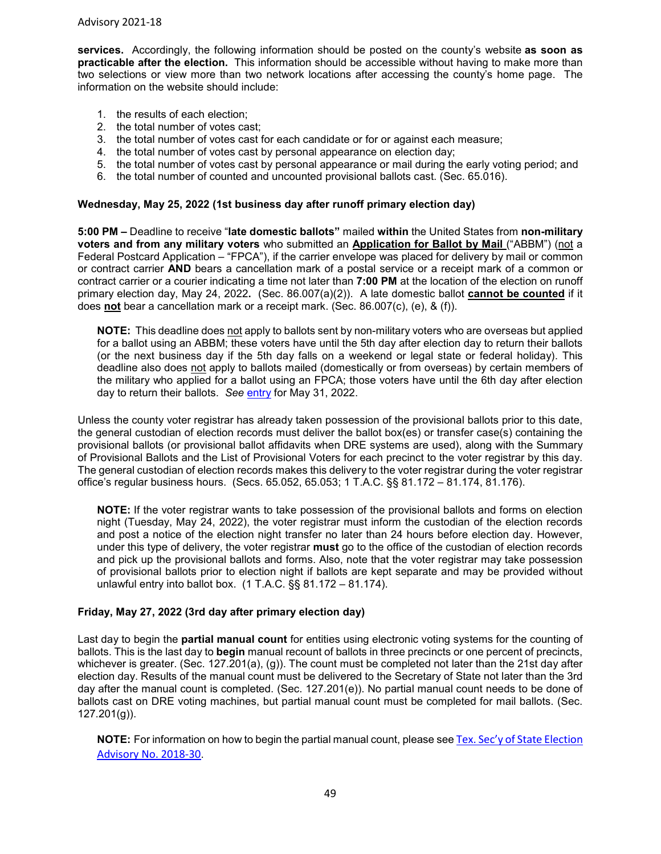**services.** Accordingly, the following information should be posted on the county's website **as soon as practicable after the election.** This information should be accessible without having to make more than two selections or view more than two network locations after accessing the county's home page. The information on the website should include:

- 1. the results of each election;
- 2. the total number of votes cast;
- 3. the total number of votes cast for each candidate or for or against each measure;
- 4. the total number of votes cast by personal appearance on election day;
- 5. the total number of votes cast by personal appearance or mail during the early voting period; and
- 6. the total number of counted and uncounted provisional ballots cast. (Sec. 65.016).

#### <span id="page-48-0"></span>**Wednesday, May 25, 2022 (1st business day after runoff primary election day)**

**5:00 PM –** Deadline to receive "**late domestic ballots"** mailed **within** the United States from **non-military voters and from any military voters** who submitted an **Application for Ballot by Mail** ("ABBM") (not a Federal Postcard Application – "FPCA"), if the carrier envelope was placed for delivery by mail or common or contract carrier **AND** bears a cancellation mark of a postal service or a receipt mark of a common or contract carrier or a courier indicating a time not later than **7:00 PM** at the location of the election on runoff primary election day, May 24, 2022**.** (Sec. 86.007(a)(2)). A late domestic ballot **cannot be counted** if it does **not** bear a cancellation mark or a receipt mark. (Sec. 86.007(c), (e), & (f)).

**NOTE:** This deadline does not apply to ballots sent by non-military voters who are overseas but applied for a ballot using an ABBM; these voters have until the 5th day after election day to return their ballots (or the next business day if the 5th day falls on a weekend or legal state or federal holiday). This deadline also does not apply to ballots mailed (domestically or from overseas) by certain members of the military who applied for a ballot using an FPCA; those voters have until the 6th day after election day to return their ballots. *See* [entry](#page-49-0) for May 31, 2022.

Unless the county voter registrar has already taken possession of the provisional ballots prior to this date, the general custodian of election records must deliver the ballot box(es) or transfer case(s) containing the provisional ballots (or provisional ballot affidavits when DRE systems are used), along with the Summary of Provisional Ballots and the List of Provisional Voters for each precinct to the voter registrar by this day. The general custodian of election records makes this delivery to the voter registrar during the voter registrar office's regular business hours. (Secs. 65.052, 65.053; 1 T.A.C. §§ 81.172 – 81.174, 81.176).

**NOTE:** If the voter registrar wants to take possession of the provisional ballots and forms on election night (Tuesday, May 24, 2022), the voter registrar must inform the custodian of the election records and post a notice of the election night transfer no later than 24 hours before election day. However, under this type of delivery, the voter registrar **must** go to the office of the custodian of election records and pick up the provisional ballots and forms. Also, note that the voter registrar may take possession of provisional ballots prior to election night if ballots are kept separate and may be provided without unlawful entry into ballot box.  $(1 T.A.C. \S \S 81.172 - 81.174)$ .

#### **Friday, May 27, 2022 (3rd day after primary election day)**

Last day to begin the **partial manual count** for entities using electronic voting systems for the counting of ballots. This is the last day to **begin** manual recount of ballots in three precincts or one percent of precincts, whichever is greater. (Sec. 127.201(a), (g)). The count must be completed not later than the 21st day after election day. Results of the manual count must be delivered to the Secretary of State not later than the 3rd day after the manual count is completed. (Sec. 127.201(e)). No partial manual count needs to be done of ballots cast on DRE voting machines, but partial manual count must be completed for mail ballots. (Sec.  $127.201(g)$ ).

**NOTE:** For information on how to begin the partial manual count, please see [Tex. Sec'y of State Election](https://www.sos.texas.gov/elections/laws/advisory2018-30.shtml)  [Advisory No. 2018-30](https://www.sos.texas.gov/elections/laws/advisory2018-30.shtml).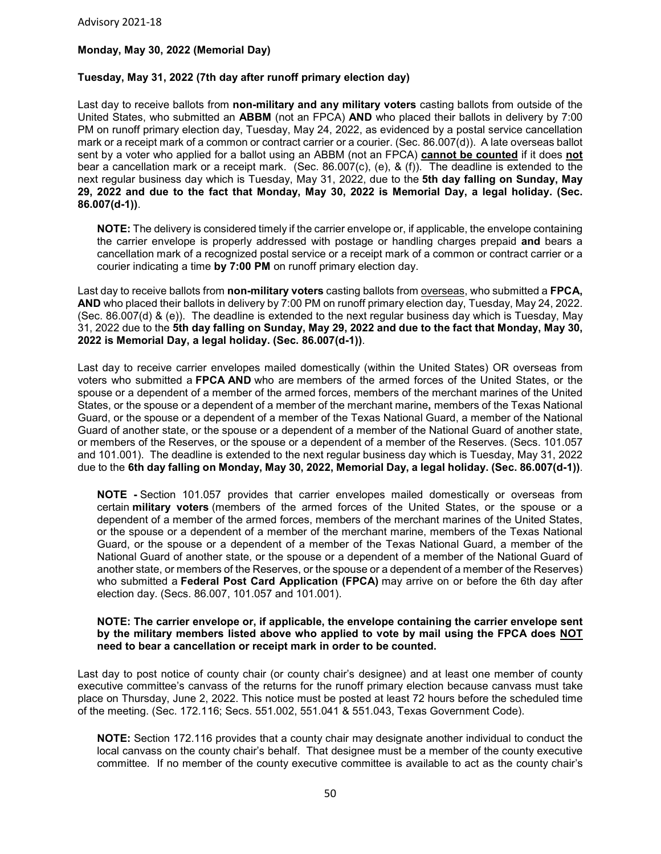#### **Monday, May 30, 2022 (Memorial Day)**

#### <span id="page-49-0"></span>**Tuesday, May 31, 2022 (7th day after runoff primary election day)**

Last day to receive ballots from **non-military and any military voters** casting ballots from outside of the United States, who submitted an **ABBM** (not an FPCA) **AND** who placed their ballots in delivery by 7:00 PM on runoff primary election day, Tuesday, May 24, 2022, as evidenced by a postal service cancellation mark or a receipt mark of a common or contract carrier or a courier. (Sec. 86.007(d)). A late overseas ballot sent by a voter who applied for a ballot using an ABBM (not an FPCA) **cannot be counted** if it does **not** bear a cancellation mark or a receipt mark. (Sec. 86.007(c), (e), & (f)). The deadline is extended to the next regular business day which is Tuesday, May 31, 2022, due to the **5th day falling on Sunday, May 29, 2022 and due to the fact that Monday, May 30, 2022 is Memorial Day, a legal holiday. (Sec. 86.007(d-1))**.

**NOTE:** The delivery is considered timely if the carrier envelope or, if applicable, the envelope containing the carrier envelope is properly addressed with postage or handling charges prepaid **and** bears a cancellation mark of a recognized postal service or a receipt mark of a common or contract carrier or a courier indicating a time **by 7:00 PM** on runoff primary election day.

Last day to receive ballots from **non-military voters** casting ballots from overseas, who submitted a **FPCA, AND** who placed their ballots in delivery by 7:00 PM on runoff primary election day, Tuesday, May 24, 2022. (Sec. 86.007(d) & (e)). The deadline is extended to the next regular business day which is Tuesday, May 31, 2022 due to the **5th day falling on Sunday, May 29, 2022 and due to the fact that Monday, May 30, 2022 is Memorial Day, a legal holiday. (Sec. 86.007(d-1))**.

Last day to receive carrier envelopes mailed domestically (within the United States) OR overseas from voters who submitted a **FPCA AND** who are members of the armed forces of the United States, or the spouse or a dependent of a member of the armed forces, members of the merchant marines of the United States, or the spouse or a dependent of a member of the merchant marine**,** members of the Texas National Guard, or the spouse or a dependent of a member of the Texas National Guard, a member of the National Guard of another state, or the spouse or a dependent of a member of the National Guard of another state, or members of the Reserves, or the spouse or a dependent of a member of the Reserves. (Secs. 101.057 and 101.001). The deadline is extended to the next regular business day which is Tuesday, May 31, 2022 due to the **6th day falling on Monday, May 30, 2022, Memorial Day, a legal holiday. (Sec. 86.007(d-1))**.

**NOTE -** Section 101.057 provides that carrier envelopes mailed domestically or overseas from certain **military voters** (members of the armed forces of the United States, or the spouse or a dependent of a member of the armed forces, members of the merchant marines of the United States, or the spouse or a dependent of a member of the merchant marine, members of the Texas National Guard, or the spouse or a dependent of a member of the Texas National Guard, a member of the National Guard of another state, or the spouse or a dependent of a member of the National Guard of another state, or members of the Reserves, or the spouse or a dependent of a member of the Reserves) who submitted a **Federal Post Card Application (FPCA)** may arrive on or before the 6th day after election day. (Secs. 86.007, 101.057 and 101.001).

#### **NOTE: The carrier envelope or, if applicable, the envelope containing the carrier envelope sent by the military members listed above who applied to vote by mail using the FPCA does NOT need to bear a cancellation or receipt mark in order to be counted.**

Last day to post notice of county chair (or county chair's designee) and at least one member of county executive committee's canvass of the returns for the runoff primary election because canvass must take place on Thursday, June 2, 2022. This notice must be posted at least 72 hours before the scheduled time of the meeting. (Sec. 172.116; Secs. 551.002, 551.041 & 551.043, Texas Government Code).

**NOTE:** Section 172.116 provides that a county chair may designate another individual to conduct the local canvass on the county chair's behalf. That designee must be a member of the county executive committee. If no member of the county executive committee is available to act as the county chair's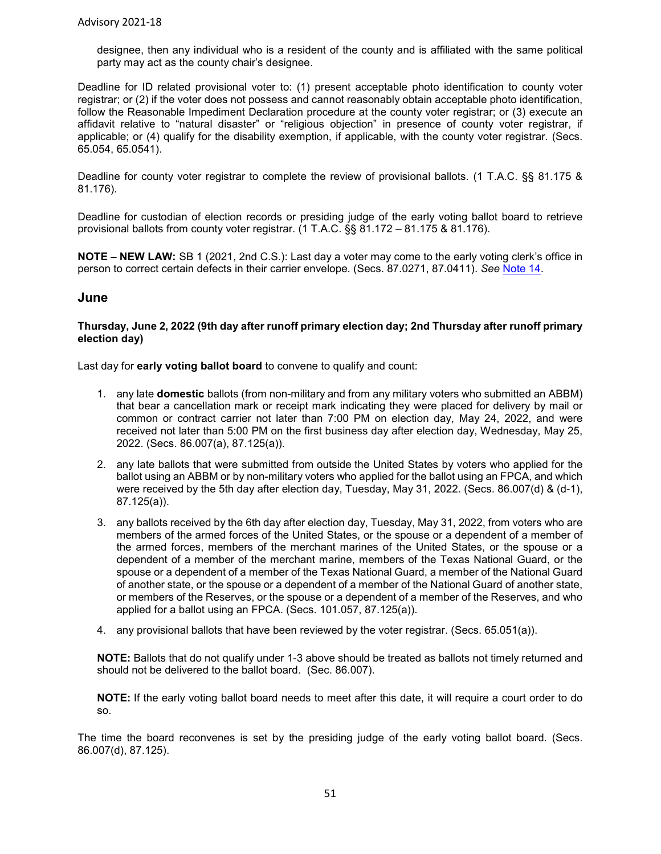designee, then any individual who is a resident of the county and is affiliated with the same political party may act as the county chair's designee.

Deadline for ID related provisional voter to: (1) present acceptable photo identification to county voter registrar; or (2) if the voter does not possess and cannot reasonably obtain acceptable photo identification, follow the Reasonable Impediment Declaration procedure at the county voter registrar; or (3) execute an affidavit relative to "natural disaster" or "religious objection" in presence of county voter registrar, if applicable; or (4) qualify for the disability exemption, if applicable, with the county voter registrar. (Secs. 65.054, 65.0541).

Deadline for county voter registrar to complete the review of provisional ballots. (1 T.A.C. §§ 81.175 & 81.176).

Deadline for custodian of election records or presiding judge of the early voting ballot board to retrieve provisional ballots from county voter registrar. (1 T.A.C. §§ 81.172 – 81.175 & 81.176).

**NOTE – NEW LAW:** SB 1 (2021, 2nd C.S.): Last day a voter may come to the early voting clerk's office in person to correct certain defects in their carrier envelope. (Secs. 87.0271, 87.0411). *See* [Note 14.](#page-8-1)

#### **June**

#### **Thursday, June 2, 2022 (9th day after runoff primary election day; 2nd Thursday after runoff primary election day)**

Last day for **early voting ballot board** to convene to qualify and count:

- 1. any late **domestic** ballots (from non-military and from any military voters who submitted an ABBM) that bear a cancellation mark or receipt mark indicating they were placed for delivery by mail or common or contract carrier not later than 7:00 PM on election day, May 24, 2022, and were received not later than 5:00 PM on the first business day after election day, Wednesday, May 25, 2022. (Secs. 86.007(a), 87.125(a)).
- 2. any late ballots that were submitted from outside the United States by voters who applied for the ballot using an ABBM or by non-military voters who applied for the ballot using an FPCA, and which were received by the 5th day after election day, Tuesday, May 31, 2022. (Secs. 86.007(d) & (d-1), 87.125(a)).
- 3. any ballots received by the 6th day after election day, Tuesday, May 31, 2022, from voters who are members of the armed forces of the United States, or the spouse or a dependent of a member of the armed forces, members of the merchant marines of the United States, or the spouse or a dependent of a member of the merchant marine, members of the Texas National Guard, or the spouse or a dependent of a member of the Texas National Guard, a member of the National Guard of another state, or the spouse or a dependent of a member of the National Guard of another state, or members of the Reserves, or the spouse or a dependent of a member of the Reserves, and who applied for a ballot using an FPCA. (Secs. 101.057, 87.125(a)).
- 4. any provisional ballots that have been reviewed by the voter registrar. (Secs. 65.051(a)).

**NOTE:** Ballots that do not qualify under 1-3 above should be treated as ballots not timely returned and should not be delivered to the ballot board. (Sec. 86.007).

**NOTE:** If the early voting ballot board needs to meet after this date, it will require a court order to do so.

The time the board reconvenes is set by the presiding judge of the early voting ballot board. (Secs. 86.007(d), 87.125).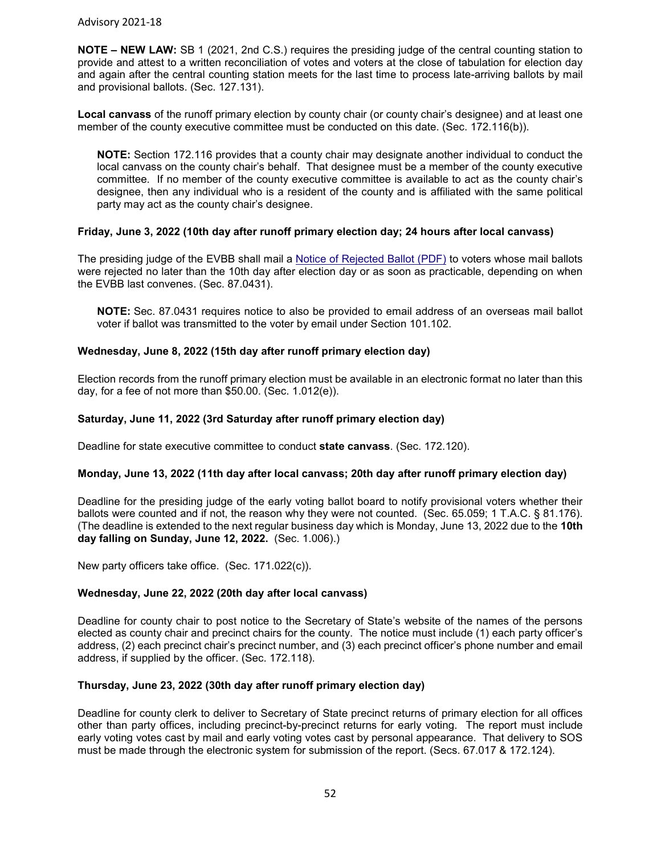**NOTE – NEW LAW:** SB 1 (2021, 2nd C.S.) requires the presiding judge of the central counting station to provide and attest to a written reconciliation of votes and voters at the close of tabulation for election day and again after the central counting station meets for the last time to process late-arriving ballots by mail and provisional ballots. (Sec. 127.131).

**Local canvass** of the runoff primary election by county chair (or county chair's designee) and at least one member of the county executive committee must be conducted on this date. (Sec. 172.116(b)).

**NOTE:** Section 172.116 provides that a county chair may designate another individual to conduct the local canvass on the county chair's behalf. That designee must be a member of the county executive committee. If no member of the county executive committee is available to act as the county chair's designee, then any individual who is a resident of the county and is affiliated with the same political party may act as the county chair's designee.

#### **Friday, June 3, 2022 (10th day after runoff primary election day; 24 hours after local canvass)**

The presiding judge of the EVBB shall mail a [Notice of Rejected Ballot \(PDF\)](https://www.sos.state.tx.us/elections/forms/pol-sub/5-42f.pdf) to voters whose mail ballots were rejected no later than the 10th day after election day or as soon as practicable, depending on when the EVBB last convenes. (Sec. 87.0431).

**NOTE:** Sec. 87.0431 requires notice to also be provided to email address of an overseas mail ballot voter if ballot was transmitted to the voter by email under Section 101.102.

#### **Wednesday, June 8, 2022 (15th day after runoff primary election day)**

Election records from the runoff primary election must be available in an electronic format no later than this day, for a fee of not more than \$50.00. (Sec. 1.012(e)).

#### **Saturday, June 11, 2022 (3rd Saturday after runoff primary election day)**

Deadline for state executive committee to conduct **state canvass**. (Sec. 172.120).

#### **Monday, June 13, 2022 (11th day after local canvass; 20th day after runoff primary election day)**

Deadline for the presiding judge of the early voting ballot board to notify provisional voters whether their ballots were counted and if not, the reason why they were not counted. (Sec. 65.059; 1 T.A.C. § 81.176). (The deadline is extended to the next regular business day which is Monday, June 13, 2022 due to the **10th day falling on Sunday, June 12, 2022.** (Sec. 1.006).)

New party officers take office. (Sec. 171.022(c)).

#### **Wednesday, June 22, 2022 (20th day after local canvass)**

Deadline for county chair to post notice to the Secretary of State's website of the names of the persons elected as county chair and precinct chairs for the county. The notice must include (1) each party officer's address, (2) each precinct chair's precinct number, and (3) each precinct officer's phone number and email address, if supplied by the officer. (Sec. 172.118).

#### **Thursday, June 23, 2022 (30th day after runoff primary election day)**

Deadline for county clerk to deliver to Secretary of State precinct returns of primary election for all offices other than party offices, including precinct-by-precinct returns for early voting. The report must include early voting votes cast by mail and early voting votes cast by personal appearance. That delivery to SOS must be made through the electronic system for submission of the report. (Secs. 67.017 & 172.124).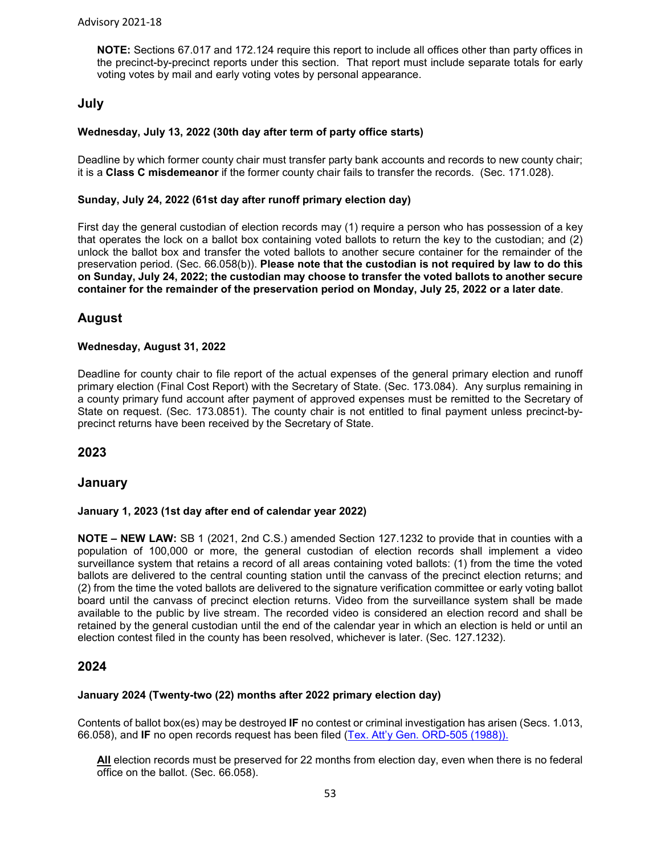**NOTE:** Sections 67.017 and 172.124 require this report to include all offices other than party offices in the precinct-by-precinct reports under this section. That report must include separate totals for early voting votes by mail and early voting votes by personal appearance.

## **July**

#### **Wednesday, July 13, 2022 (30th day after term of party office starts)**

Deadline by which former county chair must transfer party bank accounts and records to new county chair; it is a **Class C misdemeanor** if the former county chair fails to transfer the records. (Sec. 171.028).

#### **Sunday, July 24, 2022 (61st day after runoff primary election day)**

First day the general custodian of election records may (1) require a person who has possession of a key that operates the lock on a ballot box containing voted ballots to return the key to the custodian; and (2) unlock the ballot box and transfer the voted ballots to another secure container for the remainder of the preservation period. (Sec. 66.058(b)). **Please note that the custodian is not required by law to do this on Sunday, July 24, 2022; the custodian may choose to transfer the voted ballots to another secure container for the remainder of the preservation period on Monday, July 25, 2022 or a later date**.

## **August**

#### **Wednesday, August 31, 2022**

Deadline for county chair to file report of the actual expenses of the general primary election and runoff primary election (Final Cost Report) with the Secretary of State. (Sec. 173.084). Any surplus remaining in a county primary fund account after payment of approved expenses must be remitted to the Secretary of State on request. (Sec. 173.0851). The county chair is not entitled to final payment unless precinct-byprecinct returns have been received by the Secretary of State.

## **2023**

#### **January**

#### **January 1, 2023 (1st day after end of calendar year 2022)**

**NOTE – NEW LAW:** SB 1 (2021, 2nd C.S.) amended Section 127.1232 to provide that in counties with a population of 100,000 or more, the general custodian of election records shall implement a video surveillance system that retains a record of all areas containing voted ballots: (1) from the time the voted ballots are delivered to the central counting station until the canvass of the precinct election returns; and (2) from the time the voted ballots are delivered to the signature verification committee or early voting ballot board until the canvass of precinct election returns. Video from the surveillance system shall be made available to the public by live stream. The recorded video is considered an election record and shall be retained by the general custodian until the end of the calendar year in which an election is held or until an election contest filed in the county has been resolved, whichever is later. (Sec. 127.1232).

#### **2024**

#### **January 2024 (Twenty-two (22) months after 2022 primary election day)**

Contents of ballot box(es) may be destroyed **IF** no contest or criminal investigation has arisen (Secs. 1.013, 66.058), and **IF** no open records request has been filed [\(Tex. Att'y Gen. ORD-505 \(1988\)\).](https://www2.texasattorneygeneral.gov/opinions/openrecords/47mattox/ord/1988/htm/ord19880505.txt) 

**All** election records must be preserved for 22 months from election day, even when there is no federal office on the ballot. (Sec. 66.058).